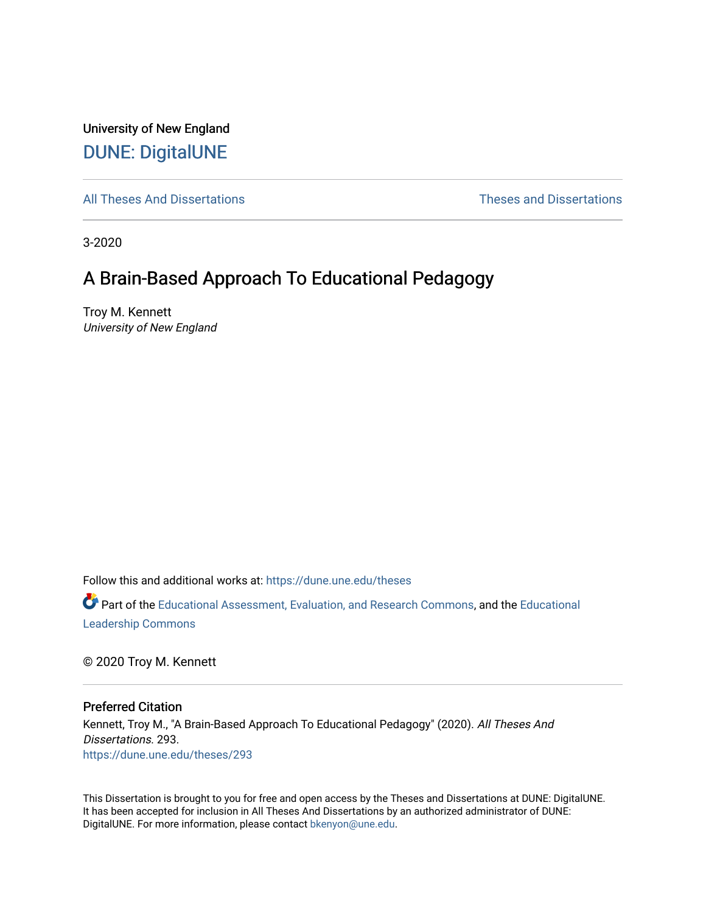University of New England [DUNE: DigitalUNE](https://dune.une.edu/) 

[All Theses And Dissertations](https://dune.une.edu/theses) [Theses and Dissertations](https://dune.une.edu/theses_dissertations) 

3-2020

# A Brain-Based Approach To Educational Pedagogy

Troy M. Kennett University of New England

Follow this and additional works at: [https://dune.une.edu/theses](https://dune.une.edu/theses?utm_source=dune.une.edu%2Ftheses%2F293&utm_medium=PDF&utm_campaign=PDFCoverPages) 

Part of the [Educational Assessment, Evaluation, and Research Commons](http://network.bepress.com/hgg/discipline/796?utm_source=dune.une.edu%2Ftheses%2F293&utm_medium=PDF&utm_campaign=PDFCoverPages), and the [Educational](http://network.bepress.com/hgg/discipline/1230?utm_source=dune.une.edu%2Ftheses%2F293&utm_medium=PDF&utm_campaign=PDFCoverPages) [Leadership Commons](http://network.bepress.com/hgg/discipline/1230?utm_source=dune.une.edu%2Ftheses%2F293&utm_medium=PDF&utm_campaign=PDFCoverPages) 

© 2020 Troy M. Kennett

Preferred Citation

Kennett, Troy M., "A Brain-Based Approach To Educational Pedagogy" (2020). All Theses And Dissertations. 293. [https://dune.une.edu/theses/293](https://dune.une.edu/theses/293?utm_source=dune.une.edu%2Ftheses%2F293&utm_medium=PDF&utm_campaign=PDFCoverPages)

This Dissertation is brought to you for free and open access by the Theses and Dissertations at DUNE: DigitalUNE. It has been accepted for inclusion in All Theses And Dissertations by an authorized administrator of DUNE: DigitalUNE. For more information, please contact [bkenyon@une.edu.](mailto:bkenyon@une.edu)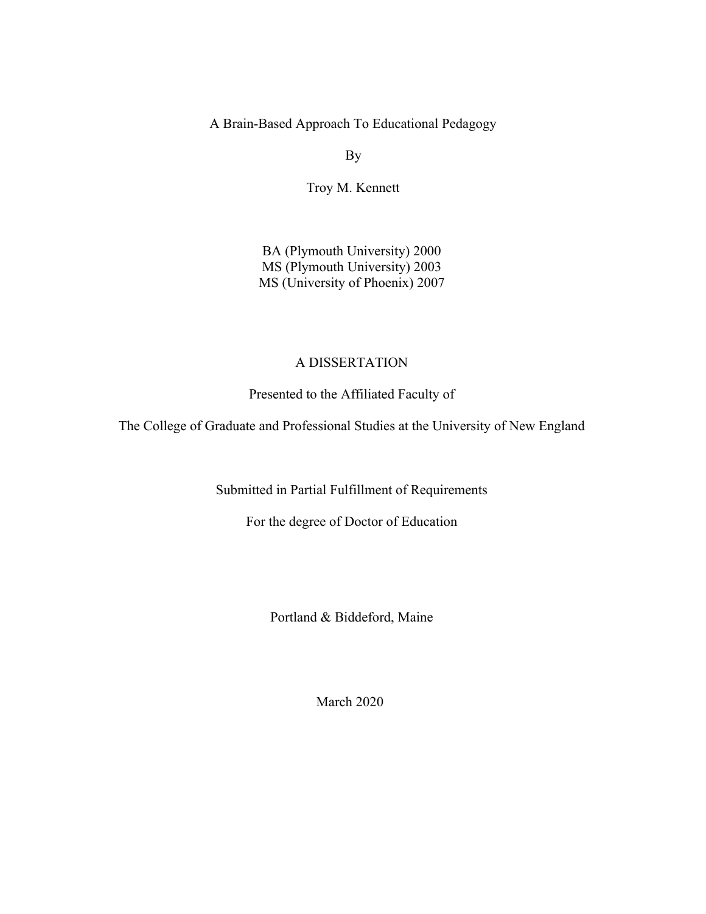A Brain-Based Approach To Educational Pedagogy

By

Troy M. Kennett

BA (Plymouth University) 2000 MS (Plymouth University) 2003 MS (University of Phoenix) 2007

## A DISSERTATION

Presented to the Affiliated Faculty of

The College of Graduate and Professional Studies at the University of New England

Submitted in Partial Fulfillment of Requirements

For the degree of Doctor of Education

Portland & Biddeford, Maine

March 2020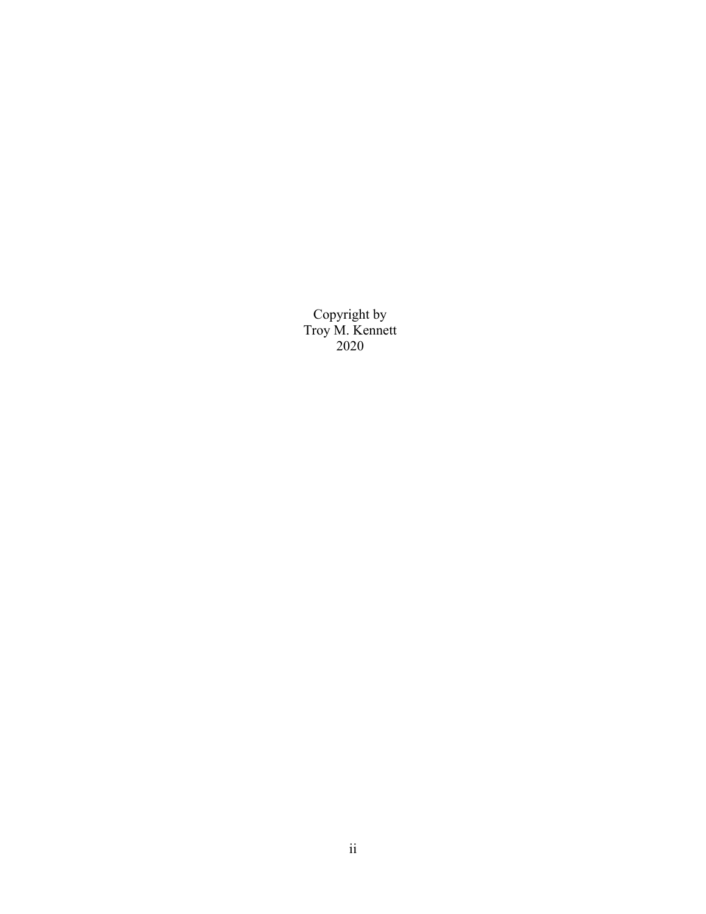Copyright by Troy M. Kennett 2020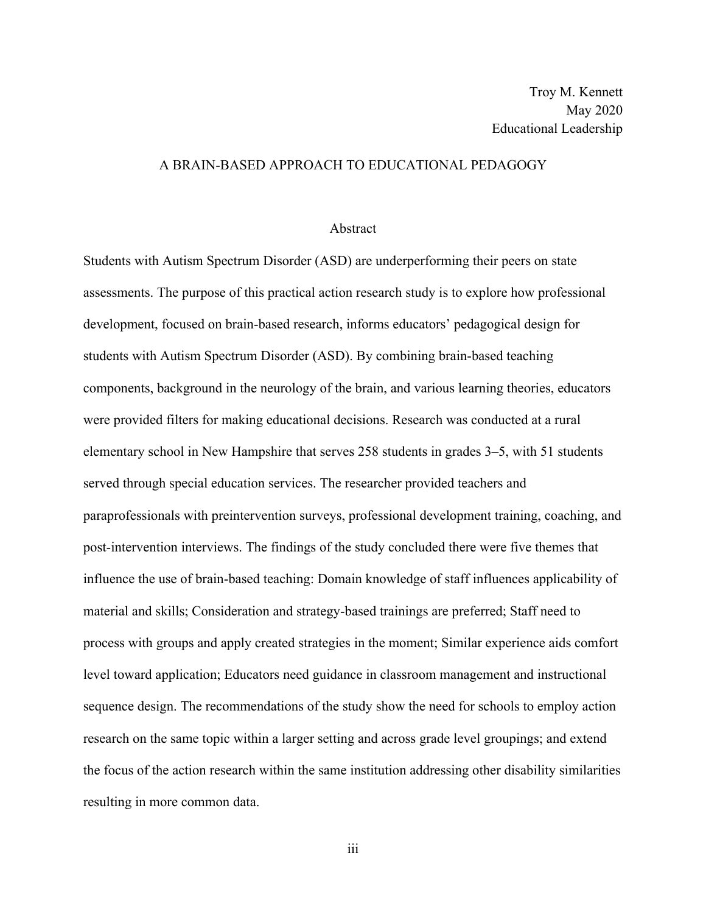## A BRAIN-BASED APPROACH TO EDUCATIONAL PEDAGOGY

#### Abstract

Students with Autism Spectrum Disorder (ASD) are underperforming their peers on state assessments. The purpose of this practical action research study is to explore how professional development, focused on brain-based research, informs educators' pedagogical design for students with Autism Spectrum Disorder (ASD). By combining brain-based teaching components, background in the neurology of the brain, and various learning theories, educators were provided filters for making educational decisions. Research was conducted at a rural elementary school in New Hampshire that serves 258 students in grades 3–5, with 51 students served through special education services. The researcher provided teachers and paraprofessionals with preintervention surveys, professional development training, coaching, and post-intervention interviews. The findings of the study concluded there were five themes that influence the use of brain-based teaching: Domain knowledge of staff influences applicability of material and skills; Consideration and strategy-based trainings are preferred; Staff need to process with groups and apply created strategies in the moment; Similar experience aids comfort level toward application; Educators need guidance in classroom management and instructional sequence design. The recommendations of the study show the need for schools to employ action research on the same topic within a larger setting and across grade level groupings; and extend the focus of the action research within the same institution addressing other disability similarities resulting in more common data.

iii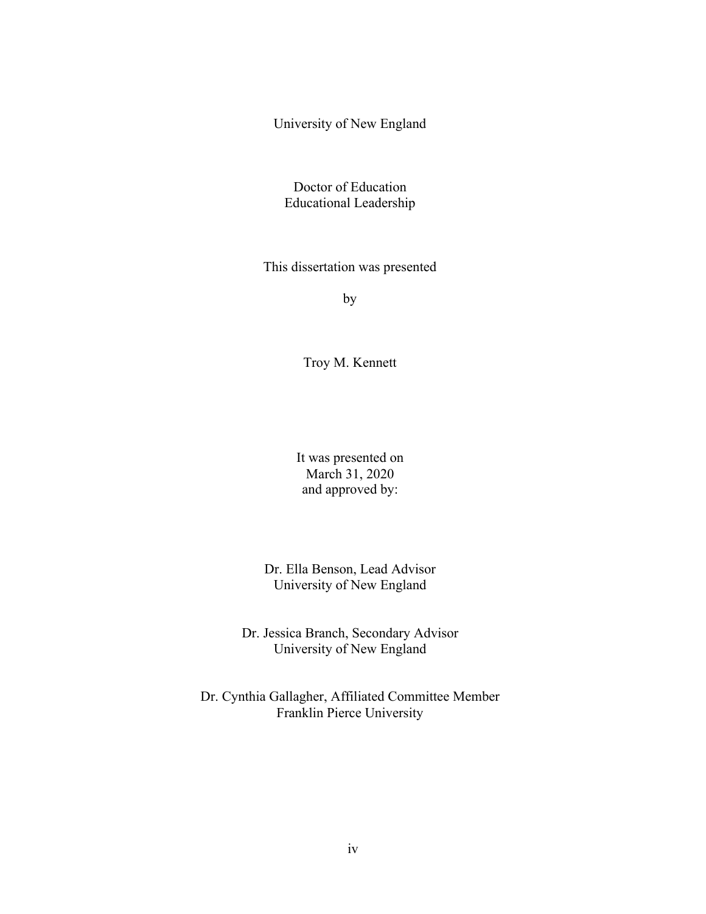University of New England

Doctor of Education Educational Leadership

This dissertation was presented

by

Troy M. Kennett

It was presented on March 31, 2020 and approved by:

Dr. Ella Benson, Lead Advisor University of New England

Dr. Jessica Branch, Secondary Advisor University of New England

Dr. Cynthia Gallagher, Affiliated Committee Member Franklin Pierce University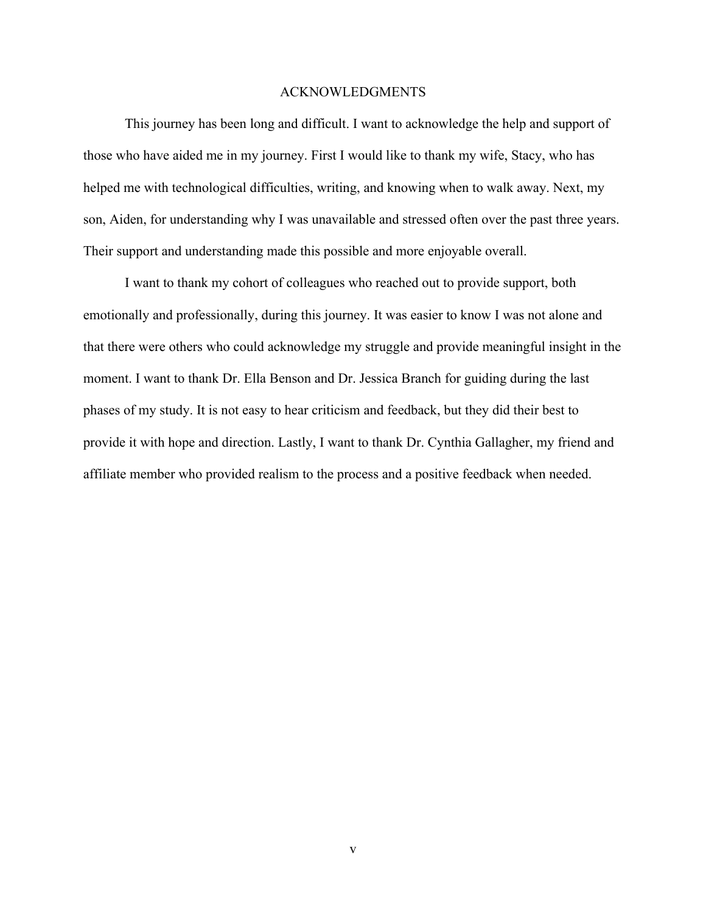#### ACKNOWLEDGMENTS

This journey has been long and difficult. I want to acknowledge the help and support of those who have aided me in my journey. First I would like to thank my wife, Stacy, who has helped me with technological difficulties, writing, and knowing when to walk away. Next, my son, Aiden, for understanding why I was unavailable and stressed often over the past three years. Their support and understanding made this possible and more enjoyable overall.

I want to thank my cohort of colleagues who reached out to provide support, both emotionally and professionally, during this journey. It was easier to know I was not alone and that there were others who could acknowledge my struggle and provide meaningful insight in the moment. I want to thank Dr. Ella Benson and Dr. Jessica Branch for guiding during the last phases of my study. It is not easy to hear criticism and feedback, but they did their best to provide it with hope and direction. Lastly, I want to thank Dr. Cynthia Gallagher, my friend and affiliate member who provided realism to the process and a positive feedback when needed.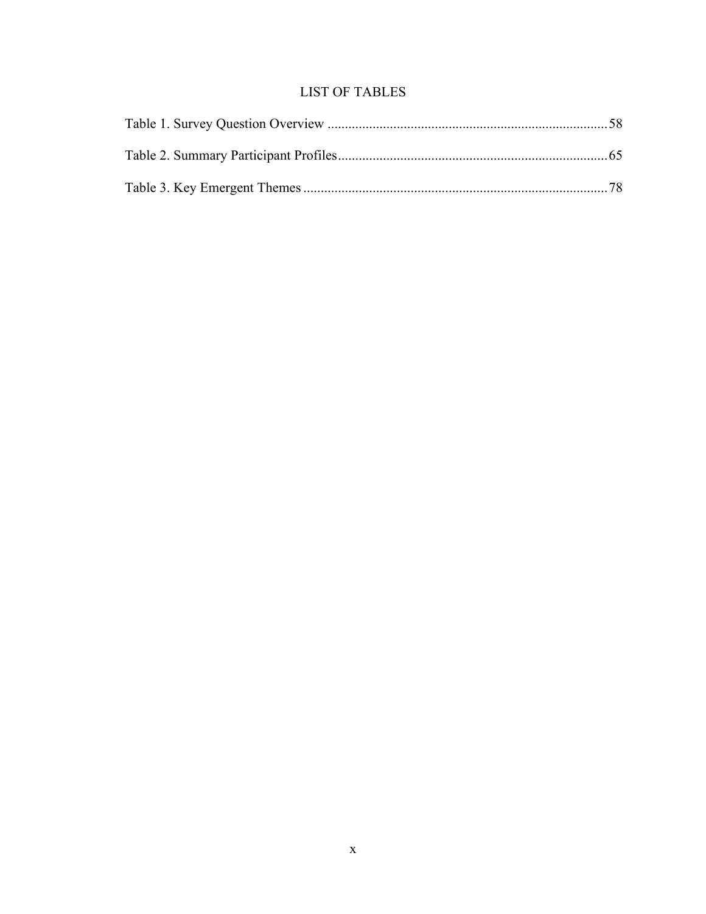## **LIST OF TABLES**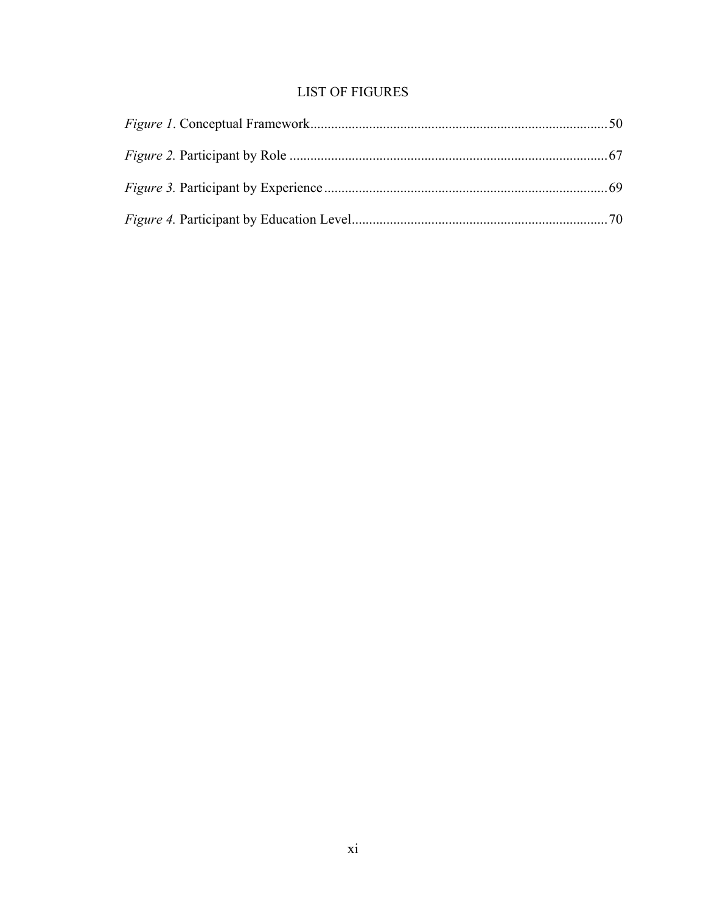## **LIST OF FIGURES**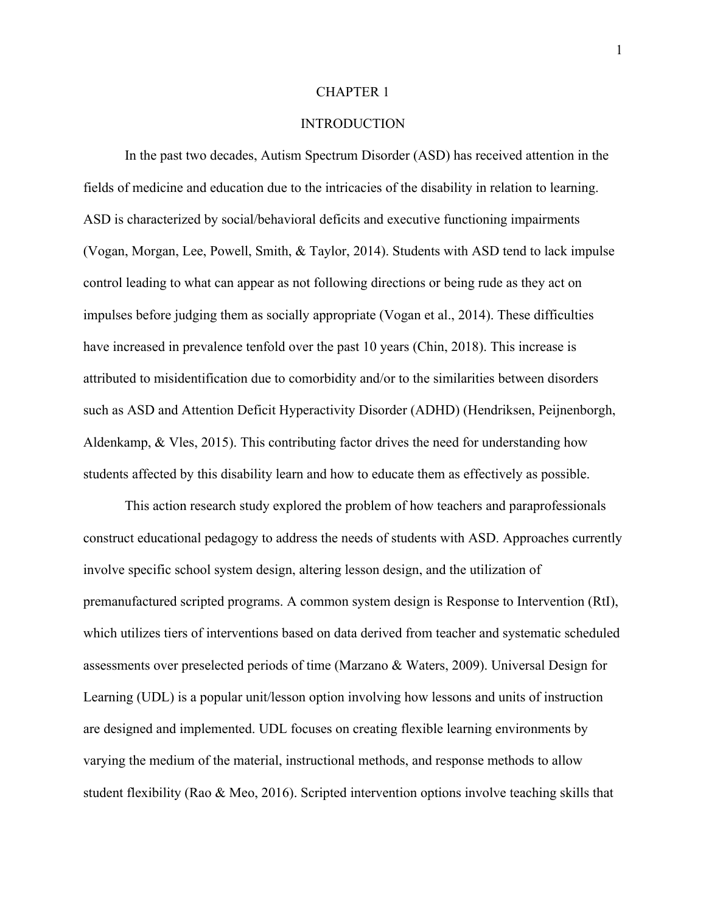#### CHAPTER 1

## **INTRODUCTION**

In the past two decades, Autism Spectrum Disorder (ASD) has received attention in the fields of medicine and education due to the intricacies of the disability in relation to learning. ASD is characterized by social/behavioral deficits and executive functioning impairments (Vogan, Morgan, Lee, Powell, Smith, & Taylor, 2014). Students with ASD tend to lack impulse control leading to what can appear as not following directions or being rude as they act on impulses before judging them as socially appropriate (Vogan et al., 2014). These difficulties have increased in prevalence tenfold over the past 10 years (Chin, 2018). This increase is attributed to misidentification due to comorbidity and/or to the similarities between disorders such as ASD and Attention Deficit Hyperactivity Disorder (ADHD) (Hendriksen, Peijnenborgh, Aldenkamp,  $\&$  Vles, 2015). This contributing factor drives the need for understanding how students affected by this disability learn and how to educate them as effectively as possible.

This action research study explored the problem of how teachers and paraprofessionals construct educational pedagogy to address the needs of students with ASD. Approaches currently involve specific school system design, altering lesson design, and the utilization of premanufactured scripted programs. A common system design is Response to Intervention (RtI), which utilizes tiers of interventions based on data derived from teacher and systematic scheduled assessments over preselected periods of time (Marzano & Waters, 2009). Universal Design for Learning (UDL) is a popular unit/lesson option involving how lessons and units of instruction are designed and implemented. UDL focuses on creating flexible learning environments by varying the medium of the material, instructional methods, and response methods to allow student flexibility (Rao & Meo, 2016). Scripted intervention options involve teaching skills that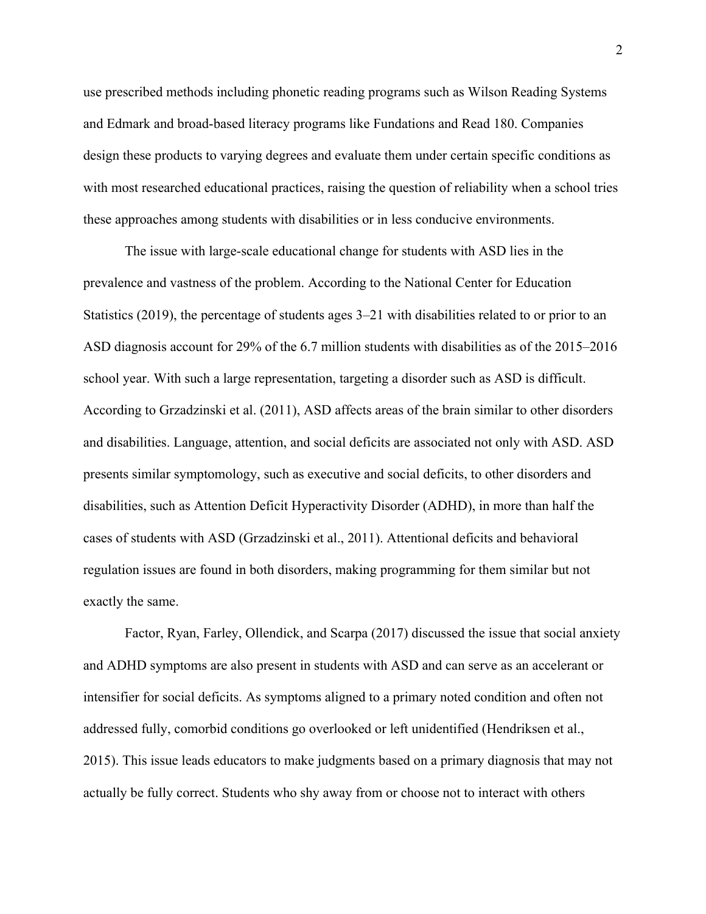use prescribed methods including phonetic reading programs such as Wilson Reading Systems and Edmark and broad-based literacy programs like Fundations and Read 180. Companies design these products to varying degrees and evaluate them under certain specific conditions as with most researched educational practices, raising the question of reliability when a school tries these approaches among students with disabilities or in less conducive environments.

The issue with large-scale educational change for students with ASD lies in the prevalence and vastness of the problem. According to the National Center for Education Statistics (2019), the percentage of students ages 3–21 with disabilities related to or prior to an ASD diagnosis account for 29% of the 6.7 million students with disabilities as of the 2015–2016 school year. With such a large representation, targeting a disorder such as ASD is difficult. According to Grzadzinski et al. (2011), ASD affects areas of the brain similar to other disorders and disabilities. Language, attention, and social deficits are associated not only with ASD. ASD presents similar symptomology, such as executive and social deficits, to other disorders and disabilities, such as Attention Deficit Hyperactivity Disorder (ADHD), in more than half the cases of students with ASD (Grzadzinski et al., 2011). Attentional deficits and behavioral regulation issues are found in both disorders, making programming for them similar but not exactly the same.

Factor, Ryan, Farley, Ollendick, and Scarpa (2017) discussed the issue that social anxiety and ADHD symptoms are also present in students with ASD and can serve as an accelerant or intensifier for social deficits. As symptoms aligned to a primary noted condition and often not addressed fully, comorbid conditions go overlooked or left unidentified (Hendriksen et al., 2015). This issue leads educators to make judgments based on a primary diagnosis that may not actually be fully correct. Students who shy away from or choose not to interact with others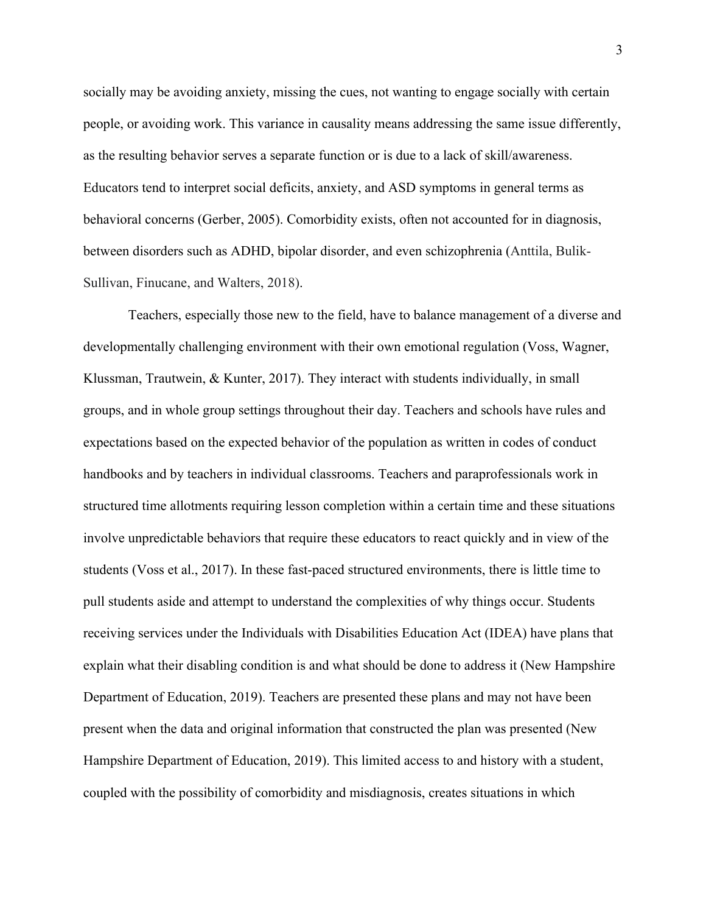socially may be avoiding anxiety, missing the cues, not wanting to engage socially with certain people, or avoiding work. This variance in causality means addressing the same issue differently, as the resulting behavior serves a separate function or is due to a lack of skill/awareness. Educators tend to interpret social deficits, anxiety, and ASD symptoms in general terms as behavioral concerns (Gerber, 2005). Comorbidity exists, often not accounted for in diagnosis, between disorders such as ADHD, bipolar disorder, and even schizophrenia (Anttila, Bulik-Sullivan, Finucane, and Walters, 2018).

Teachers, especially those new to the field, have to balance management of a diverse and developmentally challenging environment with their own emotional regulation (Voss, Wagner, Klussman, Trautwein, & Kunter, 2017). They interact with students individually, in small groups, and in whole group settings throughout their day. Teachers and schools have rules and expectations based on the expected behavior of the population as written in codes of conduct handbooks and by teachers in individual classrooms. Teachers and paraprofessionals work in structured time allotments requiring lesson completion within a certain time and these situations involve unpredictable behaviors that require these educators to react quickly and in view of the students (Voss et al., 2017). In these fast-paced structured environments, there is little time to pull students aside and attempt to understand the complexities of why things occur. Students receiving services under the Individuals with Disabilities Education Act (IDEA) have plans that explain what their disabling condition is and what should be done to address it (New Hampshire Department of Education, 2019). Teachers are presented these plans and may not have been present when the data and original information that constructed the plan was presented (New Hampshire Department of Education, 2019). This limited access to and history with a student, coupled with the possibility of comorbidity and misdiagnosis, creates situations in which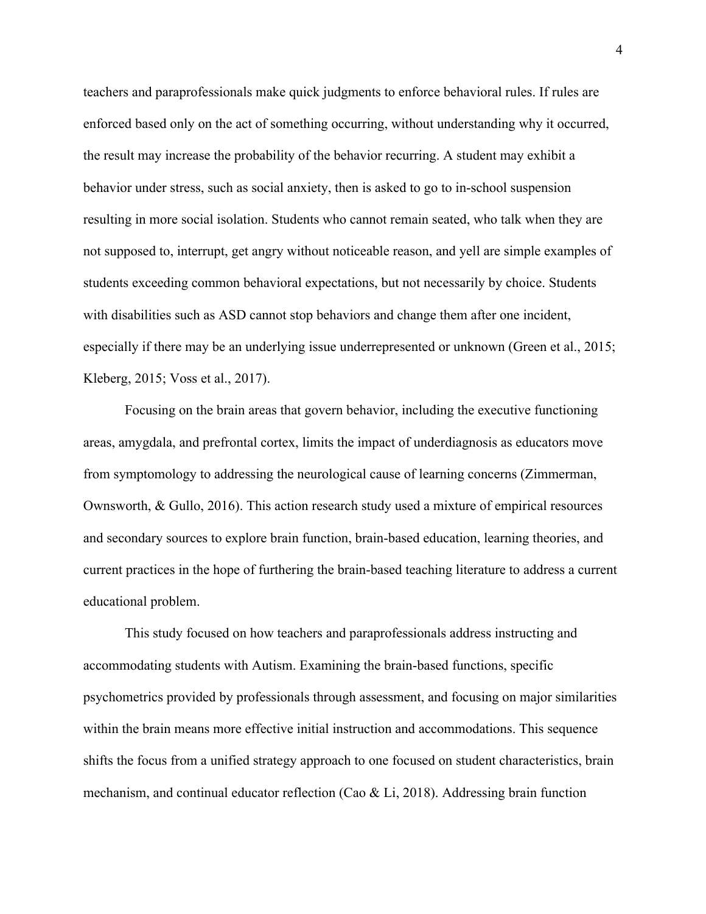teachers and paraprofessionals make quick judgments to enforce behavioral rules. If rules are enforced based only on the act of something occurring, without understanding why it occurred, the result may increase the probability of the behavior recurring. A student may exhibit a behavior under stress, such as social anxiety, then is asked to go to in-school suspension resulting in more social isolation. Students who cannot remain seated, who talk when they are not supposed to, interrupt, get angry without noticeable reason, and yell are simple examples of students exceeding common behavioral expectations, but not necessarily by choice. Students with disabilities such as ASD cannot stop behaviors and change them after one incident, especially if there may be an underlying issue underrepresented or unknown (Green et al., 2015; Kleberg, 2015; Voss et al., 2017).

Focusing on the brain areas that govern behavior, including the executive functioning areas, amygdala, and prefrontal cortex, limits the impact of underdiagnosis as educators move from symptomology to addressing the neurological cause of learning concerns (Zimmerman, Ownsworth, & Gullo, 2016). This action research study used a mixture of empirical resources and secondary sources to explore brain function, brain-based education, learning theories, and current practices in the hope of furthering the brain-based teaching literature to address a current educational problem.

This study focused on how teachers and paraprofessionals address instructing and accommodating students with Autism. Examining the brain-based functions, specific psychometrics provided by professionals through assessment, and focusing on major similarities within the brain means more effective initial instruction and accommodations. This sequence shifts the focus from a unified strategy approach to one focused on student characteristics, brain mechanism, and continual educator reflection (Cao & Li, 2018). Addressing brain function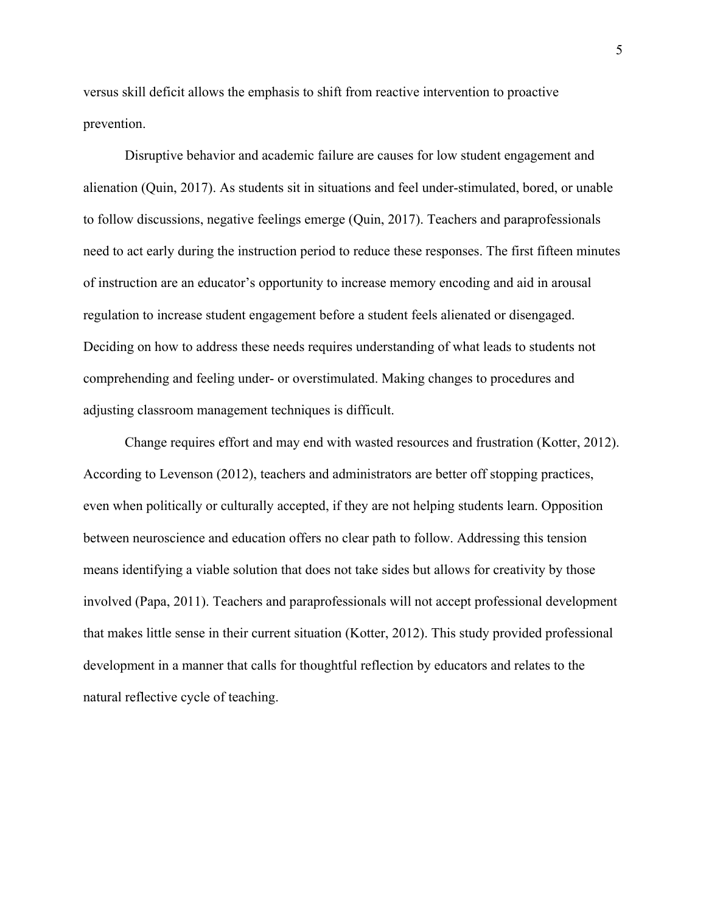versus skill deficit allows the emphasis to shift from reactive intervention to proactive prevention.

Disruptive behavior and academic failure are causes for low student engagement and alienation (Quin, 2017). As students sit in situations and feel under-stimulated, bored, or unable to follow discussions, negative feelings emerge (Quin, 2017). Teachers and paraprofessionals need to act early during the instruction period to reduce these responses. The first fifteen minutes of instruction are an educator's opportunity to increase memory encoding and aid in arousal regulation to increase student engagement before a student feels alienated or disengaged. Deciding on how to address these needs requires understanding of what leads to students not comprehending and feeling under- or overstimulated. Making changes to procedures and adjusting classroom management techniques is difficult.

Change requires effort and may end with wasted resources and frustration (Kotter, 2012). According to Levenson (2012), teachers and administrators are better off stopping practices, even when politically or culturally accepted, if they are not helping students learn. Opposition between neuroscience and education offers no clear path to follow. Addressing this tension means identifying a viable solution that does not take sides but allows for creativity by those involved (Papa, 2011). Teachers and paraprofessionals will not accept professional development that makes little sense in their current situation (Kotter, 2012). This study provided professional development in a manner that calls for thoughtful reflection by educators and relates to the natural reflective cycle of teaching.

5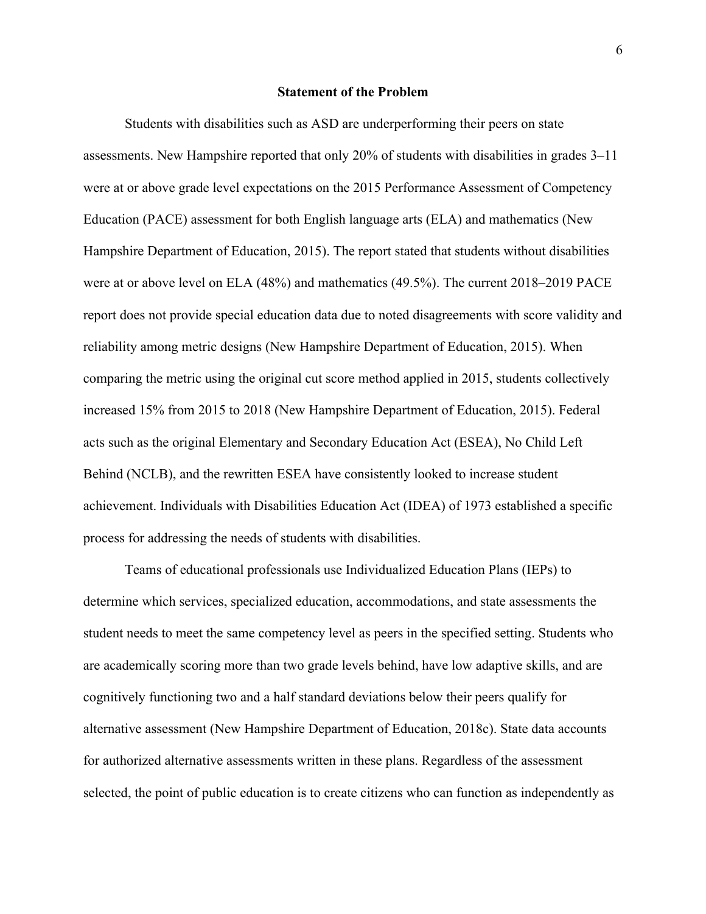#### **Statement of the Problem**

Students with disabilities such as ASD are underperforming their peers on state assessments. New Hampshire reported that only 20% of students with disabilities in grades 3–11 were at or above grade level expectations on the 2015 Performance Assessment of Competency Education (PACE) assessment for both English language arts (ELA) and mathematics (New Hampshire Department of Education, 2015). The report stated that students without disabilities were at or above level on ELA (48%) and mathematics (49.5%). The current 2018–2019 PACE report does not provide special education data due to noted disagreements with score validity and reliability among metric designs (New Hampshire Department of Education, 2015). When comparing the metric using the original cut score method applied in 2015, students collectively increased 15% from 2015 to 2018 (New Hampshire Department of Education, 2015). Federal acts such as the original Elementary and Secondary Education Act (ESEA), No Child Left Behind (NCLB), and the rewritten ESEA have consistently looked to increase student achievement. Individuals with Disabilities Education Act (IDEA) of 1973 established a specific process for addressing the needs of students with disabilities.

Teams of educational professionals use Individualized Education Plans (IEPs) to determine which services, specialized education, accommodations, and state assessments the student needs to meet the same competency level as peers in the specified setting. Students who are academically scoring more than two grade levels behind, have low adaptive skills, and are cognitively functioning two and a half standard deviations below their peers qualify for alternative assessment (New Hampshire Department of Education, 2018c). State data accounts for authorized alternative assessments written in these plans. Regardless of the assessment selected, the point of public education is to create citizens who can function as independently as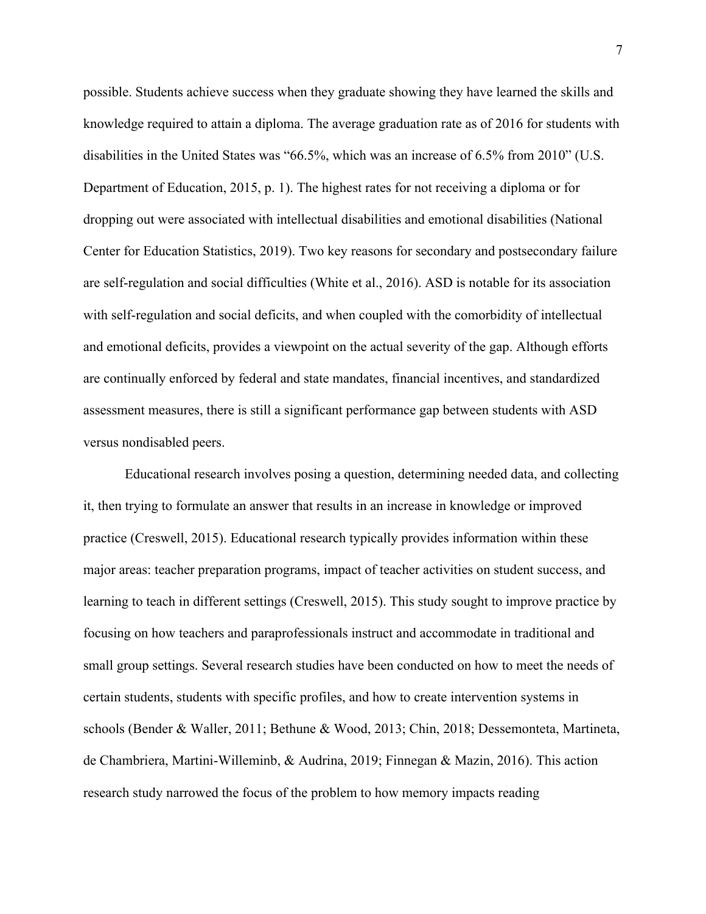possible. Students achieve success when they graduate showing they have learned the skills and knowledge required to attain a diploma. The average graduation rate as of 2016 for students with disabilities in the United States was "66.5%, which was an increase of 6.5% from 2010" (U.S. Department of Education, 2015, p. 1). The highest rates for not receiving a diploma or for dropping out were associated with intellectual disabilities and emotional disabilities (National Center for Education Statistics, 2019). Two key reasons for secondary and postsecondary failure are self-regulation and social difficulties (White et al., 2016). ASD is notable for its association with self-regulation and social deficits, and when coupled with the comorbidity of intellectual and emotional deficits, provides a viewpoint on the actual severity of the gap. Although efforts are continually enforced by federal and state mandates, financial incentives, and standardized assessment measures, there is still a significant performance gap between students with ASD versus nondisabled peers.

Educational research involves posing a question, determining needed data, and collecting it, then trying to formulate an answer that results in an increase in knowledge or improved practice (Creswell, 2015). Educational research typically provides information within these major areas: teacher preparation programs, impact of teacher activities on student success, and learning to teach in different settings (Creswell, 2015). This study sought to improve practice by focusing on how teachers and paraprofessionals instruct and accommodate in traditional and small group settings. Several research studies have been conducted on how to meet the needs of certain students, students with specific profiles, and how to create intervention systems in schools (Bender & Waller, 2011; Bethune & Wood, 2013; Chin, 2018; Dessemonteta, Martineta, de Chambriera, Martini-Willeminb, & Audrina, 2019; Finnegan & Mazin, 2016). This action research study narrowed the focus of the problem to how memory impacts reading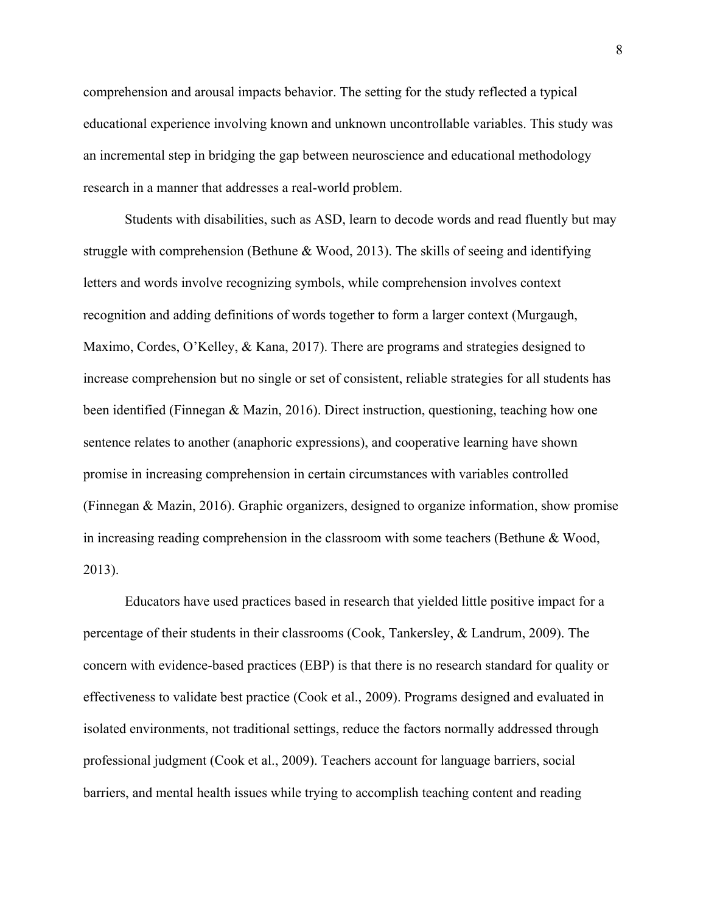comprehension and arousal impacts behavior. The setting for the study reflected a typical educational experience involving known and unknown uncontrollable variables. This study was an incremental step in bridging the gap between neuroscience and educational methodology research in a manner that addresses a real-world problem.

Students with disabilities, such as ASD, learn to decode words and read fluently but may struggle with comprehension (Bethune & Wood, 2013). The skills of seeing and identifying letters and words involve recognizing symbols, while comprehension involves context recognition and adding definitions of words together to form a larger context (Murgaugh, Maximo, Cordes, O'Kelley, & Kana, 2017). There are programs and strategies designed to increase comprehension but no single or set of consistent, reliable strategies for all students has been identified (Finnegan & Mazin, 2016). Direct instruction, questioning, teaching how one sentence relates to another (anaphoric expressions), and cooperative learning have shown promise in increasing comprehension in certain circumstances with variables controlled (Finnegan & Mazin, 2016). Graphic organizers, designed to organize information, show promise in increasing reading comprehension in the classroom with some teachers (Bethune & Wood, 2013).

Educators have used practices based in research that yielded little positive impact for a percentage of their students in their classrooms (Cook, Tankersley, & Landrum, 2009). The concern with evidence-based practices (EBP) is that there is no research standard for quality or effectiveness to validate best practice (Cook et al., 2009). Programs designed and evaluated in isolated environments, not traditional settings, reduce the factors normally addressed through professional judgment (Cook et al., 2009). Teachers account for language barriers, social barriers, and mental health issues while trying to accomplish teaching content and reading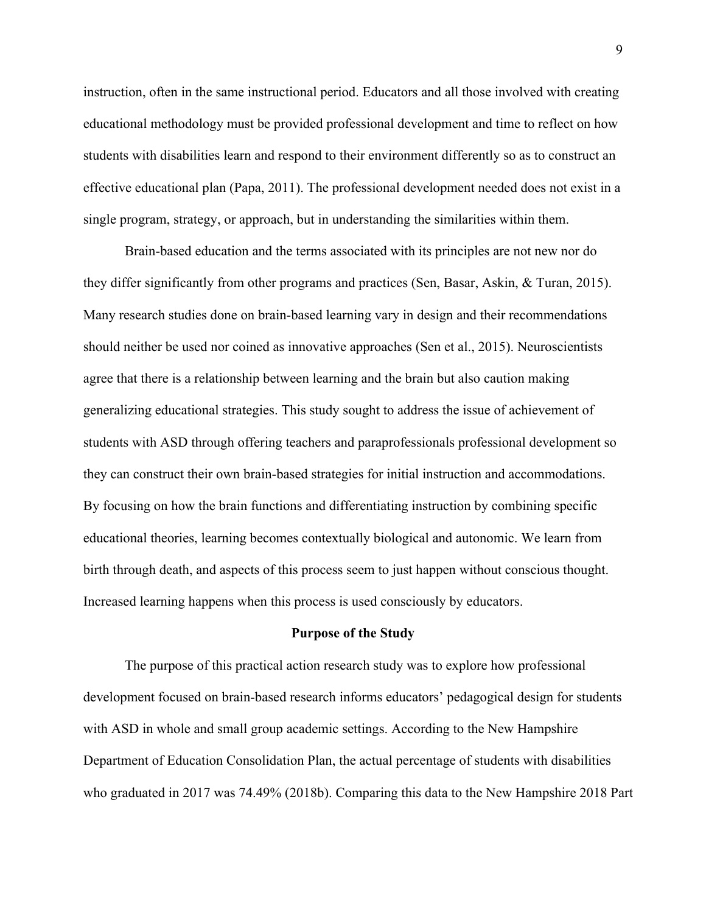instruction, often in the same instructional period. Educators and all those involved with creating educational methodology must be provided professional development and time to reflect on how students with disabilities learn and respond to their environment differently so as to construct an effective educational plan (Papa, 2011). The professional development needed does not exist in a single program, strategy, or approach, but in understanding the similarities within them.

Brain-based education and the terms associated with its principles are not new nor do they differ significantly from other programs and practices (Sen, Basar, Askin, & Turan, 2015). Many research studies done on brain-based learning vary in design and their recommendations should neither be used nor coined as innovative approaches (Sen et al., 2015). Neuroscientists agree that there is a relationship between learning and the brain but also caution making generalizing educational strategies. This study sought to address the issue of achievement of students with ASD through offering teachers and paraprofessionals professional development so they can construct their own brain-based strategies for initial instruction and accommodations. By focusing on how the brain functions and differentiating instruction by combining specific educational theories, learning becomes contextually biological and autonomic. We learn from birth through death, and aspects of this process seem to just happen without conscious thought. Increased learning happens when this process is used consciously by educators.

#### **Purpose of the Study**

The purpose of this practical action research study was to explore how professional development focused on brain-based research informs educators' pedagogical design for students with ASD in whole and small group academic settings. According to the New Hampshire Department of Education Consolidation Plan, the actual percentage of students with disabilities who graduated in 2017 was 74.49% (2018b). Comparing this data to the New Hampshire 2018 Part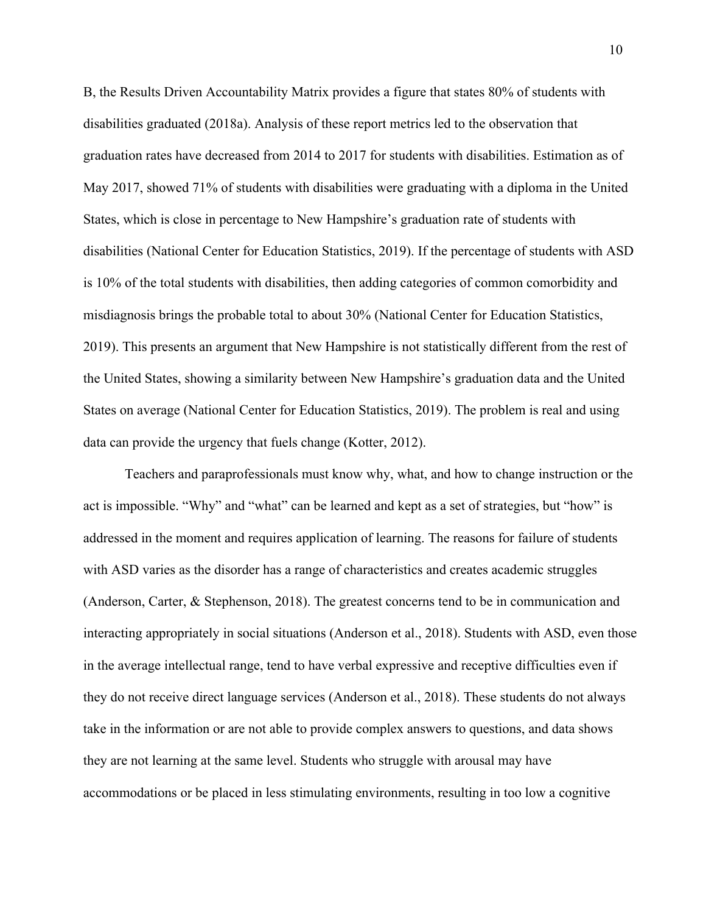B, the Results Driven Accountability Matrix provides a figure that states 80% of students with disabilities graduated (2018a). Analysis of these report metrics led to the observation that graduation rates have decreased from 2014 to 2017 for students with disabilities. Estimation as of May 2017, showed 71% of students with disabilities were graduating with a diploma in the United States, which is close in percentage to New Hampshire's graduation rate of students with disabilities (National Center for Education Statistics, 2019). If the percentage of students with ASD is 10% of the total students with disabilities, then adding categories of common comorbidity and misdiagnosis brings the probable total to about 30% (National Center for Education Statistics, 2019). This presents an argument that New Hampshire is not statistically different from the rest of the United States, showing a similarity between New Hampshire's graduation data and the United States on average (National Center for Education Statistics, 2019). The problem is real and using data can provide the urgency that fuels change (Kotter, 2012).

Teachers and paraprofessionals must know why, what, and how to change instruction or the act is impossible. "Why" and "what" can be learned and kept as a set of strategies, but "how" is addressed in the moment and requires application of learning. The reasons for failure of students with ASD varies as the disorder has a range of characteristics and creates academic struggles (Anderson, Carter, & Stephenson, 2018). The greatest concerns tend to be in communication and interacting appropriately in social situations (Anderson et al., 2018). Students with ASD, even those in the average intellectual range, tend to have verbal expressive and receptive difficulties even if they do not receive direct language services (Anderson et al., 2018). These students do not always take in the information or are not able to provide complex answers to questions, and data shows they are not learning at the same level. Students who struggle with arousal may have accommodations or be placed in less stimulating environments, resulting in too low a cognitive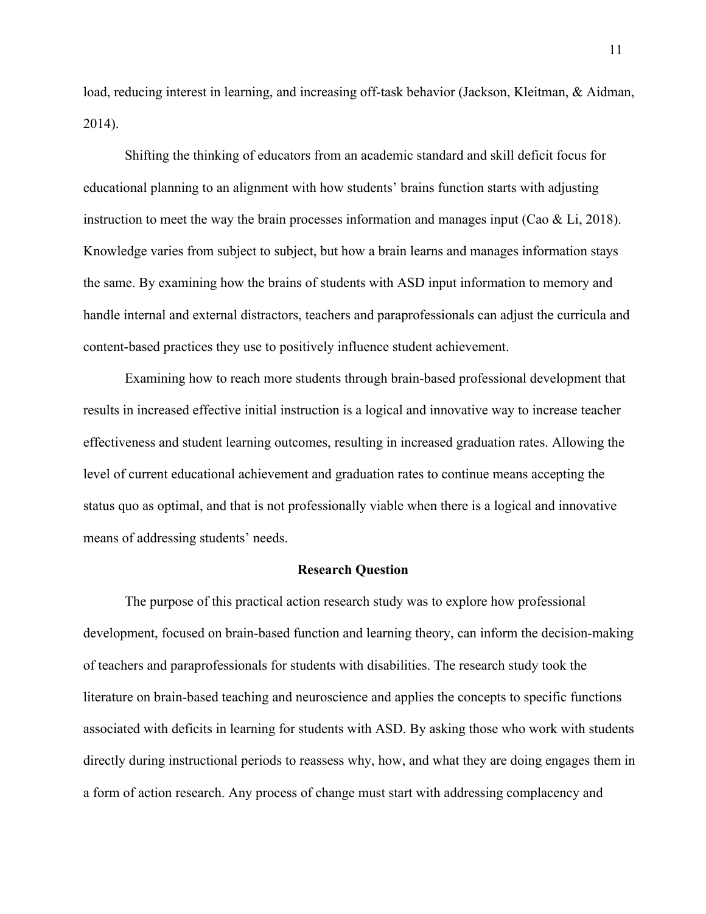load, reducing interest in learning, and increasing off-task behavior (Jackson, Kleitman, & Aidman, 2014).

Shifting the thinking of educators from an academic standard and skill deficit focus for educational planning to an alignment with how students' brains function starts with adjusting instruction to meet the way the brain processes information and manages input (Cao  $\&$  Li, 2018). Knowledge varies from subject to subject, but how a brain learns and manages information stays the same. By examining how the brains of students with ASD input information to memory and handle internal and external distractors, teachers and paraprofessionals can adjust the curricula and content-based practices they use to positively influence student achievement.

Examining how to reach more students through brain-based professional development that results in increased effective initial instruction is a logical and innovative way to increase teacher effectiveness and student learning outcomes, resulting in increased graduation rates. Allowing the level of current educational achievement and graduation rates to continue means accepting the status quo as optimal, and that is not professionally viable when there is a logical and innovative means of addressing students' needs.

#### **Research Question**

The purpose of this practical action research study was to explore how professional development, focused on brain-based function and learning theory, can inform the decision-making of teachers and paraprofessionals for students with disabilities. The research study took the literature on brain-based teaching and neuroscience and applies the concepts to specific functions associated with deficits in learning for students with ASD. By asking those who work with students directly during instructional periods to reassess why, how, and what they are doing engages them in a form of action research. Any process of change must start with addressing complacency and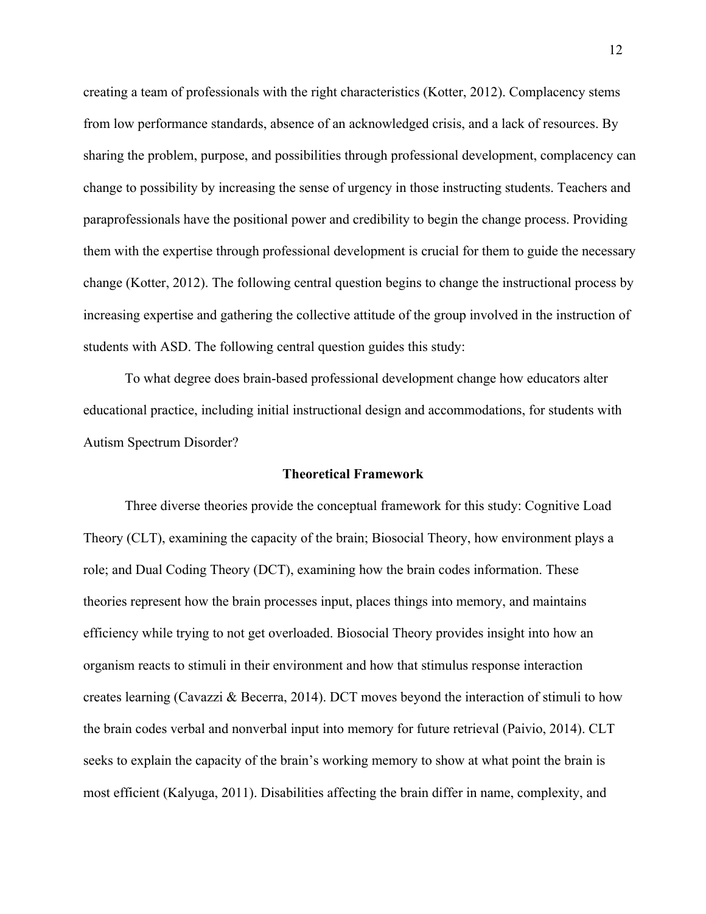creating a team of professionals with the right characteristics (Kotter, 2012). Complacency stems from low performance standards, absence of an acknowledged crisis, and a lack of resources. By sharing the problem, purpose, and possibilities through professional development, complacency can change to possibility by increasing the sense of urgency in those instructing students. Teachers and paraprofessionals have the positional power and credibility to begin the change process. Providing them with the expertise through professional development is crucial for them to guide the necessary change (Kotter, 2012). The following central question begins to change the instructional process by increasing expertise and gathering the collective attitude of the group involved in the instruction of students with ASD. The following central question guides this study:

To what degree does brain-based professional development change how educators alter educational practice, including initial instructional design and accommodations, for students with Autism Spectrum Disorder?

#### **Theoretical Framework**

Three diverse theories provide the conceptual framework for this study: Cognitive Load Theory (CLT), examining the capacity of the brain; Biosocial Theory, how environment plays a role; and Dual Coding Theory (DCT), examining how the brain codes information. These theories represent how the brain processes input, places things into memory, and maintains efficiency while trying to not get overloaded. Biosocial Theory provides insight into how an organism reacts to stimuli in their environment and how that stimulus response interaction creates learning (Cavazzi & Becerra, 2014). DCT moves beyond the interaction of stimuli to how the brain codes verbal and nonverbal input into memory for future retrieval (Paivio, 2014). CLT seeks to explain the capacity of the brain's working memory to show at what point the brain is most efficient (Kalyuga, 2011). Disabilities affecting the brain differ in name, complexity, and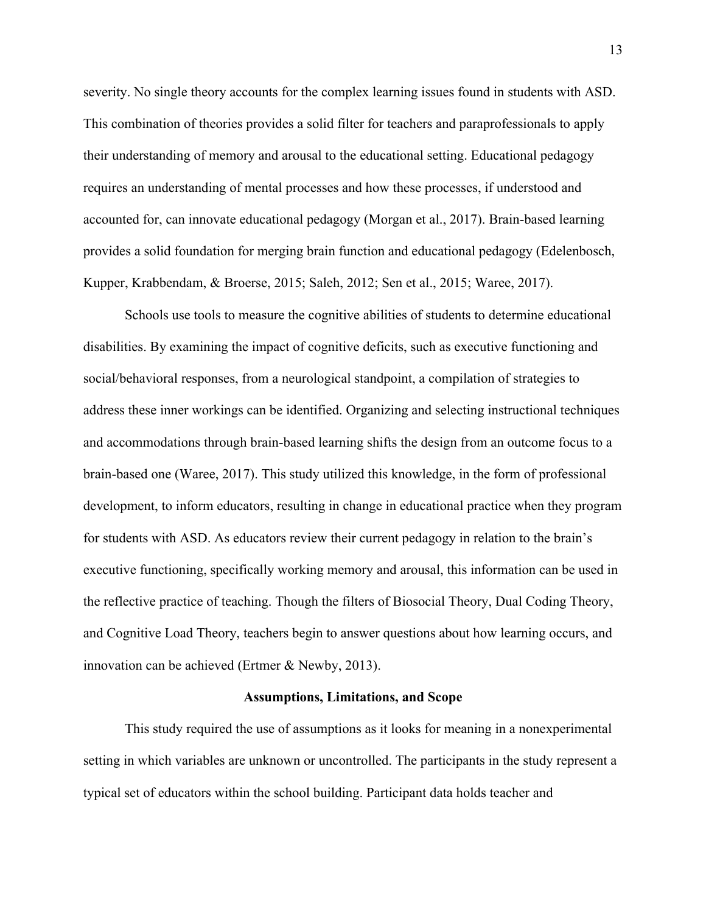severity. No single theory accounts for the complex learning issues found in students with ASD. This combination of theories provides a solid filter for teachers and paraprofessionals to apply their understanding of memory and arousal to the educational setting. Educational pedagogy requires an understanding of mental processes and how these processes, if understood and accounted for, can innovate educational pedagogy (Morgan et al., 2017). Brain-based learning provides a solid foundation for merging brain function and educational pedagogy (Edelenbosch, Kupper, Krabbendam, & Broerse, 2015; Saleh, 2012; Sen et al., 2015; Waree, 2017).

Schools use tools to measure the cognitive abilities of students to determine educational disabilities. By examining the impact of cognitive deficits, such as executive functioning and social/behavioral responses, from a neurological standpoint, a compilation of strategies to address these inner workings can be identified. Organizing and selecting instructional techniques and accommodations through brain-based learning shifts the design from an outcome focus to a brain-based one (Waree, 2017). This study utilized this knowledge, in the form of professional development, to inform educators, resulting in change in educational practice when they program for students with ASD. As educators review their current pedagogy in relation to the brain's executive functioning, specifically working memory and arousal, this information can be used in the reflective practice of teaching. Though the filters of Biosocial Theory, Dual Coding Theory, and Cognitive Load Theory, teachers begin to answer questions about how learning occurs, and innovation can be achieved (Ertmer & Newby, 2013).

#### **Assumptions, Limitations, and Scope**

This study required the use of assumptions as it looks for meaning in a nonexperimental setting in which variables are unknown or uncontrolled. The participants in the study represent a typical set of educators within the school building. Participant data holds teacher and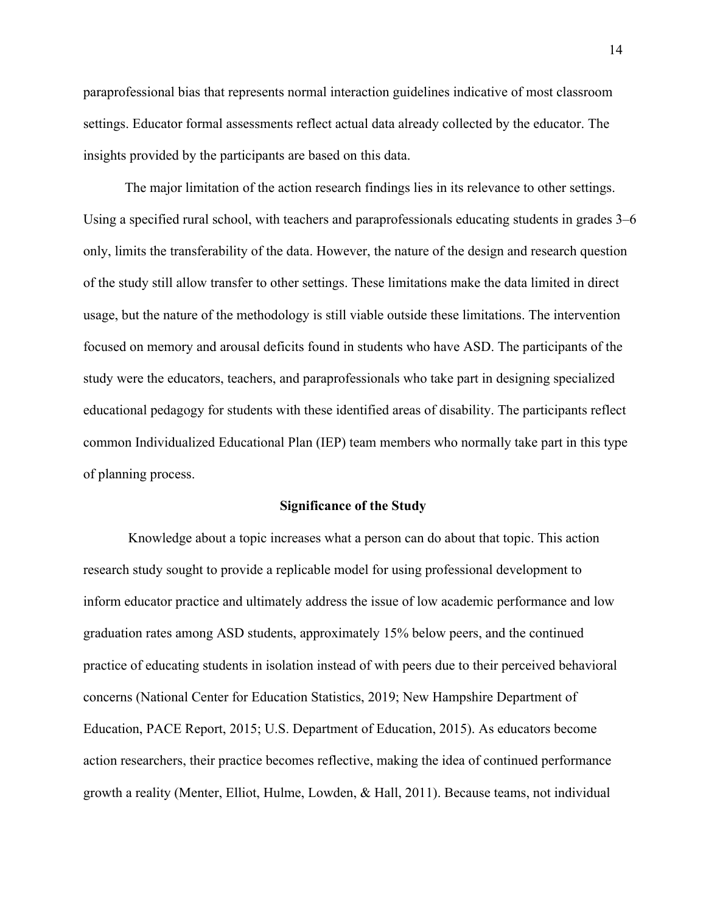paraprofessional bias that represents normal interaction guidelines indicative of most classroom settings. Educator formal assessments reflect actual data already collected by the educator. The insights provided by the participants are based on this data.

The major limitation of the action research findings lies in its relevance to other settings. Using a specified rural school, with teachers and paraprofessionals educating students in grades 3–6 only, limits the transferability of the data. However, the nature of the design and research question of the study still allow transfer to other settings. These limitations make the data limited in direct usage, but the nature of the methodology is still viable outside these limitations. The intervention focused on memory and arousal deficits found in students who have ASD. The participants of the study were the educators, teachers, and paraprofessionals who take part in designing specialized educational pedagogy for students with these identified areas of disability. The participants reflect common Individualized Educational Plan (IEP) team members who normally take part in this type of planning process.

#### **Significance of the Study**

Knowledge about a topic increases what a person can do about that topic. This action research study sought to provide a replicable model for using professional development to inform educator practice and ultimately address the issue of low academic performance and low graduation rates among ASD students, approximately 15% below peers, and the continued practice of educating students in isolation instead of with peers due to their perceived behavioral concerns (National Center for Education Statistics, 2019; New Hampshire Department of Education, PACE Report, 2015; U.S. Department of Education, 2015). As educators become action researchers, their practice becomes reflective, making the idea of continued performance growth a reality (Menter, Elliot, Hulme, Lowden, & Hall, 2011). Because teams, not individual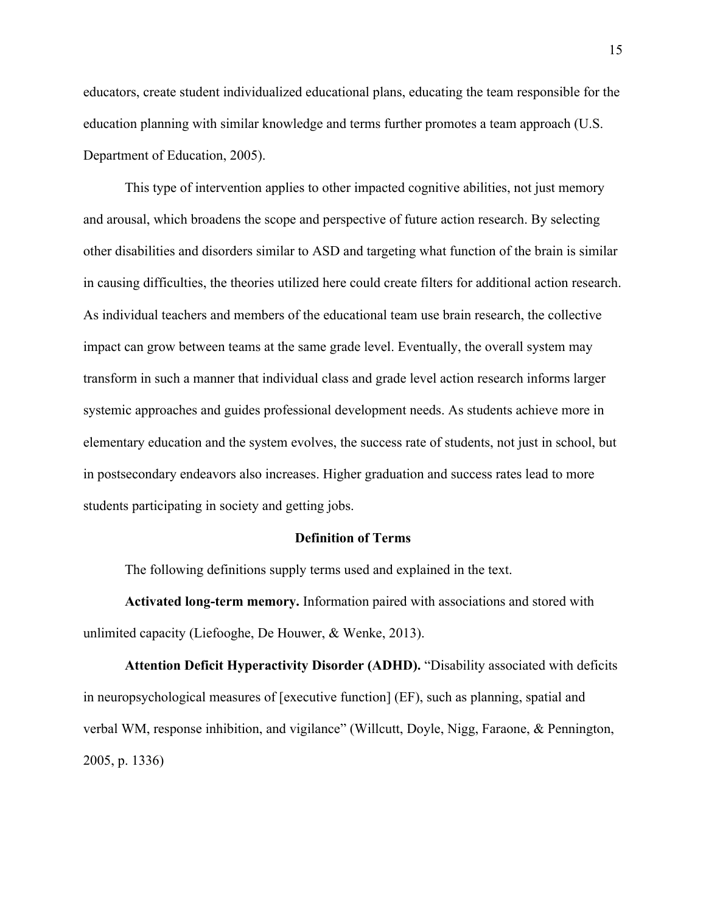educators, create student individualized educational plans, educating the team responsible for the education planning with similar knowledge and terms further promotes a team approach (U.S. Department of Education, 2005).

This type of intervention applies to other impacted cognitive abilities, not just memory and arousal, which broadens the scope and perspective of future action research. By selecting other disabilities and disorders similar to ASD and targeting what function of the brain is similar in causing difficulties, the theories utilized here could create filters for additional action research. As individual teachers and members of the educational team use brain research, the collective impact can grow between teams at the same grade level. Eventually, the overall system may transform in such a manner that individual class and grade level action research informs larger systemic approaches and guides professional development needs. As students achieve more in elementary education and the system evolves, the success rate of students, not just in school, but in postsecondary endeavors also increases. Higher graduation and success rates lead to more students participating in society and getting jobs.

#### **Definition of Terms**

The following definitions supply terms used and explained in the text.

**Activated long-term memory.** Information paired with associations and stored with unlimited capacity (Liefooghe, De Houwer, & Wenke, 2013).

**Attention Deficit Hyperactivity Disorder (ADHD).** "Disability associated with deficits in neuropsychological measures of [executive function] (EF), such as planning, spatial and verbal WM, response inhibition, and vigilance" (Willcutt, Doyle, Nigg, Faraone, & Pennington, 2005, p. 1336)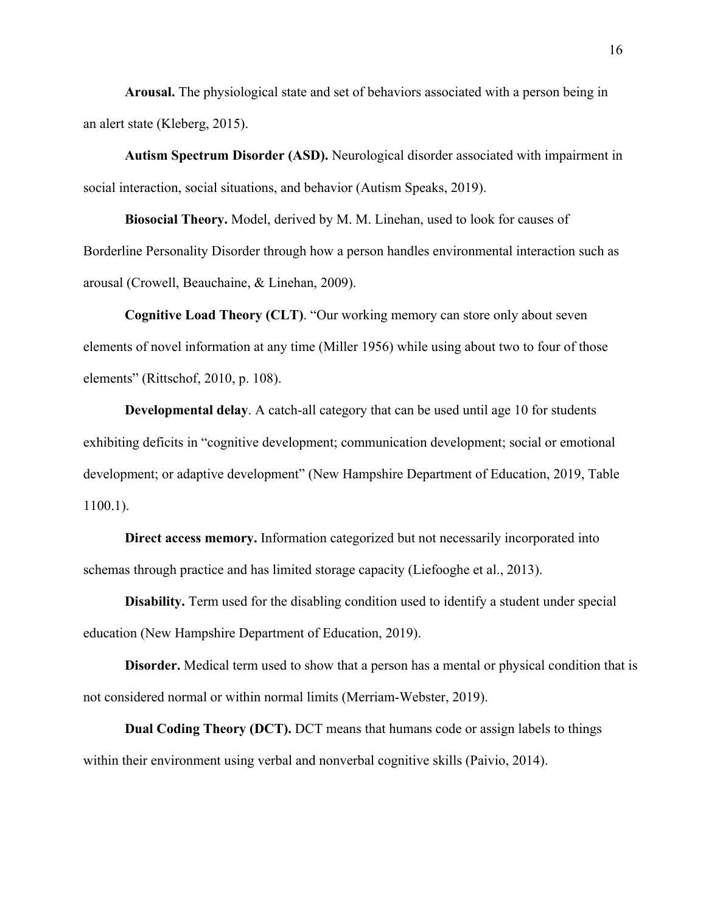**Arousal.** The physiological state and set of behaviors associated with a person being in an alert state (Kleberg, 2015).

**Autism Spectrum Disorder (ASD).** Neurological disorder associated with impairment in social interaction, social situations, and behavior (Autism Speaks, 2019).

**Biosocial Theory.** Model, derived by M. M. Linehan, used to look for causes of Borderline Personality Disorder through how a person handles environmental interaction such as arousal (Crowell, Beauchaine, & Linehan, 2009).

**Cognitive Load Theory (CLT)**. "Our working memory can store only about seven elements of novel information at any time (Miller 1956) while using about two to four of those elements" (Rittschof, 2010, p. 108).

**Developmental delay**. A catch-all category that can be used until age 10 for students exhibiting deficits in "cognitive development; communication development; social or emotional development; or adaptive development" (New Hampshire Department of Education, 2019, Table 1100.1).

**Direct access memory.** Information categorized but not necessarily incorporated into schemas through practice and has limited storage capacity (Liefooghe et al., 2013).

**Disability.** Term used for the disabling condition used to identify a student under special education (New Hampshire Department of Education, 2019).

**Disorder.** Medical term used to show that a person has a mental or physical condition that is not considered normal or within normal limits (Merriam-Webster, 2019).

**Dual Coding Theory (DCT).** DCT means that humans code or assign labels to things within their environment using verbal and nonverbal cognitive skills (Paivio, 2014).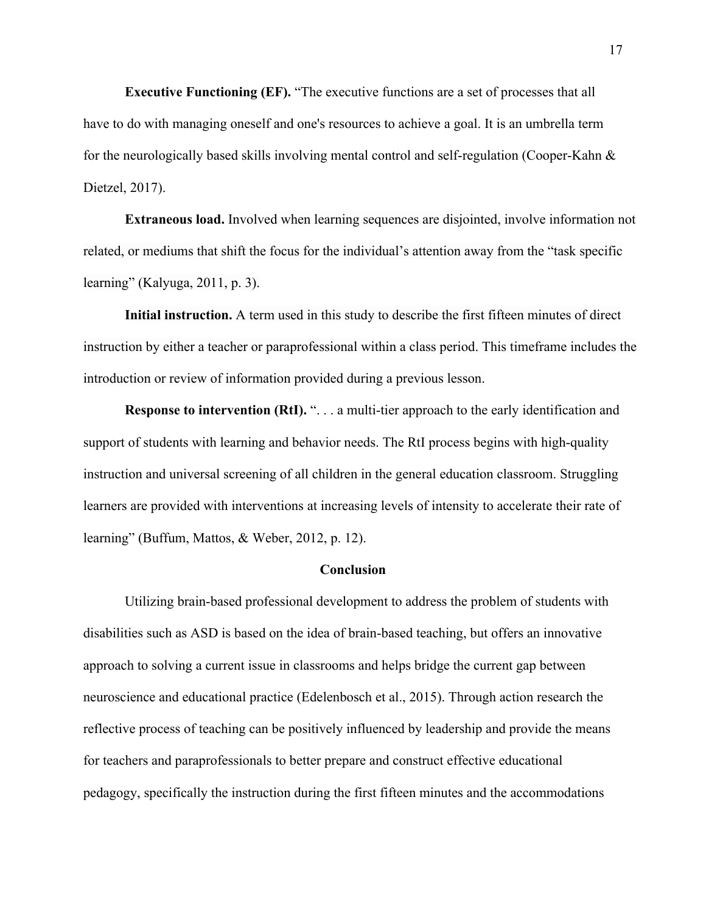**Executive Functioning (EF).** "The executive functions are a set of processes that all have to do with managing oneself and one's resources to achieve a goal. It is an umbrella term for the neurologically based skills involving mental control and self-regulation (Cooper-Kahn & Dietzel, 2017).

**Extraneous load.** Involved when learning sequences are disjointed, involve information not related, or mediums that shift the focus for the individual's attention away from the "task specific learning" (Kalyuga, 2011, p. 3).

**Initial instruction.** A term used in this study to describe the first fifteen minutes of direct instruction by either a teacher or paraprofessional within a class period. This timeframe includes the introduction or review of information provided during a previous lesson.

**Response to intervention (RtI). "... a multi-tier approach to the early identification and** support of students with learning and behavior needs. The RtI process begins with high-quality instruction and universal screening of all children in the general education classroom. Struggling learners are provided with interventions at increasing levels of intensity to accelerate their rate of learning" (Buffum, Mattos, & Weber, 2012, p. 12).

#### **Conclusion**

Utilizing brain-based professional development to address the problem of students with disabilities such as ASD is based on the idea of brain-based teaching, but offers an innovative approach to solving a current issue in classrooms and helps bridge the current gap between neuroscience and educational practice (Edelenbosch et al., 2015). Through action research the reflective process of teaching can be positively influenced by leadership and provide the means for teachers and paraprofessionals to better prepare and construct effective educational pedagogy, specifically the instruction during the first fifteen minutes and the accommodations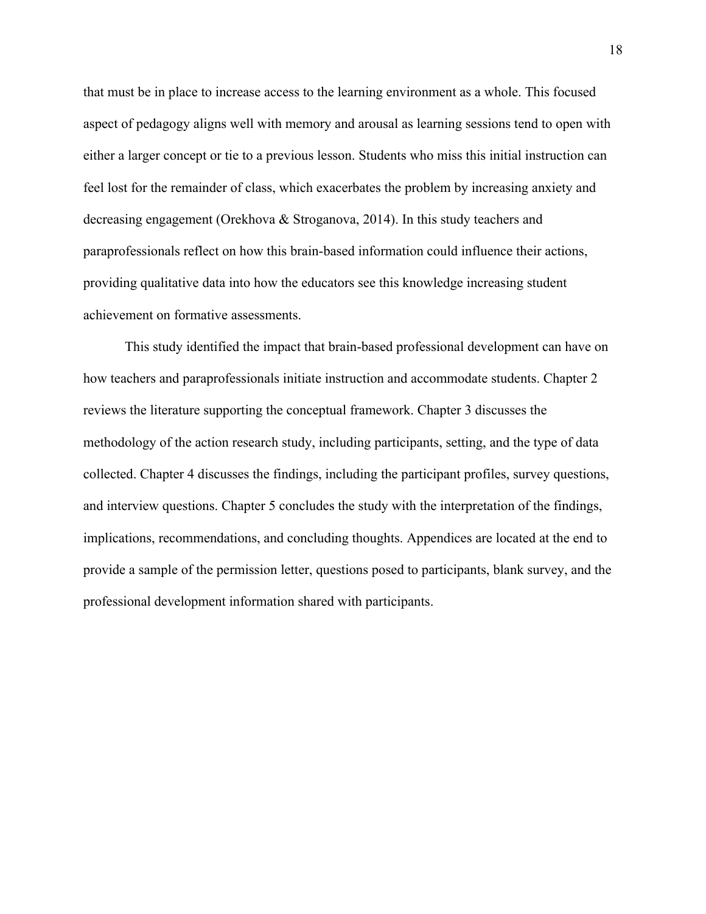that must be in place to increase access to the learning environment as a whole. This focused aspect of pedagogy aligns well with memory and arousal as learning sessions tend to open with either a larger concept or tie to a previous lesson. Students who miss this initial instruction can feel lost for the remainder of class, which exacerbates the problem by increasing anxiety and decreasing engagement (Orekhova & Stroganova, 2014). In this study teachers and paraprofessionals reflect on how this brain-based information could influence their actions, providing qualitative data into how the educators see this knowledge increasing student achievement on formative assessments.

This study identified the impact that brain-based professional development can have on how teachers and paraprofessionals initiate instruction and accommodate students. Chapter 2 reviews the literature supporting the conceptual framework. Chapter 3 discusses the methodology of the action research study, including participants, setting, and the type of data collected. Chapter 4 discusses the findings, including the participant profiles, survey questions, and interview questions. Chapter 5 concludes the study with the interpretation of the findings, implications, recommendations, and concluding thoughts. Appendices are located at the end to provide a sample of the permission letter, questions posed to participants, blank survey, and the professional development information shared with participants.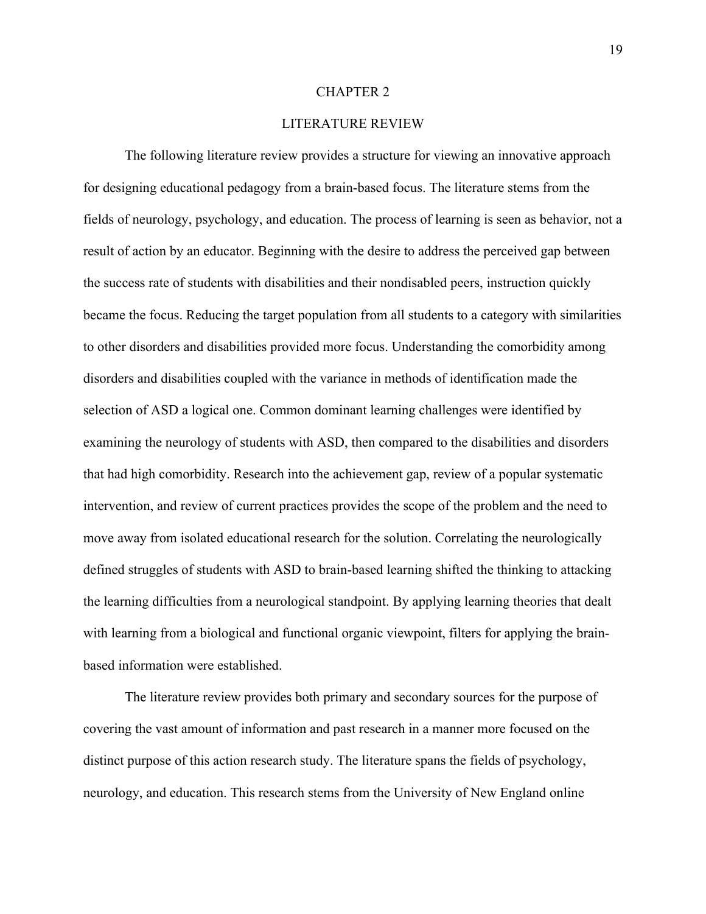#### CHAPTER 2

## LITERATURE REVIEW

The following literature review provides a structure for viewing an innovative approach for designing educational pedagogy from a brain-based focus. The literature stems from the fields of neurology, psychology, and education. The process of learning is seen as behavior, not a result of action by an educator. Beginning with the desire to address the perceived gap between the success rate of students with disabilities and their nondisabled peers, instruction quickly became the focus. Reducing the target population from all students to a category with similarities to other disorders and disabilities provided more focus. Understanding the comorbidity among disorders and disabilities coupled with the variance in methods of identification made the selection of ASD a logical one. Common dominant learning challenges were identified by examining the neurology of students with ASD, then compared to the disabilities and disorders that had high comorbidity. Research into the achievement gap, review of a popular systematic intervention, and review of current practices provides the scope of the problem and the need to move away from isolated educational research for the solution. Correlating the neurologically defined struggles of students with ASD to brain-based learning shifted the thinking to attacking the learning difficulties from a neurological standpoint. By applying learning theories that dealt with learning from a biological and functional organic viewpoint, filters for applying the brainbased information were established.

The literature review provides both primary and secondary sources for the purpose of covering the vast amount of information and past research in a manner more focused on the distinct purpose of this action research study. The literature spans the fields of psychology, neurology, and education. This research stems from the University of New England online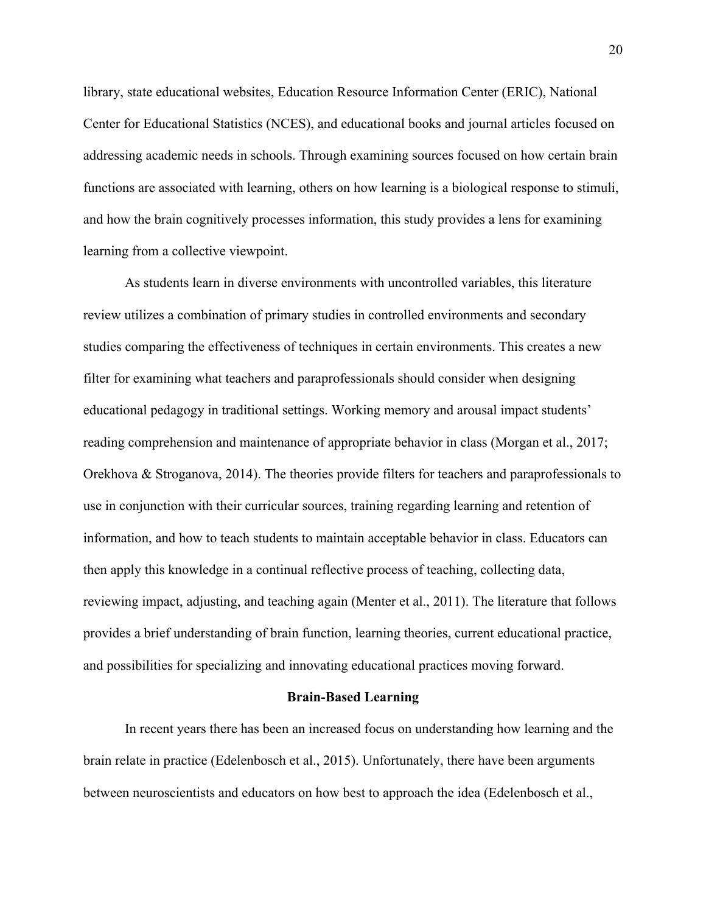library, state educational websites, Education Resource Information Center (ERIC), National Center for Educational Statistics (NCES), and educational books and journal articles focused on addressing academic needs in schools. Through examining sources focused on how certain brain functions are associated with learning, others on how learning is a biological response to stimuli, and how the brain cognitively processes information, this study provides a lens for examining learning from a collective viewpoint.

As students learn in diverse environments with uncontrolled variables, this literature review utilizes a combination of primary studies in controlled environments and secondary studies comparing the effectiveness of techniques in certain environments. This creates a new filter for examining what teachers and paraprofessionals should consider when designing educational pedagogy in traditional settings. Working memory and arousal impact students' reading comprehension and maintenance of appropriate behavior in class (Morgan et al., 2017; Orekhova & Stroganova, 2014). The theories provide filters for teachers and paraprofessionals to use in conjunction with their curricular sources, training regarding learning and retention of information, and how to teach students to maintain acceptable behavior in class. Educators can then apply this knowledge in a continual reflective process of teaching, collecting data, reviewing impact, adjusting, and teaching again (Menter et al., 2011). The literature that follows provides a brief understanding of brain function, learning theories, current educational practice, and possibilities for specializing and innovating educational practices moving forward.

#### **Brain-Based Learning**

In recent years there has been an increased focus on understanding how learning and the brain relate in practice (Edelenbosch et al., 2015). Unfortunately, there have been arguments between neuroscientists and educators on how best to approach the idea (Edelenbosch et al.,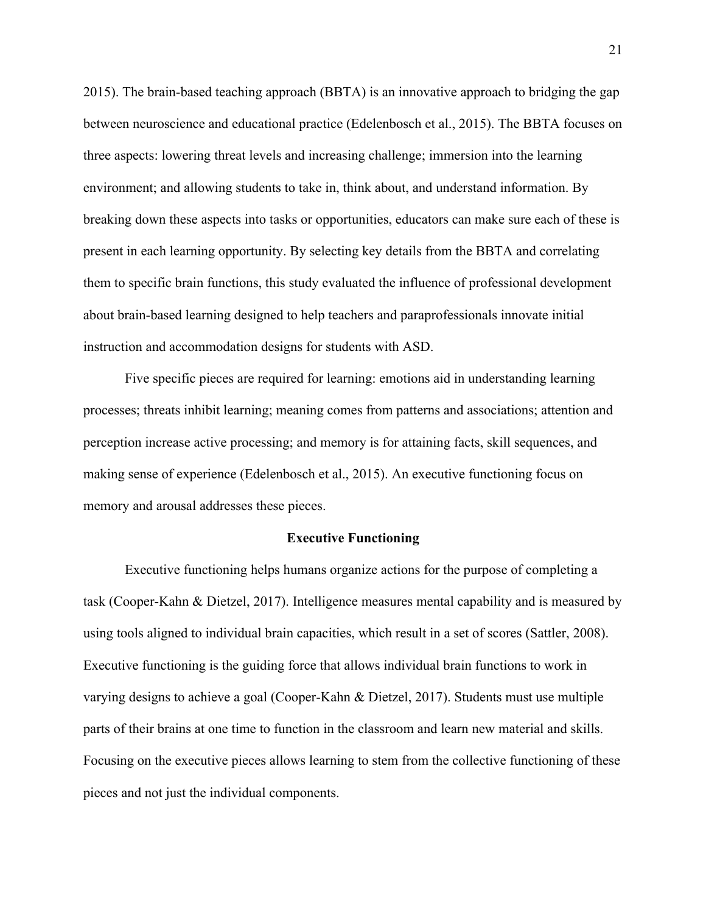2015). The brain-based teaching approach (BBTA) is an innovative approach to bridging the gap between neuroscience and educational practice (Edelenbosch et al., 2015). The BBTA focuses on three aspects: lowering threat levels and increasing challenge; immersion into the learning environment; and allowing students to take in, think about, and understand information. By breaking down these aspects into tasks or opportunities, educators can make sure each of these is present in each learning opportunity. By selecting key details from the BBTA and correlating them to specific brain functions, this study evaluated the influence of professional development about brain-based learning designed to help teachers and paraprofessionals innovate initial instruction and accommodation designs for students with ASD.

Five specific pieces are required for learning: emotions aid in understanding learning processes; threats inhibit learning; meaning comes from patterns and associations; attention and perception increase active processing; and memory is for attaining facts, skill sequences, and making sense of experience (Edelenbosch et al., 2015). An executive functioning focus on memory and arousal addresses these pieces.

#### **Executive Functioning**

Executive functioning helps humans organize actions for the purpose of completing a task (Cooper-Kahn & Dietzel, 2017). Intelligence measures mental capability and is measured by using tools aligned to individual brain capacities, which result in a set of scores (Sattler, 2008). Executive functioning is the guiding force that allows individual brain functions to work in varying designs to achieve a goal (Cooper-Kahn & Dietzel, 2017). Students must use multiple parts of their brains at one time to function in the classroom and learn new material and skills. Focusing on the executive pieces allows learning to stem from the collective functioning of these pieces and not just the individual components.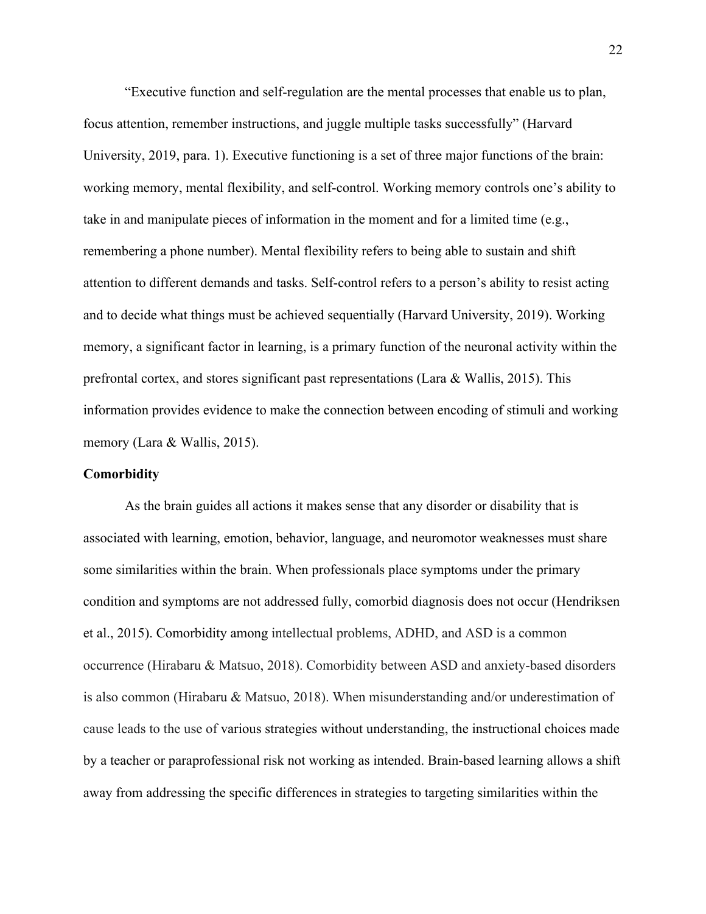"Executive function and self-regulation are the mental processes that enable us to plan, focus attention, remember instructions, and juggle multiple tasks successfully" (Harvard University, 2019, para. 1). Executive functioning is a set of three major functions of the brain: working memory, mental flexibility, and self-control. Working memory controls one's ability to take in and manipulate pieces of information in the moment and for a limited time (e.g., remembering a phone number). Mental flexibility refers to being able to sustain and shift attention to different demands and tasks. Self-control refers to a person's ability to resist acting and to decide what things must be achieved sequentially (Harvard University, 2019). Working memory, a significant factor in learning, is a primary function of the neuronal activity within the prefrontal cortex, and stores significant past representations (Lara & Wallis, 2015). This information provides evidence to make the connection between encoding of stimuli and working memory (Lara & Wallis, 2015).

#### **Comorbidity**

As the brain guides all actions it makes sense that any disorder or disability that is associated with learning, emotion, behavior, language, and neuromotor weaknesses must share some similarities within the brain. When professionals place symptoms under the primary condition and symptoms are not addressed fully, comorbid diagnosis does not occur (Hendriksen et al., 2015). Comorbidity among intellectual problems, ADHD, and ASD is a common occurrence (Hirabaru & Matsuo, 2018). Comorbidity between ASD and anxiety-based disorders is also common (Hirabaru & Matsuo, 2018). When misunderstanding and/or underestimation of cause leads to the use of various strategies without understanding, the instructional choices made by a teacher or paraprofessional risk not working as intended. Brain-based learning allows a shift away from addressing the specific differences in strategies to targeting similarities within the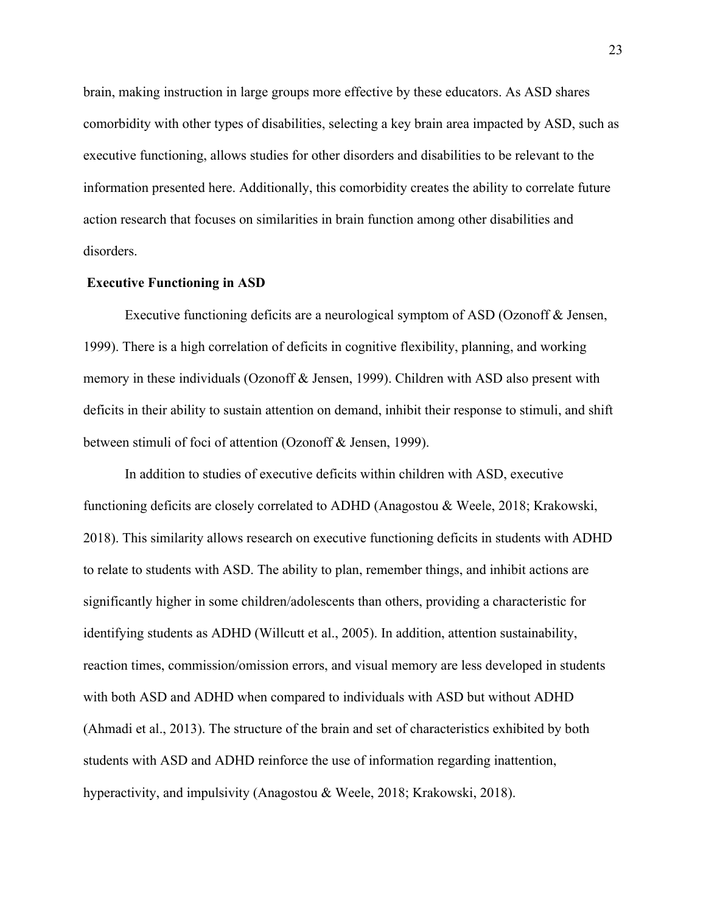brain, making instruction in large groups more effective by these educators. As ASD shares comorbidity with other types of disabilities, selecting a key brain area impacted by ASD, such as executive functioning, allows studies for other disorders and disabilities to be relevant to the information presented here. Additionally, this comorbidity creates the ability to correlate future action research that focuses on similarities in brain function among other disabilities and disorders.

#### **Executive Functioning in ASD**

Executive functioning deficits are a neurological symptom of ASD (Ozonoff & Jensen, 1999). There is a high correlation of deficits in cognitive flexibility, planning, and working memory in these individuals (Ozonoff & Jensen, 1999). Children with ASD also present with deficits in their ability to sustain attention on demand, inhibit their response to stimuli, and shift between stimuli of foci of attention (Ozonoff & Jensen, 1999).

In addition to studies of executive deficits within children with ASD, executive functioning deficits are closely correlated to ADHD (Anagostou & Weele, 2018; Krakowski, 2018). This similarity allows research on executive functioning deficits in students with ADHD to relate to students with ASD. The ability to plan, remember things, and inhibit actions are significantly higher in some children/adolescents than others, providing a characteristic for identifying students as ADHD (Willcutt et al., 2005). In addition, attention sustainability, reaction times, commission/omission errors, and visual memory are less developed in students with both ASD and ADHD when compared to individuals with ASD but without ADHD (Ahmadi et al., 2013). The structure of the brain and set of characteristics exhibited by both students with ASD and ADHD reinforce the use of information regarding inattention, hyperactivity, and impulsivity (Anagostou & Weele, 2018; Krakowski, 2018).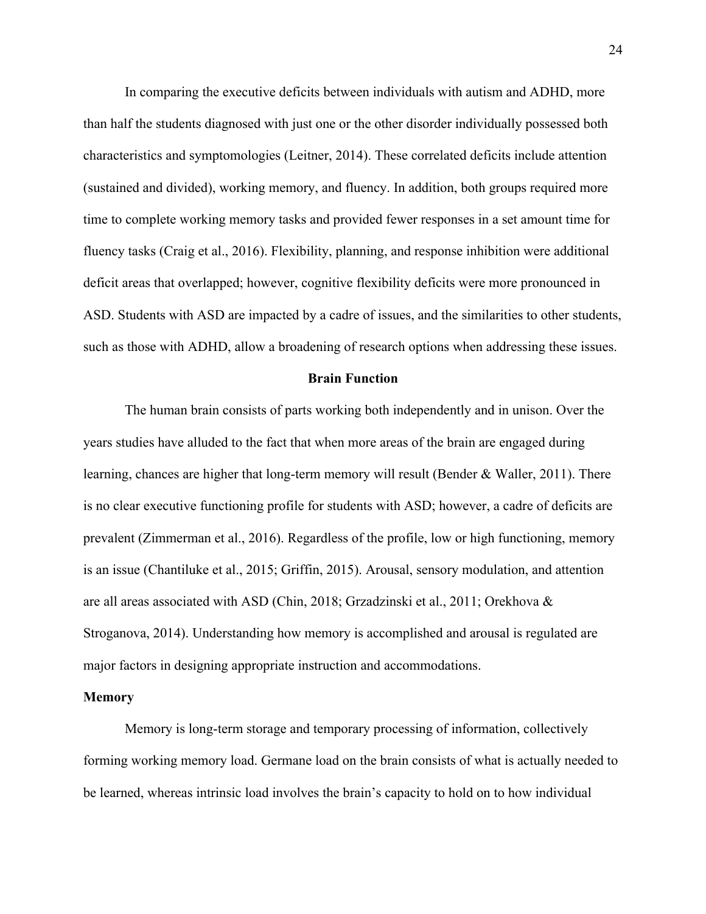In comparing the executive deficits between individuals with autism and ADHD, more than half the students diagnosed with just one or the other disorder individually possessed both characteristics and symptomologies (Leitner, 2014). These correlated deficits include attention (sustained and divided), working memory, and fluency. In addition, both groups required more time to complete working memory tasks and provided fewer responses in a set amount time for fluency tasks (Craig et al., 2016). Flexibility, planning, and response inhibition were additional deficit areas that overlapped; however, cognitive flexibility deficits were more pronounced in ASD. Students with ASD are impacted by a cadre of issues, and the similarities to other students, such as those with ADHD, allow a broadening of research options when addressing these issues.

#### **Brain Function**

The human brain consists of parts working both independently and in unison. Over the years studies have alluded to the fact that when more areas of the brain are engaged during learning, chances are higher that long-term memory will result (Bender & Waller, 2011). There is no clear executive functioning profile for students with ASD; however, a cadre of deficits are prevalent (Zimmerman et al., 2016). Regardless of the profile, low or high functioning, memory is an issue (Chantiluke et al., 2015; Griffin, 2015). Arousal, sensory modulation, and attention are all areas associated with ASD (Chin, 2018; Grzadzinski et al., 2011; Orekhova & Stroganova, 2014). Understanding how memory is accomplished and arousal is regulated are major factors in designing appropriate instruction and accommodations.

### **Memory**

Memory is long-term storage and temporary processing of information, collectively forming working memory load. Germane load on the brain consists of what is actually needed to be learned, whereas intrinsic load involves the brain's capacity to hold on to how individual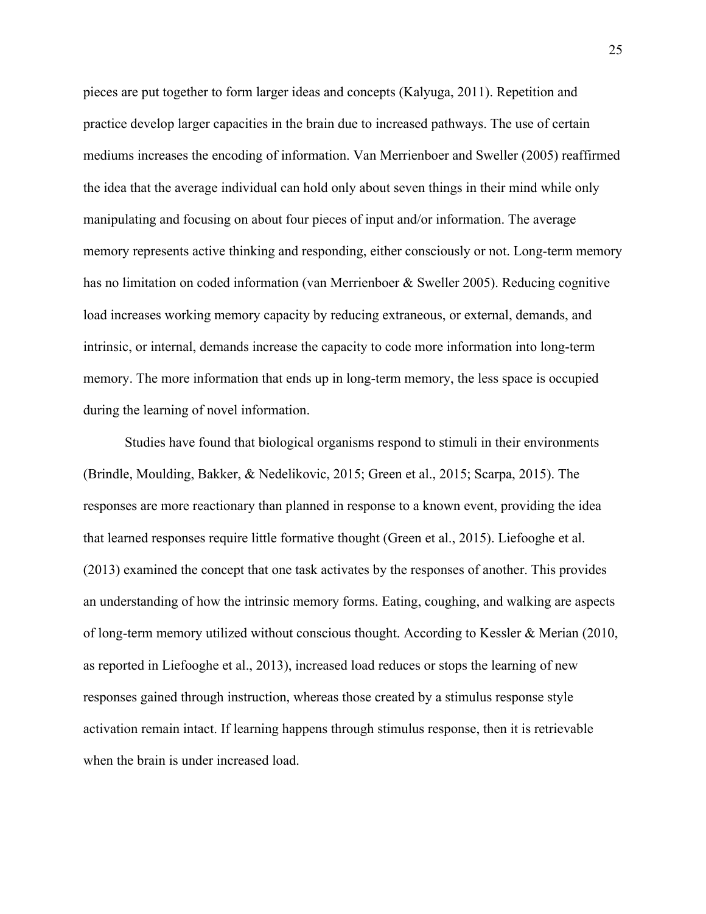pieces are put together to form larger ideas and concepts (Kalyuga, 2011). Repetition and practice develop larger capacities in the brain due to increased pathways. The use of certain mediums increases the encoding of information. Van Merrienboer and Sweller (2005) reaffirmed the idea that the average individual can hold only about seven things in their mind while only manipulating and focusing on about four pieces of input and/or information. The average memory represents active thinking and responding, either consciously or not. Long-term memory has no limitation on coded information (van Merrienboer & Sweller 2005). Reducing cognitive load increases working memory capacity by reducing extraneous, or external, demands, and intrinsic, or internal, demands increase the capacity to code more information into long-term memory. The more information that ends up in long-term memory, the less space is occupied during the learning of novel information.

Studies have found that biological organisms respond to stimuli in their environments (Brindle, Moulding, Bakker, & Nedelikovic, 2015; Green et al., 2015; Scarpa, 2015). The responses are more reactionary than planned in response to a known event, providing the idea that learned responses require little formative thought (Green et al., 2015). Liefooghe et al. (2013) examined the concept that one task activates by the responses of another. This provides an understanding of how the intrinsic memory forms. Eating, coughing, and walking are aspects of long-term memory utilized without conscious thought. According to Kessler & Merian (2010, as reported in Liefooghe et al., 2013), increased load reduces or stops the learning of new responses gained through instruction, whereas those created by a stimulus response style activation remain intact. If learning happens through stimulus response, then it is retrievable when the brain is under increased load.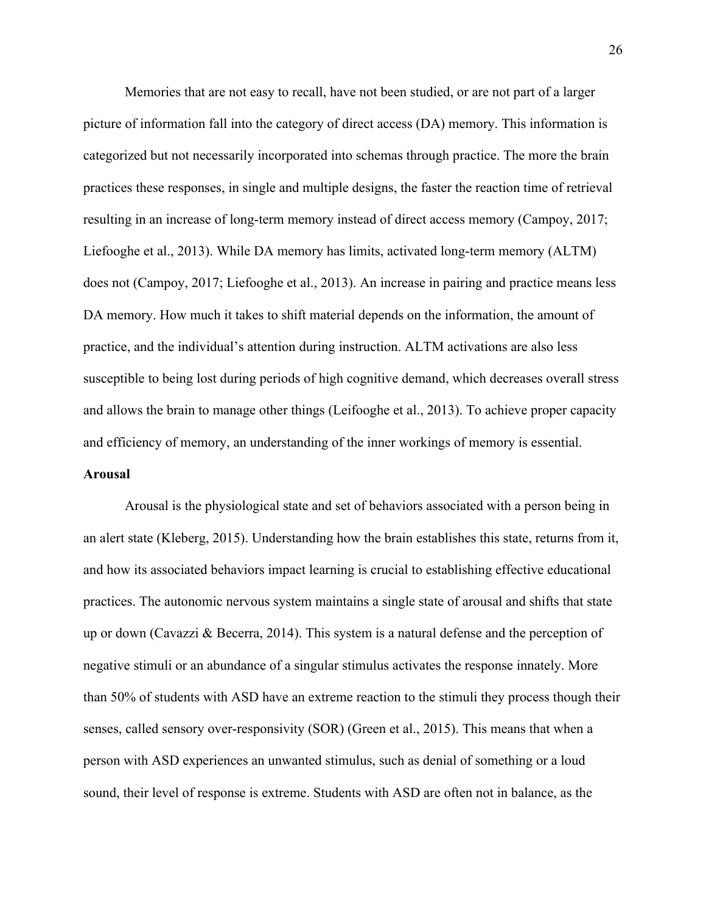Memories that are not easy to recall, have not been studied, or are not part of a larger picture of information fall into the category of direct access (DA) memory. This information is categorized but not necessarily incorporated into schemas through practice. The more the brain practices these responses, in single and multiple designs, the faster the reaction time of retrieval resulting in an increase of long-term memory instead of direct access memory (Campoy, 2017; Liefooghe et al., 2013). While DA memory has limits, activated long-term memory (ALTM) does not (Campoy, 2017; Liefooghe et al., 2013). An increase in pairing and practice means less DA memory. How much it takes to shift material depends on the information, the amount of practice, and the individual's attention during instruction. ALTM activations are also less susceptible to being lost during periods of high cognitive demand, which decreases overall stress and allows the brain to manage other things (Leifooghe et al., 2013). To achieve proper capacity and efficiency of memory, an understanding of the inner workings of memory is essential.

# **Arousal**

Arousal is the physiological state and set of behaviors associated with a person being in an alert state (Kleberg, 2015). Understanding how the brain establishes this state, returns from it, and how its associated behaviors impact learning is crucial to establishing effective educational practices. The autonomic nervous system maintains a single state of arousal and shifts that state up or down (Cavazzi & Becerra, 2014). This system is a natural defense and the perception of negative stimuli or an abundance of a singular stimulus activates the response innately. More than 50% of students with ASD have an extreme reaction to the stimuli they process though their senses, called sensory over-responsivity (SOR) (Green et al., 2015). This means that when a person with ASD experiences an unwanted stimulus, such as denial of something or a loud sound, their level of response is extreme. Students with ASD are often not in balance, as the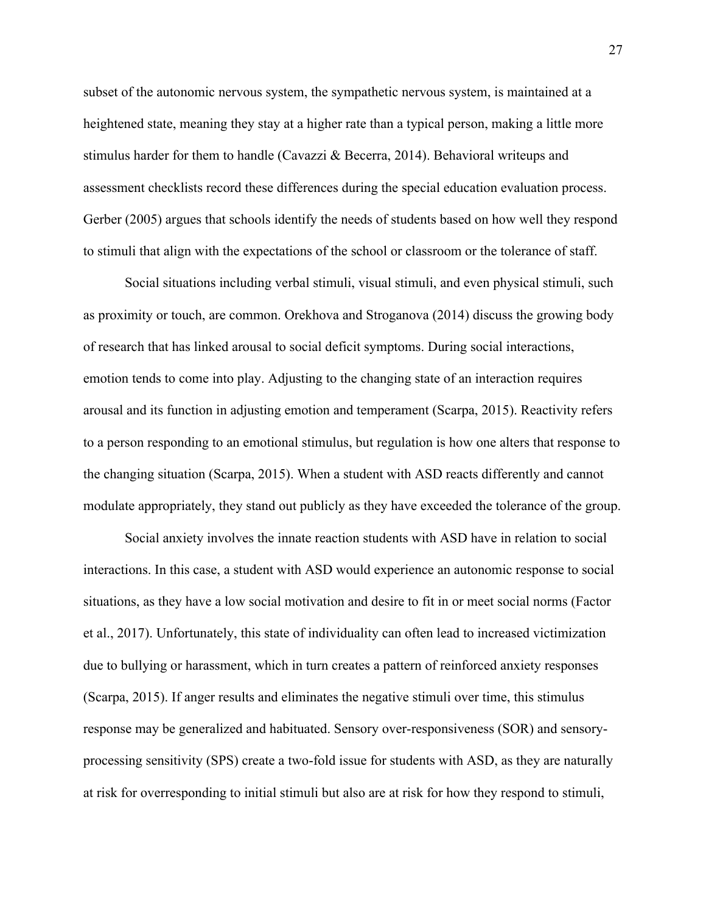subset of the autonomic nervous system, the sympathetic nervous system, is maintained at a heightened state, meaning they stay at a higher rate than a typical person, making a little more stimulus harder for them to handle (Cavazzi & Becerra, 2014). Behavioral writeups and assessment checklists record these differences during the special education evaluation process. Gerber (2005) argues that schools identify the needs of students based on how well they respond to stimuli that align with the expectations of the school or classroom or the tolerance of staff.

Social situations including verbal stimuli, visual stimuli, and even physical stimuli, such as proximity or touch, are common. Orekhova and Stroganova (2014) discuss the growing body of research that has linked arousal to social deficit symptoms. During social interactions, emotion tends to come into play. Adjusting to the changing state of an interaction requires arousal and its function in adjusting emotion and temperament (Scarpa, 2015). Reactivity refers to a person responding to an emotional stimulus, but regulation is how one alters that response to the changing situation (Scarpa, 2015). When a student with ASD reacts differently and cannot modulate appropriately, they stand out publicly as they have exceeded the tolerance of the group.

Social anxiety involves the innate reaction students with ASD have in relation to social interactions. In this case, a student with ASD would experience an autonomic response to social situations, as they have a low social motivation and desire to fit in or meet social norms (Factor et al., 2017). Unfortunately, this state of individuality can often lead to increased victimization due to bullying or harassment, which in turn creates a pattern of reinforced anxiety responses (Scarpa, 2015). If anger results and eliminates the negative stimuli over time, this stimulus response may be generalized and habituated. Sensory over-responsiveness (SOR) and sensoryprocessing sensitivity (SPS) create a two-fold issue for students with ASD, as they are naturally at risk for overresponding to initial stimuli but also are at risk for how they respond to stimuli,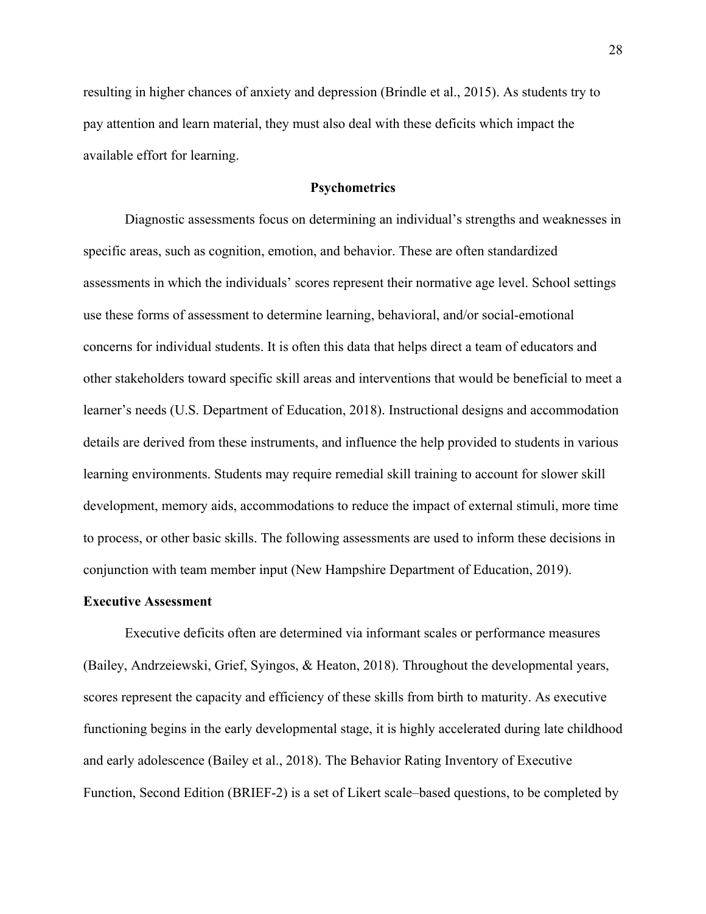resulting in higher chances of anxiety and depression (Brindle et al., 2015). As students try to pay attention and learn material, they must also deal with these deficits which impact the available effort for learning.

# **Psychometrics**

Diagnostic assessments focus on determining an individual's strengths and weaknesses in specific areas, such as cognition, emotion, and behavior. These are often standardized assessments in which the individuals' scores represent their normative age level. School settings use these forms of assessment to determine learning, behavioral, and/or social-emotional concerns for individual students. It is often this data that helps direct a team of educators and other stakeholders toward specific skill areas and interventions that would be beneficial to meet a learner's needs (U.S. Department of Education, 2018). Instructional designs and accommodation details are derived from these instruments, and influence the help provided to students in various learning environments. Students may require remedial skill training to account for slower skill development, memory aids, accommodations to reduce the impact of external stimuli, more time to process, or other basic skills. The following assessments are used to inform these decisions in conjunction with team member input (New Hampshire Department of Education, 2019).

### **Executive Assessment**

Executive deficits often are determined via informant scales or performance measures (Bailey, Andrzeiewski, Grief, Syingos, & Heaton, 2018). Throughout the developmental years, scores represent the capacity and efficiency of these skills from birth to maturity. As executive functioning begins in the early developmental stage, it is highly accelerated during late childhood and early adolescence (Bailey et al., 2018). The Behavior Rating Inventory of Executive Function, Second Edition (BRIEF-2) is a set of Likert scale–based questions, to be completed by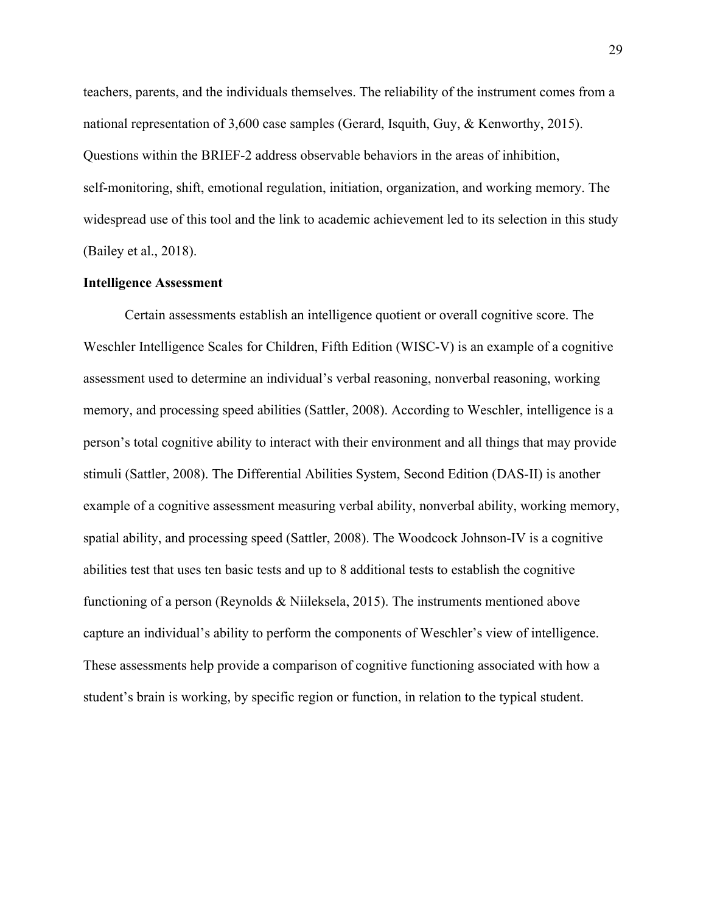teachers, parents, and the individuals themselves. The reliability of the instrument comes from a national representation of 3,600 case samples (Gerard, Isquith, Guy, & Kenworthy, 2015). Questions within the BRIEF-2 address observable behaviors in the areas of inhibition, self-monitoring, shift, emotional regulation, initiation, organization, and working memory. The widespread use of this tool and the link to academic achievement led to its selection in this study (Bailey et al., 2018).

### **Intelligence Assessment**

Certain assessments establish an intelligence quotient or overall cognitive score. The Weschler Intelligence Scales for Children, Fifth Edition (WISC-V) is an example of a cognitive assessment used to determine an individual's verbal reasoning, nonverbal reasoning, working memory, and processing speed abilities (Sattler, 2008). According to Weschler, intelligence is a person's total cognitive ability to interact with their environment and all things that may provide stimuli (Sattler, 2008). The Differential Abilities System, Second Edition (DAS-II) is another example of a cognitive assessment measuring verbal ability, nonverbal ability, working memory, spatial ability, and processing speed (Sattler, 2008). The Woodcock Johnson-IV is a cognitive abilities test that uses ten basic tests and up to 8 additional tests to establish the cognitive functioning of a person (Reynolds & Niileksela, 2015). The instruments mentioned above capture an individual's ability to perform the components of Weschler's view of intelligence. These assessments help provide a comparison of cognitive functioning associated with how a student's brain is working, by specific region or function, in relation to the typical student.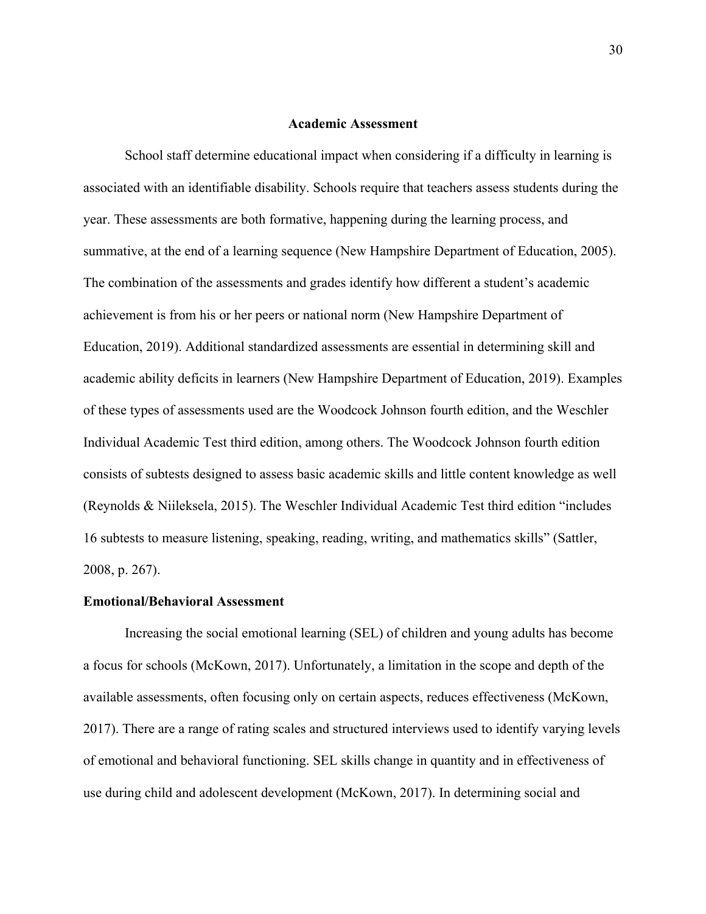# **Academic Assessment**

School staff determine educational impact when considering if a difficulty in learning is associated with an identifiable disability. Schools require that teachers assess students during the year. These assessments are both formative, happening during the learning process, and summative, at the end of a learning sequence (New Hampshire Department of Education, 2005). The combination of the assessments and grades identify how different a student's academic achievement is from his or her peers or national norm (New Hampshire Department of Education, 2019). Additional standardized assessments are essential in determining skill and academic ability deficits in learners (New Hampshire Department of Education, 2019). Examples of these types of assessments used are the Woodcock Johnson fourth edition, and the Weschler Individual Academic Test third edition, among others. The Woodcock Johnson fourth edition consists of subtests designed to assess basic academic skills and little content knowledge as well (Reynolds & Niileksela, 2015). The Weschler Individual Academic Test third edition "includes 16 subtests to measure listening, speaking, reading, writing, and mathematics skills" (Sattler, 2008, p. 267).

#### **Emotional/Behavioral Assessment**

Increasing the social emotional learning (SEL) of children and young adults has become a focus for schools (McKown, 2017). Unfortunately, a limitation in the scope and depth of the available assessments, often focusing only on certain aspects, reduces effectiveness (McKown, 2017). There are a range of rating scales and structured interviews used to identify varying levels of emotional and behavioral functioning. SEL skills change in quantity and in effectiveness of use during child and adolescent development (McKown, 2017). In determining social and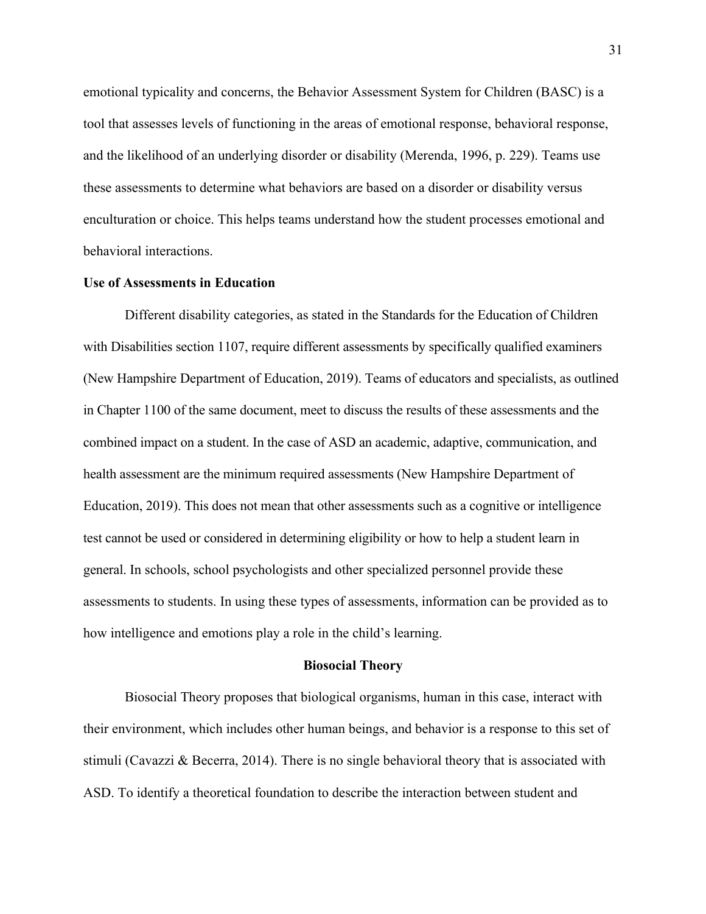emotional typicality and concerns, the Behavior Assessment System for Children (BASC) is a tool that assesses levels of functioning in the areas of emotional response, behavioral response, and the likelihood of an underlying disorder or disability (Merenda, 1996, p. 229). Teams use these assessments to determine what behaviors are based on a disorder or disability versus enculturation or choice. This helps teams understand how the student processes emotional and behavioral interactions.

# **Use of Assessments in Education**

Different disability categories, as stated in the Standards for the Education of Children with Disabilities section 1107, require different assessments by specifically qualified examiners (New Hampshire Department of Education, 2019). Teams of educators and specialists, as outlined in Chapter 1100 of the same document, meet to discuss the results of these assessments and the combined impact on a student. In the case of ASD an academic, adaptive, communication, and health assessment are the minimum required assessments (New Hampshire Department of Education, 2019). This does not mean that other assessments such as a cognitive or intelligence test cannot be used or considered in determining eligibility or how to help a student learn in general. In schools, school psychologists and other specialized personnel provide these assessments to students. In using these types of assessments, information can be provided as to how intelligence and emotions play a role in the child's learning.

## **Biosocial Theory**

Biosocial Theory proposes that biological organisms, human in this case, interact with their environment, which includes other human beings, and behavior is a response to this set of stimuli (Cavazzi & Becerra, 2014). There is no single behavioral theory that is associated with ASD. To identify a theoretical foundation to describe the interaction between student and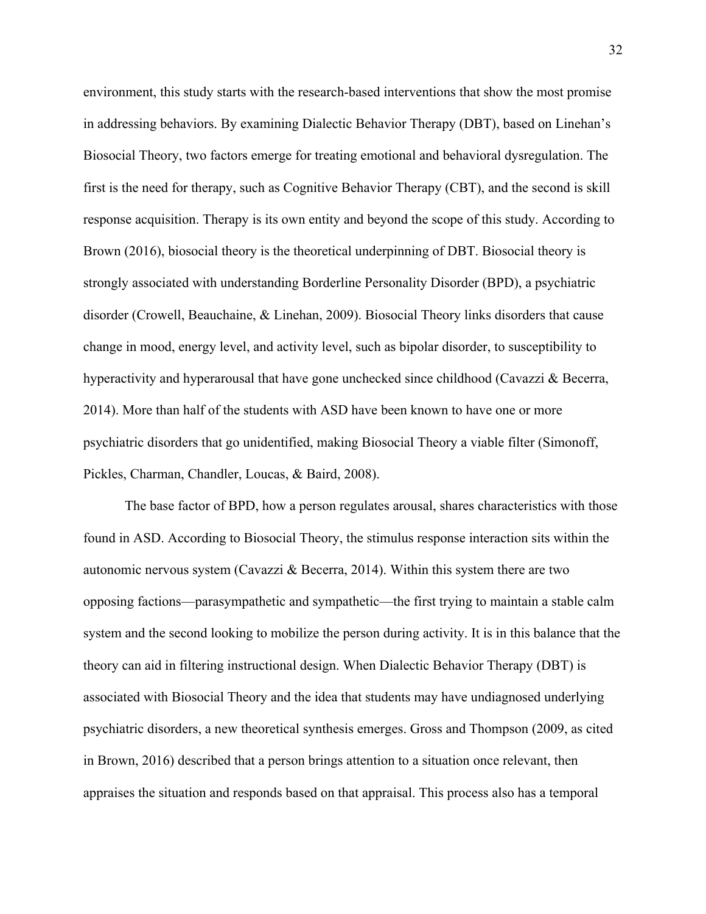environment, this study starts with the research-based interventions that show the most promise in addressing behaviors. By examining Dialectic Behavior Therapy (DBT), based on Linehan's Biosocial Theory, two factors emerge for treating emotional and behavioral dysregulation. The first is the need for therapy, such as Cognitive Behavior Therapy (CBT), and the second is skill response acquisition. Therapy is its own entity and beyond the scope of this study. According to Brown (2016), biosocial theory is the theoretical underpinning of DBT. Biosocial theory is strongly associated with understanding Borderline Personality Disorder (BPD), a psychiatric disorder (Crowell, Beauchaine, & Linehan, 2009). Biosocial Theory links disorders that cause change in mood, energy level, and activity level, such as bipolar disorder, to susceptibility to hyperactivity and hyperarousal that have gone unchecked since childhood (Cavazzi & Becerra, 2014). More than half of the students with ASD have been known to have one or more psychiatric disorders that go unidentified, making Biosocial Theory a viable filter (Simonoff, Pickles, Charman, Chandler, Loucas, & Baird, 2008).

The base factor of BPD, how a person regulates arousal, shares characteristics with those found in ASD. According to Biosocial Theory, the stimulus response interaction sits within the autonomic nervous system (Cavazzi & Becerra, 2014). Within this system there are two opposing factions—parasympathetic and sympathetic—the first trying to maintain a stable calm system and the second looking to mobilize the person during activity. It is in this balance that the theory can aid in filtering instructional design. When Dialectic Behavior Therapy (DBT) is associated with Biosocial Theory and the idea that students may have undiagnosed underlying psychiatric disorders, a new theoretical synthesis emerges. Gross and Thompson (2009, as cited in Brown, 2016) described that a person brings attention to a situation once relevant, then appraises the situation and responds based on that appraisal. This process also has a temporal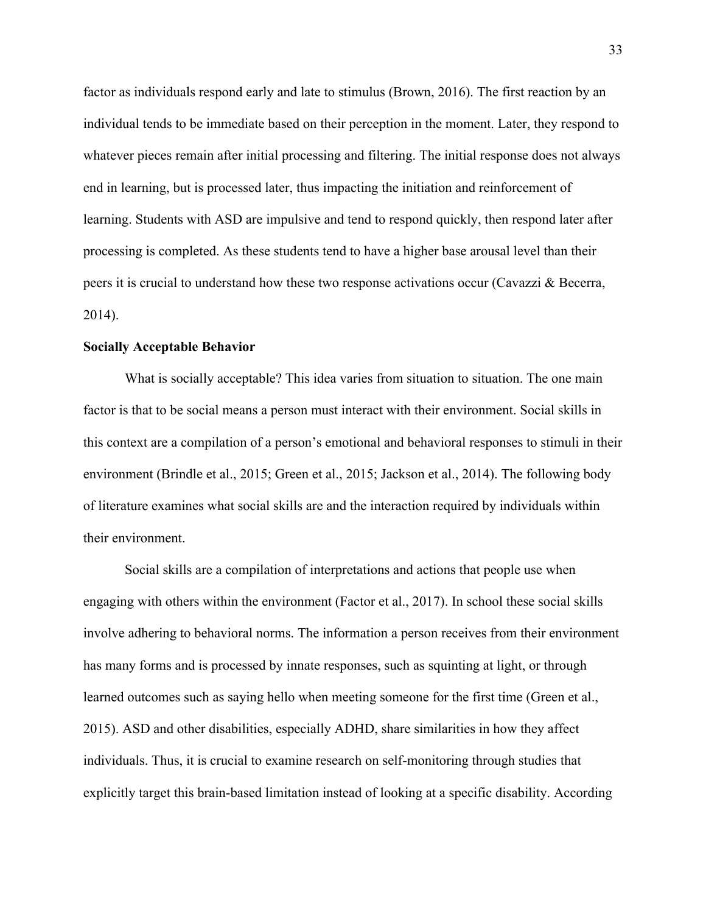factor as individuals respond early and late to stimulus (Brown, 2016). The first reaction by an individual tends to be immediate based on their perception in the moment. Later, they respond to whatever pieces remain after initial processing and filtering. The initial response does not always end in learning, but is processed later, thus impacting the initiation and reinforcement of learning. Students with ASD are impulsive and tend to respond quickly, then respond later after processing is completed. As these students tend to have a higher base arousal level than their peers it is crucial to understand how these two response activations occur (Cavazzi & Becerra, 2014).

# **Socially Acceptable Behavior**

What is socially acceptable? This idea varies from situation to situation. The one main factor is that to be social means a person must interact with their environment. Social skills in this context are a compilation of a person's emotional and behavioral responses to stimuli in their environment (Brindle et al., 2015; Green et al., 2015; Jackson et al., 2014). The following body of literature examines what social skills are and the interaction required by individuals within their environment.

Social skills are a compilation of interpretations and actions that people use when engaging with others within the environment (Factor et al., 2017). In school these social skills involve adhering to behavioral norms. The information a person receives from their environment has many forms and is processed by innate responses, such as squinting at light, or through learned outcomes such as saying hello when meeting someone for the first time (Green et al., 2015). ASD and other disabilities, especially ADHD, share similarities in how they affect individuals. Thus, it is crucial to examine research on self-monitoring through studies that explicitly target this brain-based limitation instead of looking at a specific disability. According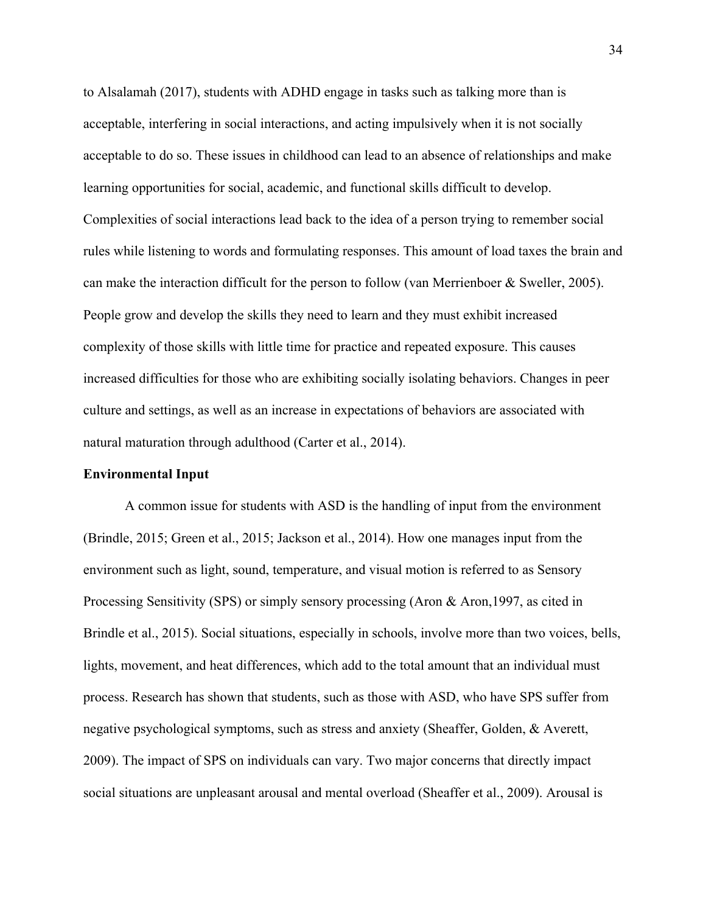to Alsalamah (2017), students with ADHD engage in tasks such as talking more than is acceptable, interfering in social interactions, and acting impulsively when it is not socially acceptable to do so. These issues in childhood can lead to an absence of relationships and make learning opportunities for social, academic, and functional skills difficult to develop. Complexities of social interactions lead back to the idea of a person trying to remember social rules while listening to words and formulating responses. This amount of load taxes the brain and can make the interaction difficult for the person to follow (van Merrienboer & Sweller, 2005). People grow and develop the skills they need to learn and they must exhibit increased complexity of those skills with little time for practice and repeated exposure. This causes increased difficulties for those who are exhibiting socially isolating behaviors. Changes in peer culture and settings, as well as an increase in expectations of behaviors are associated with natural maturation through adulthood (Carter et al., 2014).

# **Environmental Input**

A common issue for students with ASD is the handling of input from the environment (Brindle, 2015; Green et al., 2015; Jackson et al., 2014). How one manages input from the environment such as light, sound, temperature, and visual motion is referred to as Sensory Processing Sensitivity (SPS) or simply sensory processing (Aron & Aron,1997, as cited in Brindle et al., 2015). Social situations, especially in schools, involve more than two voices, bells, lights, movement, and heat differences, which add to the total amount that an individual must process. Research has shown that students, such as those with ASD, who have SPS suffer from negative psychological symptoms, such as stress and anxiety (Sheaffer, Golden, & Averett, 2009). The impact of SPS on individuals can vary. Two major concerns that directly impact social situations are unpleasant arousal and mental overload (Sheaffer et al., 2009). Arousal is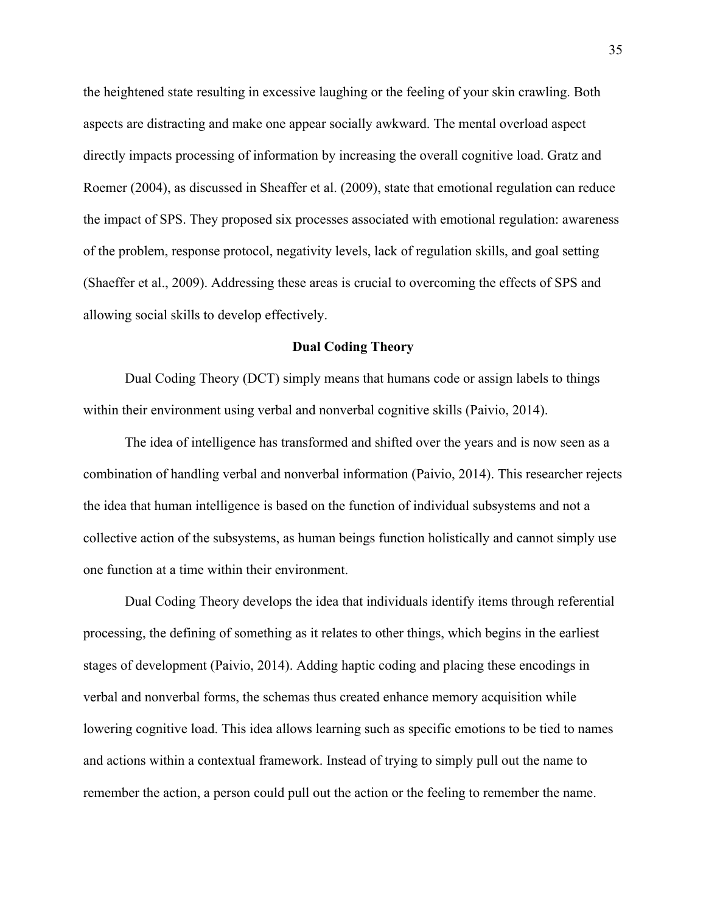the heightened state resulting in excessive laughing or the feeling of your skin crawling. Both aspects are distracting and make one appear socially awkward. The mental overload aspect directly impacts processing of information by increasing the overall cognitive load. Gratz and Roemer (2004), as discussed in Sheaffer et al. (2009), state that emotional regulation can reduce the impact of SPS. They proposed six processes associated with emotional regulation: awareness of the problem, response protocol, negativity levels, lack of regulation skills, and goal setting (Shaeffer et al., 2009). Addressing these areas is crucial to overcoming the effects of SPS and allowing social skills to develop effectively.

# **Dual Coding Theory**

Dual Coding Theory (DCT) simply means that humans code or assign labels to things within their environment using verbal and nonverbal cognitive skills (Paivio, 2014).

The idea of intelligence has transformed and shifted over the years and is now seen as a combination of handling verbal and nonverbal information (Paivio, 2014). This researcher rejects the idea that human intelligence is based on the function of individual subsystems and not a collective action of the subsystems, as human beings function holistically and cannot simply use one function at a time within their environment.

Dual Coding Theory develops the idea that individuals identify items through referential processing, the defining of something as it relates to other things, which begins in the earliest stages of development (Paivio, 2014). Adding haptic coding and placing these encodings in verbal and nonverbal forms, the schemas thus created enhance memory acquisition while lowering cognitive load. This idea allows learning such as specific emotions to be tied to names and actions within a contextual framework. Instead of trying to simply pull out the name to remember the action, a person could pull out the action or the feeling to remember the name.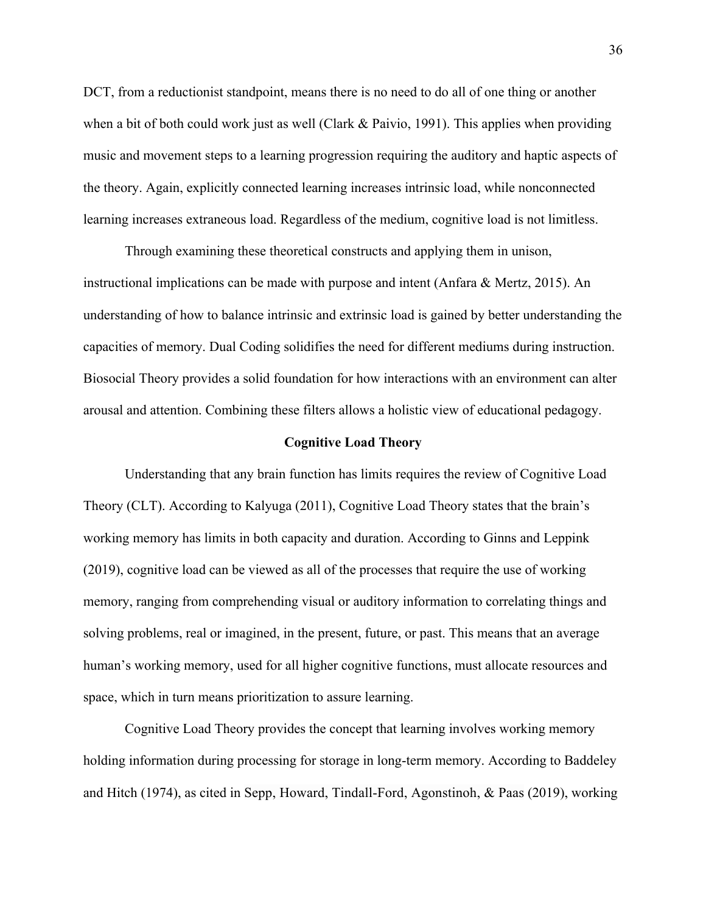DCT, from a reductionist standpoint, means there is no need to do all of one thing or another when a bit of both could work just as well (Clark & Paivio, 1991). This applies when providing music and movement steps to a learning progression requiring the auditory and haptic aspects of the theory. Again, explicitly connected learning increases intrinsic load, while nonconnected learning increases extraneous load. Regardless of the medium, cognitive load is not limitless.

Through examining these theoretical constructs and applying them in unison, instructional implications can be made with purpose and intent (Anfara & Mertz, 2015). An understanding of how to balance intrinsic and extrinsic load is gained by better understanding the capacities of memory. Dual Coding solidifies the need for different mediums during instruction. Biosocial Theory provides a solid foundation for how interactions with an environment can alter arousal and attention. Combining these filters allows a holistic view of educational pedagogy.

#### **Cognitive Load Theory**

Understanding that any brain function has limits requires the review of Cognitive Load Theory (CLT). According to Kalyuga (2011), Cognitive Load Theory states that the brain's working memory has limits in both capacity and duration. According to Ginns and Leppink (2019), cognitive load can be viewed as all of the processes that require the use of working memory, ranging from comprehending visual or auditory information to correlating things and solving problems, real or imagined, in the present, future, or past. This means that an average human's working memory, used for all higher cognitive functions, must allocate resources and space, which in turn means prioritization to assure learning.

Cognitive Load Theory provides the concept that learning involves working memory holding information during processing for storage in long-term memory. According to Baddeley and Hitch (1974), as cited in Sepp, Howard, Tindall-Ford, Agonstinoh, & Paas (2019), working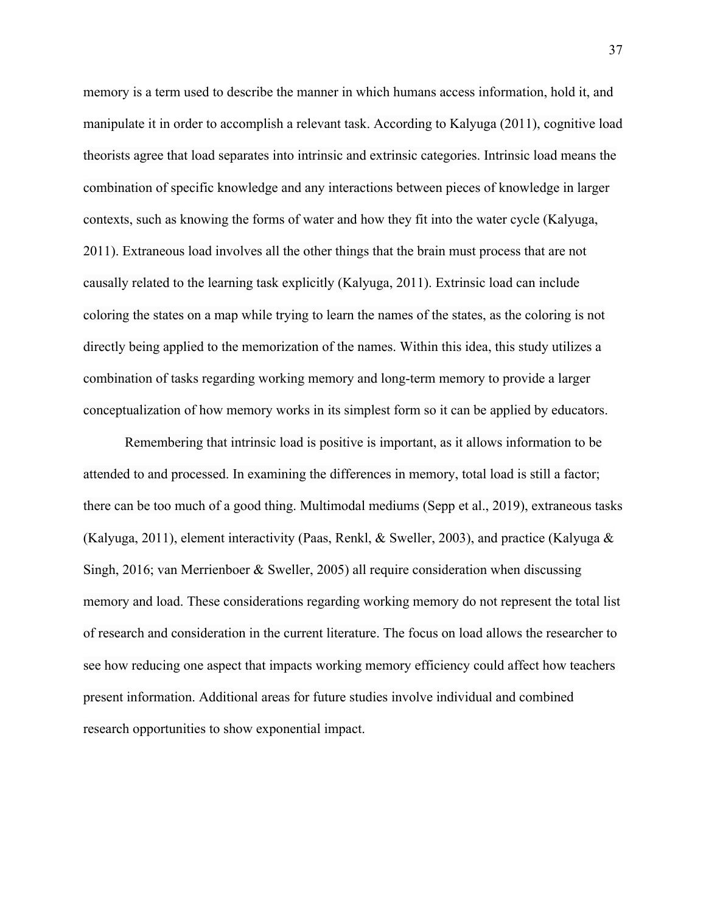memory is a term used to describe the manner in which humans access information, hold it, and manipulate it in order to accomplish a relevant task. According to Kalyuga (2011), cognitive load theorists agree that load separates into intrinsic and extrinsic categories. Intrinsic load means the combination of specific knowledge and any interactions between pieces of knowledge in larger contexts, such as knowing the forms of water and how they fit into the water cycle (Kalyuga, 2011). Extraneous load involves all the other things that the brain must process that are not causally related to the learning task explicitly (Kalyuga, 2011). Extrinsic load can include coloring the states on a map while trying to learn the names of the states, as the coloring is not directly being applied to the memorization of the names. Within this idea, this study utilizes a combination of tasks regarding working memory and long-term memory to provide a larger conceptualization of how memory works in its simplest form so it can be applied by educators.

Remembering that intrinsic load is positive is important, as it allows information to be attended to and processed. In examining the differences in memory, total load is still a factor; there can be too much of a good thing. Multimodal mediums (Sepp et al., 2019), extraneous tasks (Kalyuga, 2011), element interactivity (Paas, Renkl, & Sweller, 2003), and practice (Kalyuga & Singh, 2016; van Merrienboer & Sweller, 2005) all require consideration when discussing memory and load. These considerations regarding working memory do not represent the total list of research and consideration in the current literature. The focus on load allows the researcher to see how reducing one aspect that impacts working memory efficiency could affect how teachers present information. Additional areas for future studies involve individual and combined research opportunities to show exponential impact.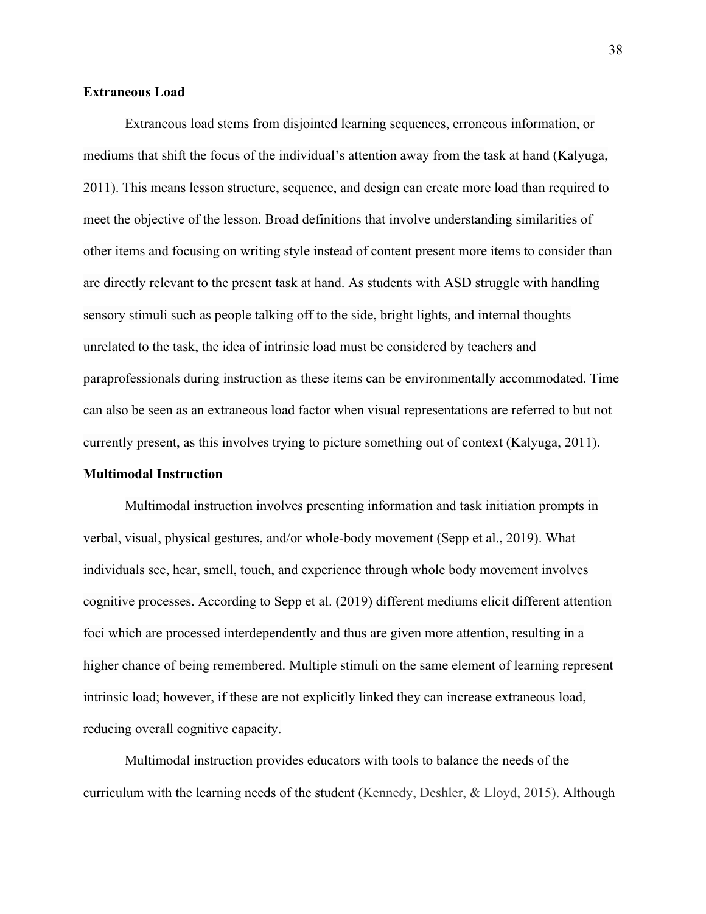# **Extraneous Load**

Extraneous load stems from disjointed learning sequences, erroneous information, or mediums that shift the focus of the individual's attention away from the task at hand (Kalyuga, 2011). This means lesson structure, sequence, and design can create more load than required to meet the objective of the lesson. Broad definitions that involve understanding similarities of other items and focusing on writing style instead of content present more items to consider than are directly relevant to the present task at hand. As students with ASD struggle with handling sensory stimuli such as people talking off to the side, bright lights, and internal thoughts unrelated to the task, the idea of intrinsic load must be considered by teachers and paraprofessionals during instruction as these items can be environmentally accommodated. Time can also be seen as an extraneous load factor when visual representations are referred to but not currently present, as this involves trying to picture something out of context (Kalyuga, 2011).

# **Multimodal Instruction**

Multimodal instruction involves presenting information and task initiation prompts in verbal, visual, physical gestures, and/or whole-body movement (Sepp et al., 2019). What individuals see, hear, smell, touch, and experience through whole body movement involves cognitive processes. According to Sepp et al. (2019) different mediums elicit different attention foci which are processed interdependently and thus are given more attention, resulting in a higher chance of being remembered. Multiple stimuli on the same element of learning represent intrinsic load; however, if these are not explicitly linked they can increase extraneous load, reducing overall cognitive capacity.

Multimodal instruction provides educators with tools to balance the needs of the curriculum with the learning needs of the student (Kennedy, Deshler, & Lloyd, 2015). Although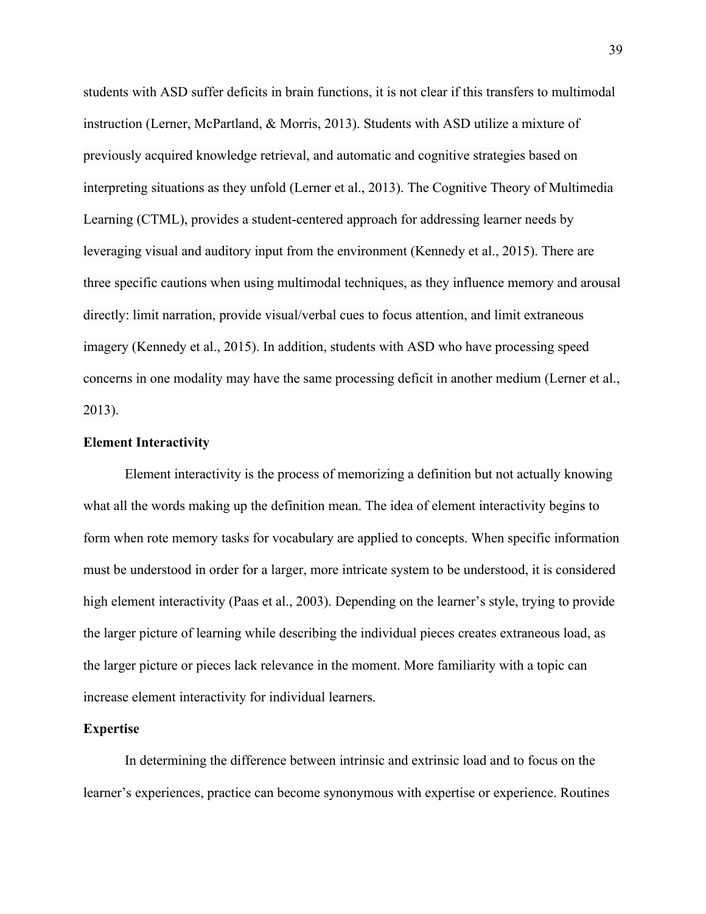students with ASD suffer deficits in brain functions, it is not clear if this transfers to multimodal instruction (Lerner, McPartland, & Morris, 2013). Students with ASD utilize a mixture of previously acquired knowledge retrieval, and automatic and cognitive strategies based on interpreting situations as they unfold (Lerner et al., 2013). The Cognitive Theory of Multimedia Learning (CTML), provides a student-centered approach for addressing learner needs by leveraging visual and auditory input from the environment (Kennedy et al., 2015). There are three specific cautions when using multimodal techniques, as they influence memory and arousal directly: limit narration, provide visual/verbal cues to focus attention, and limit extraneous imagery (Kennedy et al., 2015). In addition, students with ASD who have processing speed concerns in one modality may have the same processing deficit in another medium (Lerner et al., 2013).

## **Element Interactivity**

Element interactivity is the process of memorizing a definition but not actually knowing what all the words making up the definition mean. The idea of element interactivity begins to form when rote memory tasks for vocabulary are applied to concepts. When specific information must be understood in order for a larger, more intricate system to be understood, it is considered high element interactivity (Paas et al., 2003). Depending on the learner's style, trying to provide the larger picture of learning while describing the individual pieces creates extraneous load, as the larger picture or pieces lack relevance in the moment. More familiarity with a topic can increase element interactivity for individual learners.

## **Expertise**

In determining the difference between intrinsic and extrinsic load and to focus on the learner's experiences, practice can become synonymous with expertise or experience. Routines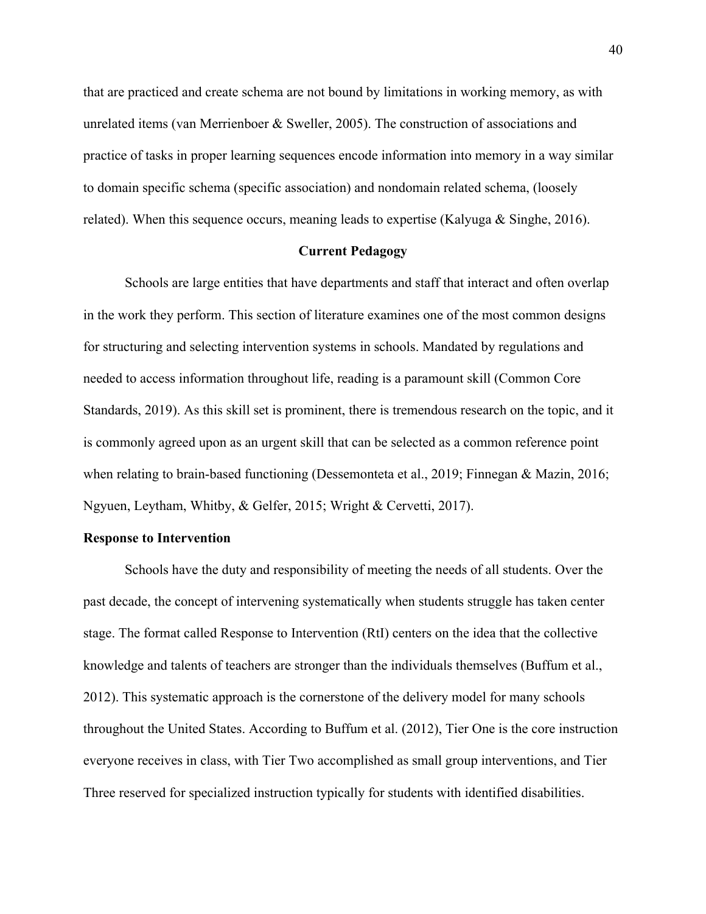that are practiced and create schema are not bound by limitations in working memory, as with unrelated items (van Merrienboer & Sweller, 2005). The construction of associations and practice of tasks in proper learning sequences encode information into memory in a way similar to domain specific schema (specific association) and nondomain related schema, (loosely related). When this sequence occurs, meaning leads to expertise (Kalyuga & Singhe, 2016).

# **Current Pedagogy**

Schools are large entities that have departments and staff that interact and often overlap in the work they perform. This section of literature examines one of the most common designs for structuring and selecting intervention systems in schools. Mandated by regulations and needed to access information throughout life, reading is a paramount skill (Common Core Standards, 2019). As this skill set is prominent, there is tremendous research on the topic, and it is commonly agreed upon as an urgent skill that can be selected as a common reference point when relating to brain-based functioning (Dessemonteta et al., 2019; Finnegan & Mazin, 2016; Ngyuen, Leytham, Whitby, & Gelfer, 2015; Wright & Cervetti, 2017).

## **Response to Intervention**

Schools have the duty and responsibility of meeting the needs of all students. Over the past decade, the concept of intervening systematically when students struggle has taken center stage. The format called Response to Intervention (RtI) centers on the idea that the collective knowledge and talents of teachers are stronger than the individuals themselves (Buffum et al., 2012). This systematic approach is the cornerstone of the delivery model for many schools throughout the United States. According to Buffum et al. (2012), Tier One is the core instruction everyone receives in class, with Tier Two accomplished as small group interventions, and Tier Three reserved for specialized instruction typically for students with identified disabilities.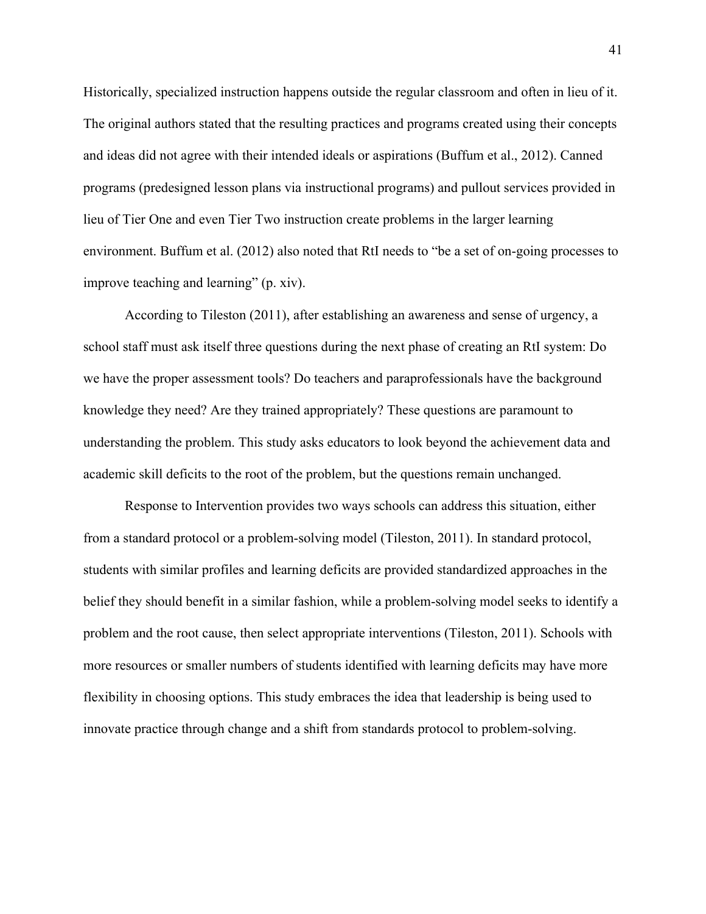Historically, specialized instruction happens outside the regular classroom and often in lieu of it. The original authors stated that the resulting practices and programs created using their concepts and ideas did not agree with their intended ideals or aspirations (Buffum et al., 2012). Canned programs (predesigned lesson plans via instructional programs) and pullout services provided in lieu of Tier One and even Tier Two instruction create problems in the larger learning environment. Buffum et al. (2012) also noted that RtI needs to "be a set of on-going processes to improve teaching and learning" (p. xiv).

According to Tileston (2011), after establishing an awareness and sense of urgency, a school staff must ask itself three questions during the next phase of creating an RtI system: Do we have the proper assessment tools? Do teachers and paraprofessionals have the background knowledge they need? Are they trained appropriately? These questions are paramount to understanding the problem. This study asks educators to look beyond the achievement data and academic skill deficits to the root of the problem, but the questions remain unchanged.

Response to Intervention provides two ways schools can address this situation, either from a standard protocol or a problem-solving model (Tileston, 2011). In standard protocol, students with similar profiles and learning deficits are provided standardized approaches in the belief they should benefit in a similar fashion, while a problem-solving model seeks to identify a problem and the root cause, then select appropriate interventions (Tileston, 2011). Schools with more resources or smaller numbers of students identified with learning deficits may have more flexibility in choosing options. This study embraces the idea that leadership is being used to innovate practice through change and a shift from standards protocol to problem-solving.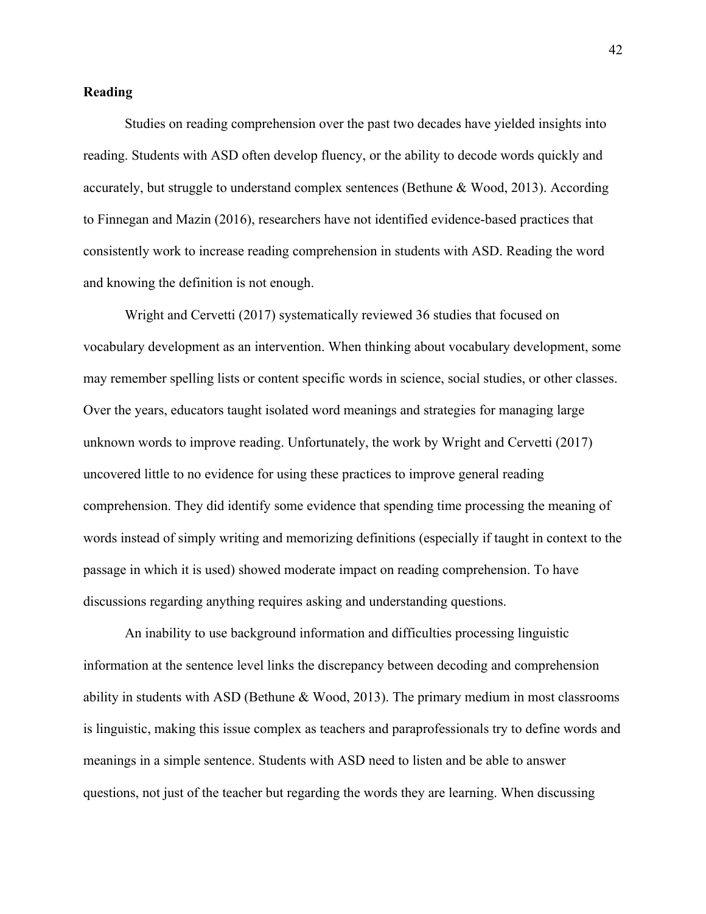# **Reading**

Studies on reading comprehension over the past two decades have yielded insights into reading. Students with ASD often develop fluency, or the ability to decode words quickly and accurately, but struggle to understand complex sentences (Bethune & Wood, 2013). According to Finnegan and Mazin (2016), researchers have not identified evidence-based practices that consistently work to increase reading comprehension in students with ASD. Reading the word and knowing the definition is not enough.

Wright and Cervetti (2017) systematically reviewed 36 studies that focused on vocabulary development as an intervention. When thinking about vocabulary development, some may remember spelling lists or content specific words in science, social studies, or other classes. Over the years, educators taught isolated word meanings and strategies for managing large unknown words to improve reading. Unfortunately, the work by Wright and Cervetti (2017) uncovered little to no evidence for using these practices to improve general reading comprehension. They did identify some evidence that spending time processing the meaning of words instead of simply writing and memorizing definitions (especially if taught in context to the passage in which it is used) showed moderate impact on reading comprehension. To have discussions regarding anything requires asking and understanding questions.

An inability to use background information and difficulties processing linguistic information at the sentence level links the discrepancy between decoding and comprehension ability in students with ASD (Bethune & Wood, 2013). The primary medium in most classrooms is linguistic, making this issue complex as teachers and paraprofessionals try to define words and meanings in a simple sentence. Students with ASD need to listen and be able to answer questions, not just of the teacher but regarding the words they are learning. When discussing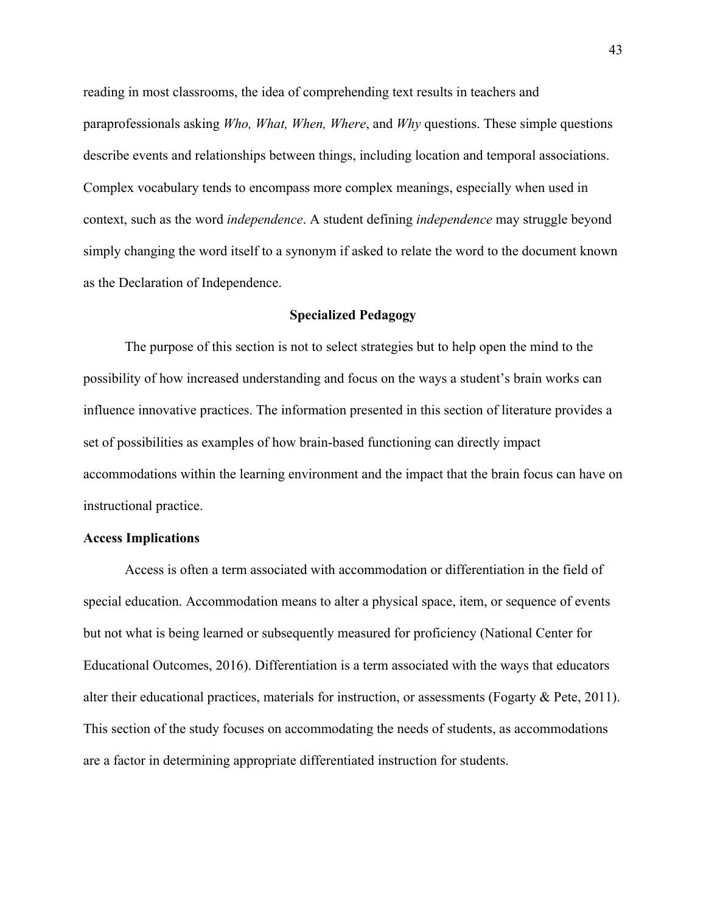reading in most classrooms, the idea of comprehending text results in teachers and paraprofessionals asking *Who, What, When, Where*, and *Why* questions. These simple questions describe events and relationships between things, including location and temporal associations. Complex vocabulary tends to encompass more complex meanings, especially when used in context, such as the word *independence*. A student defining *independence* may struggle beyond simply changing the word itself to a synonym if asked to relate the word to the document known as the Declaration of Independence.

### **Specialized Pedagogy**

The purpose of this section is not to select strategies but to help open the mind to the possibility of how increased understanding and focus on the ways a student's brain works can influence innovative practices. The information presented in this section of literature provides a set of possibilities as examples of how brain-based functioning can directly impact accommodations within the learning environment and the impact that the brain focus can have on instructional practice.

#### **Access Implications**

Access is often a term associated with accommodation or differentiation in the field of special education. Accommodation means to alter a physical space, item, or sequence of events but not what is being learned or subsequently measured for proficiency (National Center for Educational Outcomes, 2016). Differentiation is a term associated with the ways that educators alter their educational practices, materials for instruction, or assessments (Fogarty & Pete, 2011). This section of the study focuses on accommodating the needs of students, as accommodations are a factor in determining appropriate differentiated instruction for students.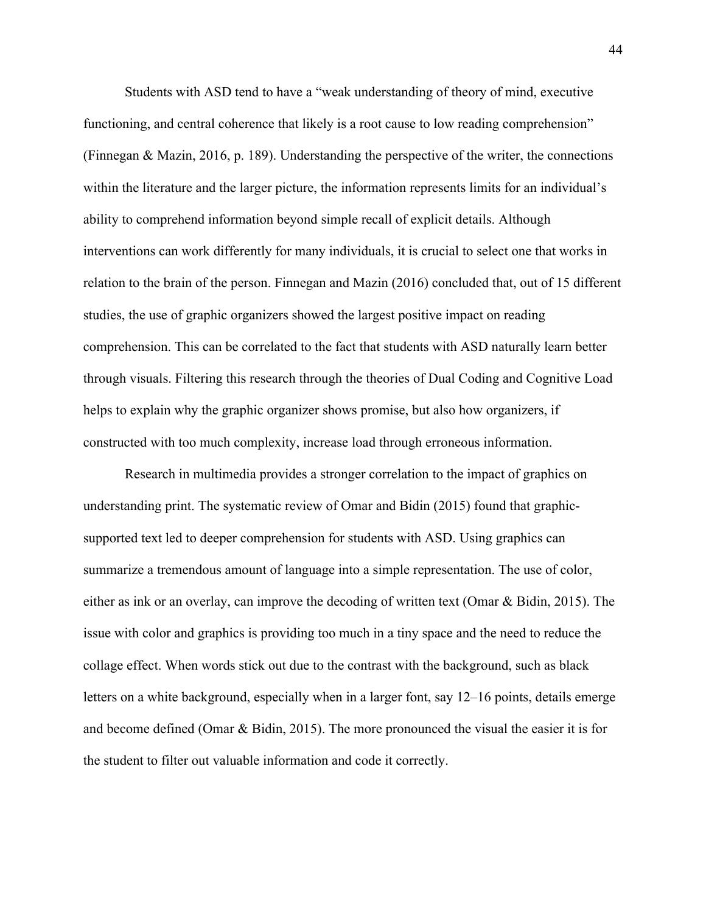Students with ASD tend to have a "weak understanding of theory of mind, executive functioning, and central coherence that likely is a root cause to low reading comprehension" (Finnegan & Mazin, 2016, p. 189). Understanding the perspective of the writer, the connections within the literature and the larger picture, the information represents limits for an individual's ability to comprehend information beyond simple recall of explicit details. Although interventions can work differently for many individuals, it is crucial to select one that works in relation to the brain of the person. Finnegan and Mazin (2016) concluded that, out of 15 different studies, the use of graphic organizers showed the largest positive impact on reading comprehension. This can be correlated to the fact that students with ASD naturally learn better through visuals. Filtering this research through the theories of Dual Coding and Cognitive Load helps to explain why the graphic organizer shows promise, but also how organizers, if constructed with too much complexity, increase load through erroneous information.

Research in multimedia provides a stronger correlation to the impact of graphics on understanding print. The systematic review of Omar and Bidin (2015) found that graphicsupported text led to deeper comprehension for students with ASD. Using graphics can summarize a tremendous amount of language into a simple representation. The use of color, either as ink or an overlay, can improve the decoding of written text (Omar & Bidin, 2015). The issue with color and graphics is providing too much in a tiny space and the need to reduce the collage effect. When words stick out due to the contrast with the background, such as black letters on a white background, especially when in a larger font, say 12–16 points, details emerge and become defined (Omar & Bidin, 2015). The more pronounced the visual the easier it is for the student to filter out valuable information and code it correctly.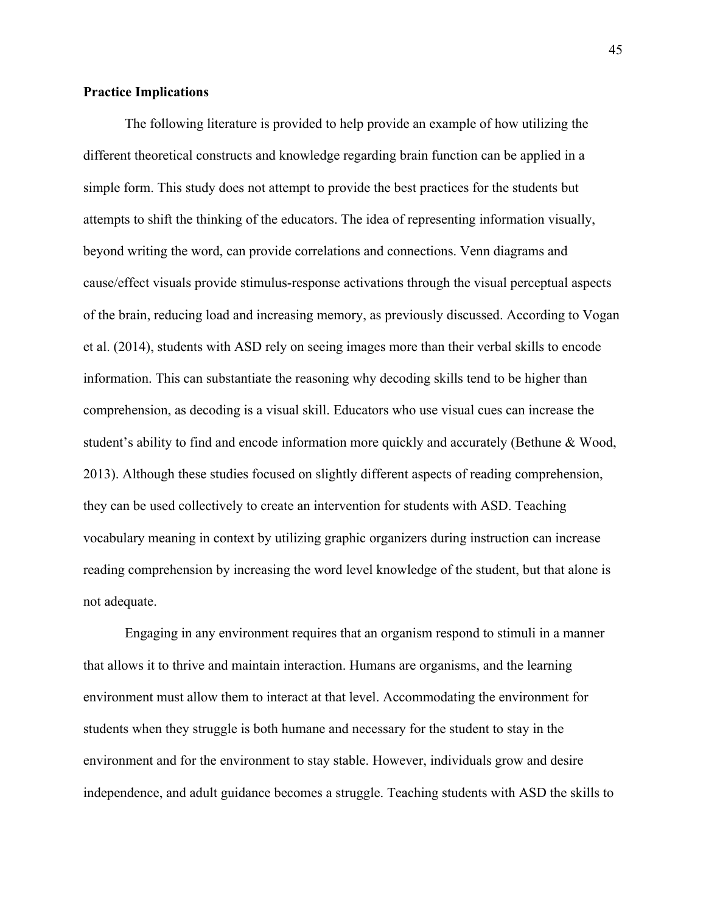# **Practice Implications**

The following literature is provided to help provide an example of how utilizing the different theoretical constructs and knowledge regarding brain function can be applied in a simple form. This study does not attempt to provide the best practices for the students but attempts to shift the thinking of the educators. The idea of representing information visually, beyond writing the word, can provide correlations and connections. Venn diagrams and cause/effect visuals provide stimulus-response activations through the visual perceptual aspects of the brain, reducing load and increasing memory, as previously discussed. According to Vogan et al. (2014), students with ASD rely on seeing images more than their verbal skills to encode information. This can substantiate the reasoning why decoding skills tend to be higher than comprehension, as decoding is a visual skill. Educators who use visual cues can increase the student's ability to find and encode information more quickly and accurately (Bethune & Wood, 2013). Although these studies focused on slightly different aspects of reading comprehension, they can be used collectively to create an intervention for students with ASD. Teaching vocabulary meaning in context by utilizing graphic organizers during instruction can increase reading comprehension by increasing the word level knowledge of the student, but that alone is not adequate.

Engaging in any environment requires that an organism respond to stimuli in a manner that allows it to thrive and maintain interaction. Humans are organisms, and the learning environment must allow them to interact at that level. Accommodating the environment for students when they struggle is both humane and necessary for the student to stay in the environment and for the environment to stay stable. However, individuals grow and desire independence, and adult guidance becomes a struggle. Teaching students with ASD the skills to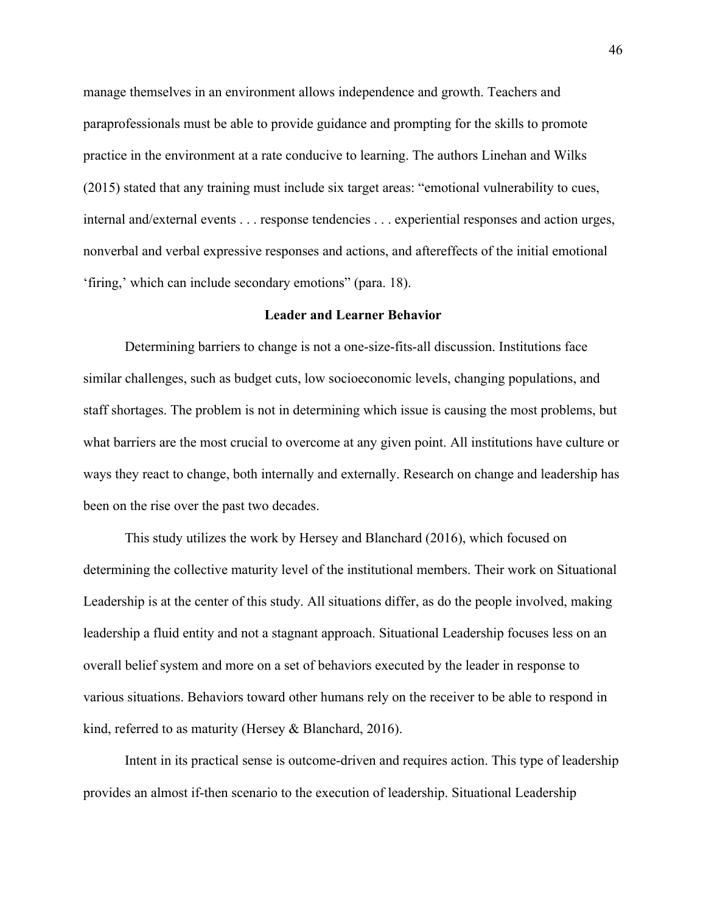manage themselves in an environment allows independence and growth. Teachers and paraprofessionals must be able to provide guidance and prompting for the skills to promote practice in the environment at a rate conducive to learning. The authors Linehan and Wilks (2015) stated that any training must include six target areas: "emotional vulnerability to cues, internal and/external events . . . response tendencies . . . experiential responses and action urges, nonverbal and verbal expressive responses and actions, and aftereffects of the initial emotional 'firing,' which can include secondary emotions" (para. 18).

## **Leader and Learner Behavior**

Determining barriers to change is not a one-size-fits-all discussion. Institutions face similar challenges, such as budget cuts, low socioeconomic levels, changing populations, and staff shortages. The problem is not in determining which issue is causing the most problems, but what barriers are the most crucial to overcome at any given point. All institutions have culture or ways they react to change, both internally and externally. Research on change and leadership has been on the rise over the past two decades.

This study utilizes the work by Hersey and Blanchard (2016), which focused on determining the collective maturity level of the institutional members. Their work on Situational Leadership is at the center of this study. All situations differ, as do the people involved, making leadership a fluid entity and not a stagnant approach. Situational Leadership focuses less on an overall belief system and more on a set of behaviors executed by the leader in response to various situations. Behaviors toward other humans rely on the receiver to be able to respond in kind, referred to as maturity (Hersey & Blanchard, 2016).

Intent in its practical sense is outcome-driven and requires action. This type of leadership provides an almost if-then scenario to the execution of leadership. Situational Leadership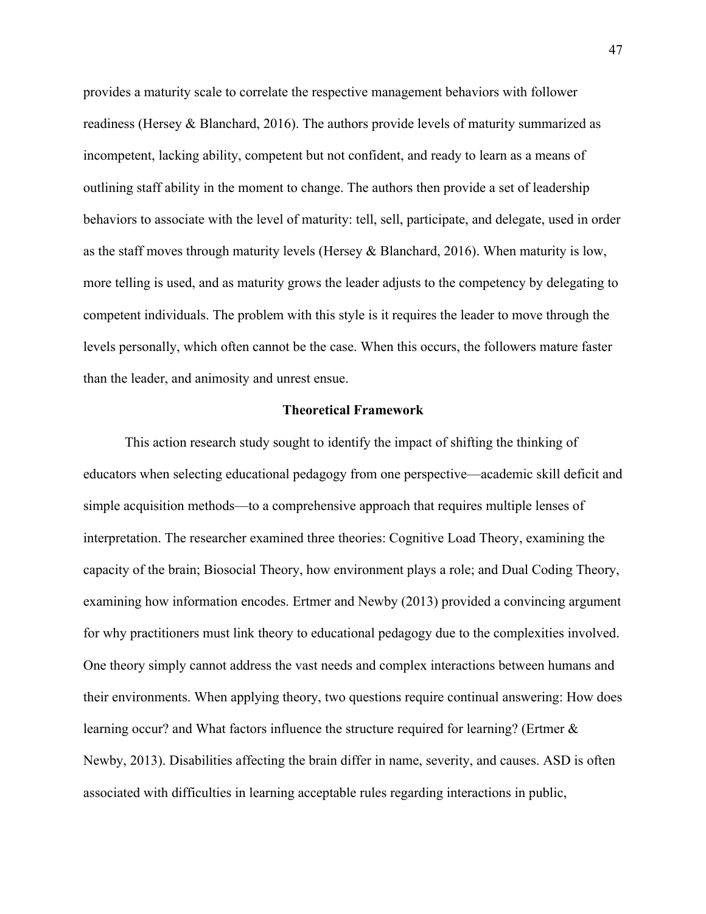provides a maturity scale to correlate the respective management behaviors with follower readiness (Hersey & Blanchard, 2016). The authors provide levels of maturity summarized as incompetent, lacking ability, competent but not confident, and ready to learn as a means of outlining staff ability in the moment to change. The authors then provide a set of leadership behaviors to associate with the level of maturity: tell, sell, participate, and delegate, used in order as the staff moves through maturity levels (Hersey & Blanchard, 2016). When maturity is low, more telling is used, and as maturity grows the leader adjusts to the competency by delegating to competent individuals. The problem with this style is it requires the leader to move through the levels personally, which often cannot be the case. When this occurs, the followers mature faster than the leader, and animosity and unrest ensue.

## **Theoretical Framework**

This action research study sought to identify the impact of shifting the thinking of educators when selecting educational pedagogy from one perspective—academic skill deficit and simple acquisition methods—to a comprehensive approach that requires multiple lenses of interpretation. The researcher examined three theories: Cognitive Load Theory, examining the capacity of the brain; Biosocial Theory, how environment plays a role; and Dual Coding Theory, examining how information encodes. Ertmer and Newby (2013) provided a convincing argument for why practitioners must link theory to educational pedagogy due to the complexities involved. One theory simply cannot address the vast needs and complex interactions between humans and their environments. When applying theory, two questions require continual answering: How does learning occur? and What factors influence the structure required for learning? (Ertmer & Newby, 2013). Disabilities affecting the brain differ in name, severity, and causes. ASD is often associated with difficulties in learning acceptable rules regarding interactions in public,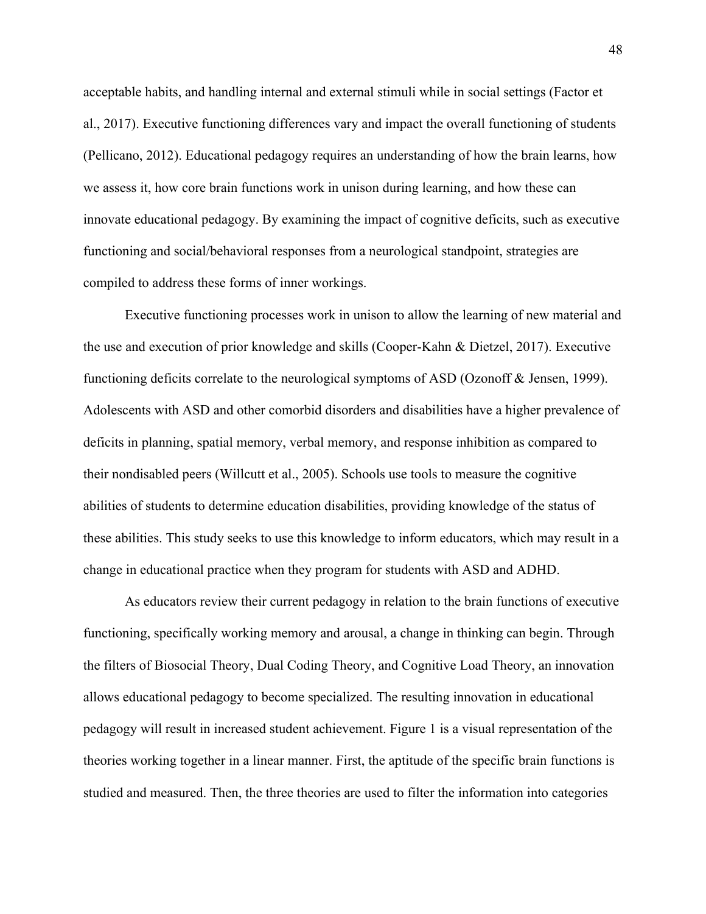acceptable habits, and handling internal and external stimuli while in social settings (Factor et al., 2017). Executive functioning differences vary and impact the overall functioning of students (Pellicano, 2012). Educational pedagogy requires an understanding of how the brain learns, how we assess it, how core brain functions work in unison during learning, and how these can innovate educational pedagogy. By examining the impact of cognitive deficits, such as executive functioning and social/behavioral responses from a neurological standpoint, strategies are compiled to address these forms of inner workings.

Executive functioning processes work in unison to allow the learning of new material and the use and execution of prior knowledge and skills (Cooper-Kahn & Dietzel, 2017). Executive functioning deficits correlate to the neurological symptoms of ASD (Ozonoff & Jensen, 1999). Adolescents with ASD and other comorbid disorders and disabilities have a higher prevalence of deficits in planning, spatial memory, verbal memory, and response inhibition as compared to their nondisabled peers (Willcutt et al., 2005). Schools use tools to measure the cognitive abilities of students to determine education disabilities, providing knowledge of the status of these abilities. This study seeks to use this knowledge to inform educators, which may result in a change in educational practice when they program for students with ASD and ADHD.

As educators review their current pedagogy in relation to the brain functions of executive functioning, specifically working memory and arousal, a change in thinking can begin. Through the filters of Biosocial Theory, Dual Coding Theory, and Cognitive Load Theory, an innovation allows educational pedagogy to become specialized. The resulting innovation in educational pedagogy will result in increased student achievement. Figure 1 is a visual representation of the theories working together in a linear manner. First, the aptitude of the specific brain functions is studied and measured. Then, the three theories are used to filter the information into categories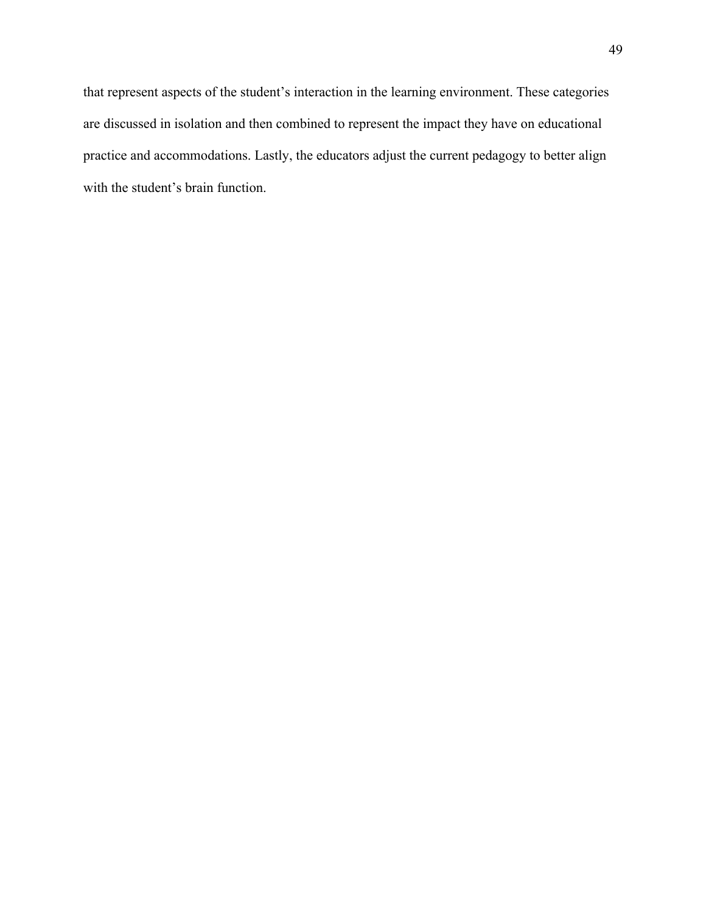that represent aspects of the student's interaction in the learning environment. These categories are discussed in isolation and then combined to represent the impact they have on educational practice and accommodations. Lastly, the educators adjust the current pedagogy to better align with the student's brain function.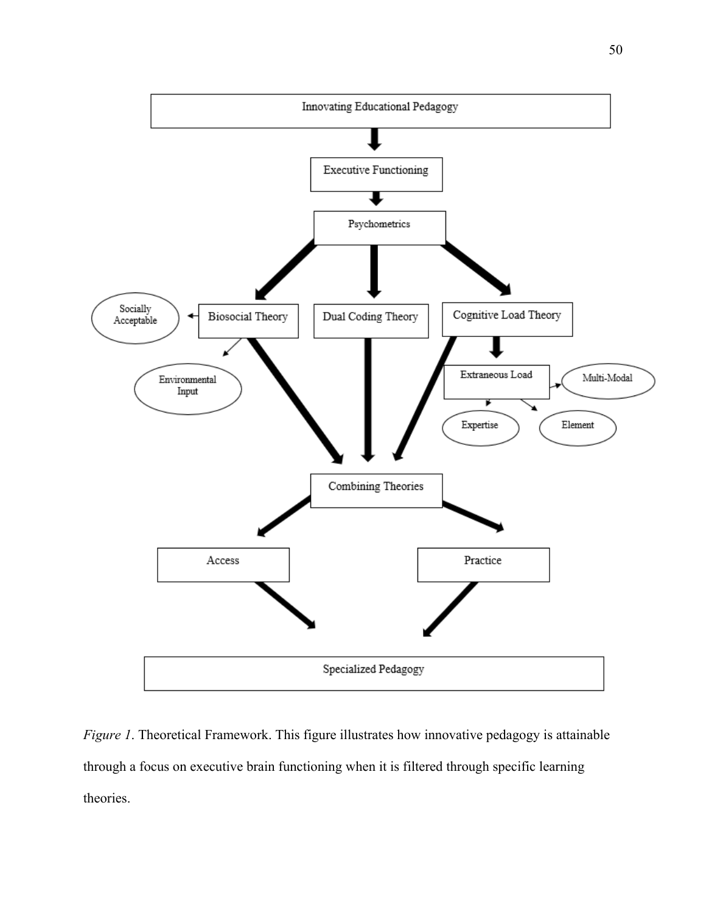

*Figure 1*. Theoretical Framework. This figure illustrates how innovative pedagogy is attainable through a focus on executive brain functioning when it is filtered through specific learning theories.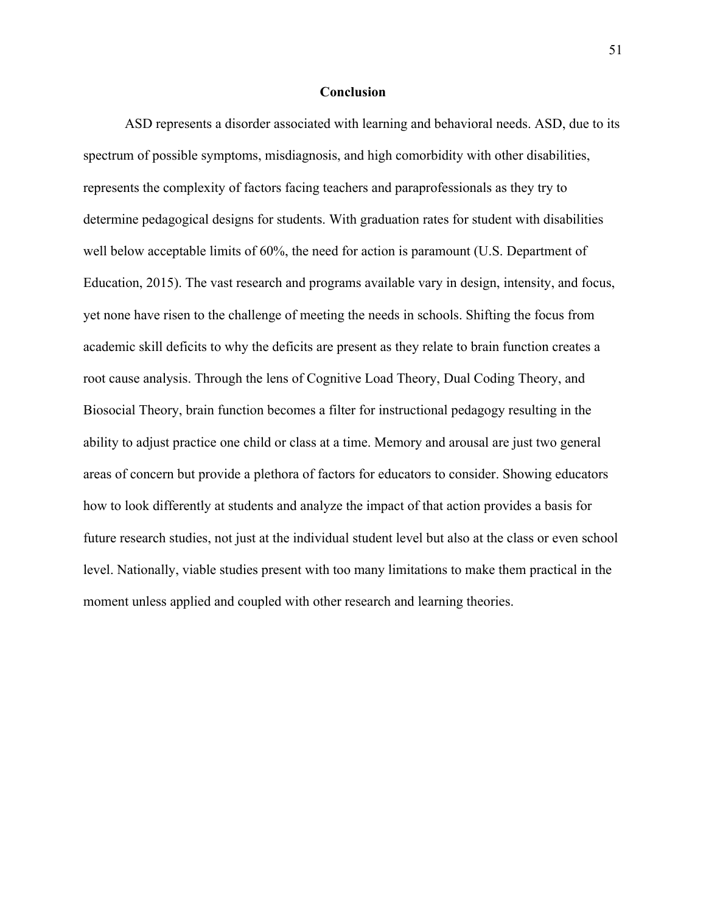# **Conclusion**

ASD represents a disorder associated with learning and behavioral needs. ASD, due to its spectrum of possible symptoms, misdiagnosis, and high comorbidity with other disabilities, represents the complexity of factors facing teachers and paraprofessionals as they try to determine pedagogical designs for students. With graduation rates for student with disabilities well below acceptable limits of 60%, the need for action is paramount (U.S. Department of Education, 2015). The vast research and programs available vary in design, intensity, and focus, yet none have risen to the challenge of meeting the needs in schools. Shifting the focus from academic skill deficits to why the deficits are present as they relate to brain function creates a root cause analysis. Through the lens of Cognitive Load Theory, Dual Coding Theory, and Biosocial Theory, brain function becomes a filter for instructional pedagogy resulting in the ability to adjust practice one child or class at a time. Memory and arousal are just two general areas of concern but provide a plethora of factors for educators to consider. Showing educators how to look differently at students and analyze the impact of that action provides a basis for future research studies, not just at the individual student level but also at the class or even school level. Nationally, viable studies present with too many limitations to make them practical in the moment unless applied and coupled with other research and learning theories.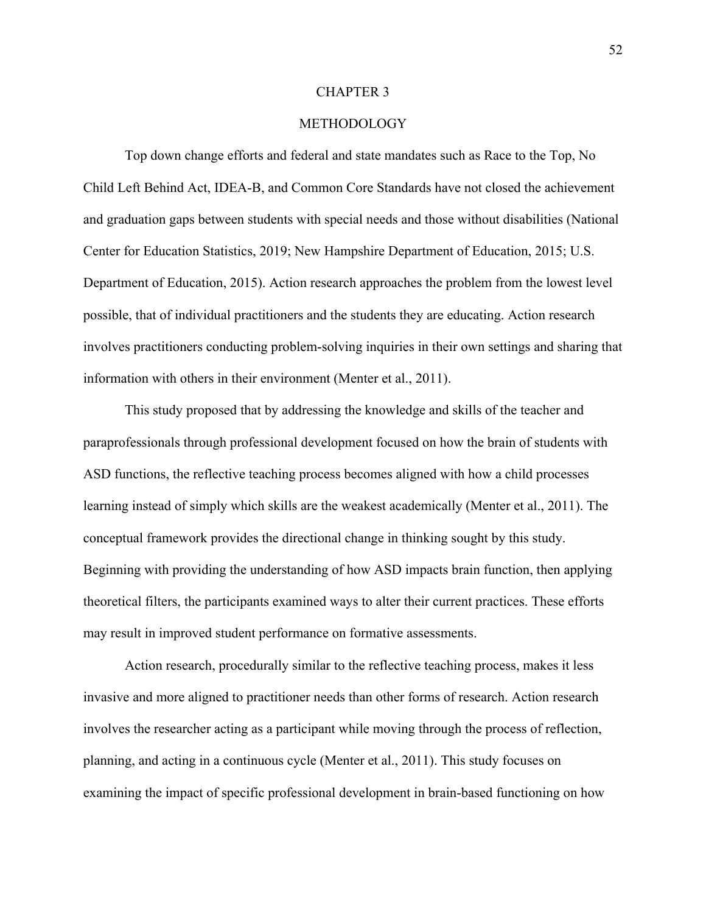## CHAPTER 3

# METHODOLOGY

Top down change efforts and federal and state mandates such as Race to the Top, No Child Left Behind Act, IDEA-B, and Common Core Standards have not closed the achievement and graduation gaps between students with special needs and those without disabilities (National Center for Education Statistics, 2019; New Hampshire Department of Education, 2015; U.S. Department of Education, 2015). Action research approaches the problem from the lowest level possible, that of individual practitioners and the students they are educating. Action research involves practitioners conducting problem-solving inquiries in their own settings and sharing that information with others in their environment (Menter et al., 2011).

This study proposed that by addressing the knowledge and skills of the teacher and paraprofessionals through professional development focused on how the brain of students with ASD functions, the reflective teaching process becomes aligned with how a child processes learning instead of simply which skills are the weakest academically (Menter et al., 2011). The conceptual framework provides the directional change in thinking sought by this study. Beginning with providing the understanding of how ASD impacts brain function, then applying theoretical filters, the participants examined ways to alter their current practices. These efforts may result in improved student performance on formative assessments.

Action research, procedurally similar to the reflective teaching process, makes it less invasive and more aligned to practitioner needs than other forms of research. Action research involves the researcher acting as a participant while moving through the process of reflection, planning, and acting in a continuous cycle (Menter et al., 2011). This study focuses on examining the impact of specific professional development in brain-based functioning on how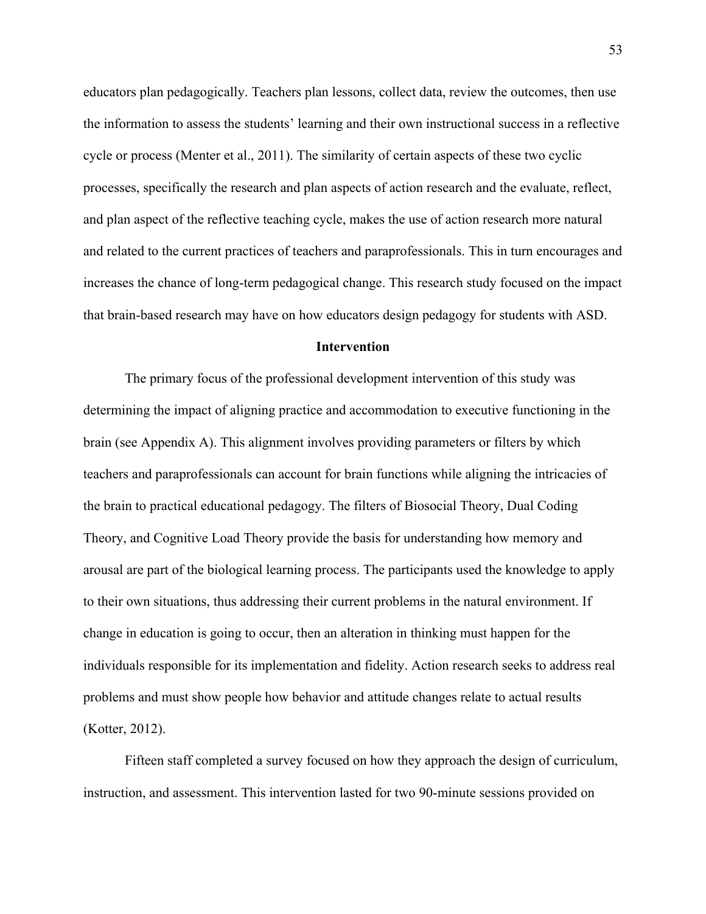educators plan pedagogically. Teachers plan lessons, collect data, review the outcomes, then use the information to assess the students' learning and their own instructional success in a reflective cycle or process (Menter et al., 2011). The similarity of certain aspects of these two cyclic processes, specifically the research and plan aspects of action research and the evaluate, reflect, and plan aspect of the reflective teaching cycle, makes the use of action research more natural and related to the current practices of teachers and paraprofessionals. This in turn encourages and increases the chance of long-term pedagogical change. This research study focused on the impact that brain-based research may have on how educators design pedagogy for students with ASD.

## **Intervention**

The primary focus of the professional development intervention of this study was determining the impact of aligning practice and accommodation to executive functioning in the brain (see Appendix A). This alignment involves providing parameters or filters by which teachers and paraprofessionals can account for brain functions while aligning the intricacies of the brain to practical educational pedagogy. The filters of Biosocial Theory, Dual Coding Theory, and Cognitive Load Theory provide the basis for understanding how memory and arousal are part of the biological learning process. The participants used the knowledge to apply to their own situations, thus addressing their current problems in the natural environment. If change in education is going to occur, then an alteration in thinking must happen for the individuals responsible for its implementation and fidelity. Action research seeks to address real problems and must show people how behavior and attitude changes relate to actual results (Kotter, 2012).

Fifteen staff completed a survey focused on how they approach the design of curriculum, instruction, and assessment. This intervention lasted for two 90-minute sessions provided on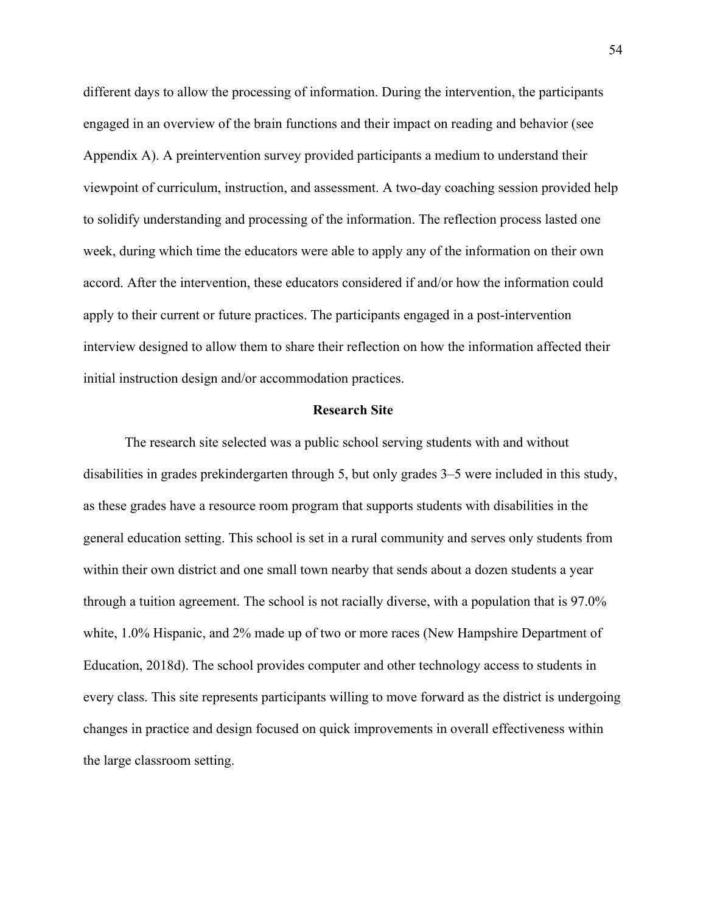different days to allow the processing of information. During the intervention, the participants engaged in an overview of the brain functions and their impact on reading and behavior (see Appendix A). A preintervention survey provided participants a medium to understand their viewpoint of curriculum, instruction, and assessment. A two-day coaching session provided help to solidify understanding and processing of the information. The reflection process lasted one week, during which time the educators were able to apply any of the information on their own accord. After the intervention, these educators considered if and/or how the information could apply to their current or future practices. The participants engaged in a post-intervention interview designed to allow them to share their reflection on how the information affected their initial instruction design and/or accommodation practices.

## **Research Site**

The research site selected was a public school serving students with and without disabilities in grades prekindergarten through 5, but only grades 3–5 were included in this study, as these grades have a resource room program that supports students with disabilities in the general education setting. This school is set in a rural community and serves only students from within their own district and one small town nearby that sends about a dozen students a year through a tuition agreement. The school is not racially diverse, with a population that is 97.0% white, 1.0% Hispanic, and 2% made up of two or more races (New Hampshire Department of Education, 2018d). The school provides computer and other technology access to students in every class. This site represents participants willing to move forward as the district is undergoing changes in practice and design focused on quick improvements in overall effectiveness within the large classroom setting.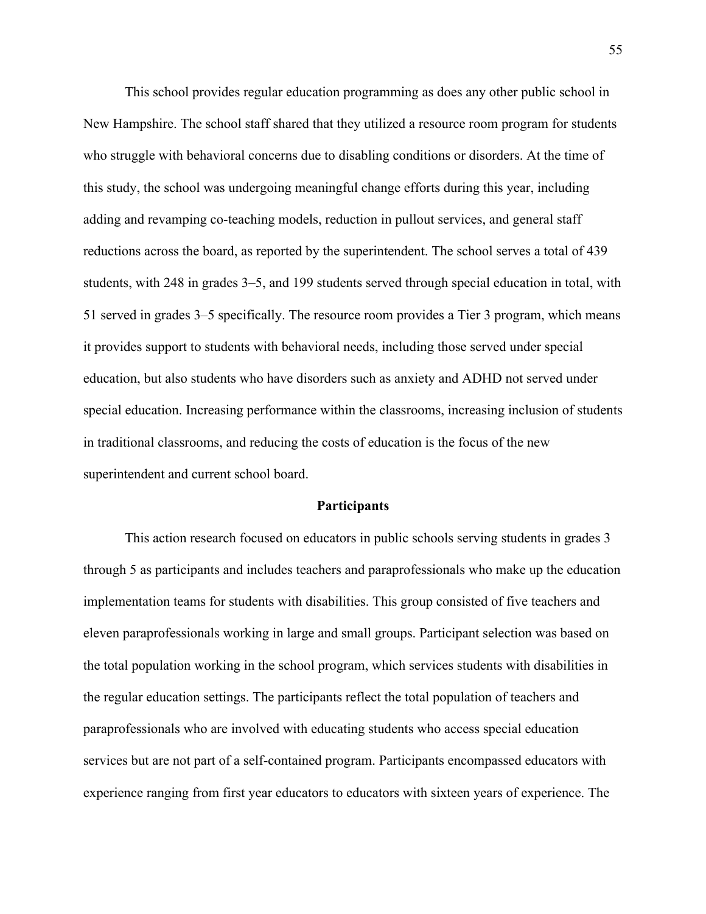This school provides regular education programming as does any other public school in New Hampshire. The school staff shared that they utilized a resource room program for students who struggle with behavioral concerns due to disabling conditions or disorders. At the time of this study, the school was undergoing meaningful change efforts during this year, including adding and revamping co-teaching models, reduction in pullout services, and general staff reductions across the board, as reported by the superintendent. The school serves a total of 439 students, with 248 in grades 3–5, and 199 students served through special education in total, with 51 served in grades 3–5 specifically. The resource room provides a Tier 3 program, which means it provides support to students with behavioral needs, including those served under special education, but also students who have disorders such as anxiety and ADHD not served under special education. Increasing performance within the classrooms, increasing inclusion of students in traditional classrooms, and reducing the costs of education is the focus of the new superintendent and current school board.

#### **Participants**

This action research focused on educators in public schools serving students in grades 3 through 5 as participants and includes teachers and paraprofessionals who make up the education implementation teams for students with disabilities. This group consisted of five teachers and eleven paraprofessionals working in large and small groups. Participant selection was based on the total population working in the school program, which services students with disabilities in the regular education settings. The participants reflect the total population of teachers and paraprofessionals who are involved with educating students who access special education services but are not part of a self-contained program. Participants encompassed educators with experience ranging from first year educators to educators with sixteen years of experience. The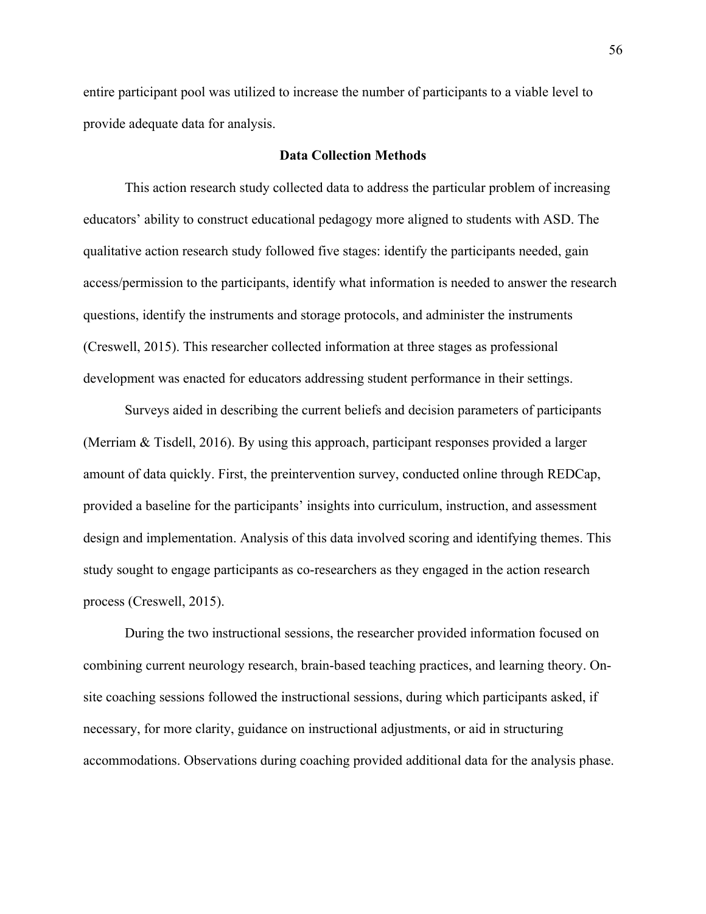entire participant pool was utilized to increase the number of participants to a viable level to provide adequate data for analysis.

# **Data Collection Methods**

This action research study collected data to address the particular problem of increasing educators' ability to construct educational pedagogy more aligned to students with ASD. The qualitative action research study followed five stages: identify the participants needed, gain access/permission to the participants, identify what information is needed to answer the research questions, identify the instruments and storage protocols, and administer the instruments (Creswell, 2015). This researcher collected information at three stages as professional development was enacted for educators addressing student performance in their settings.

Surveys aided in describing the current beliefs and decision parameters of participants (Merriam & Tisdell, 2016). By using this approach, participant responses provided a larger amount of data quickly. First, the preintervention survey, conducted online through REDCap, provided a baseline for the participants' insights into curriculum, instruction, and assessment design and implementation. Analysis of this data involved scoring and identifying themes. This study sought to engage participants as co-researchers as they engaged in the action research process (Creswell, 2015).

During the two instructional sessions, the researcher provided information focused on combining current neurology research, brain-based teaching practices, and learning theory. Onsite coaching sessions followed the instructional sessions, during which participants asked, if necessary, for more clarity, guidance on instructional adjustments, or aid in structuring accommodations. Observations during coaching provided additional data for the analysis phase.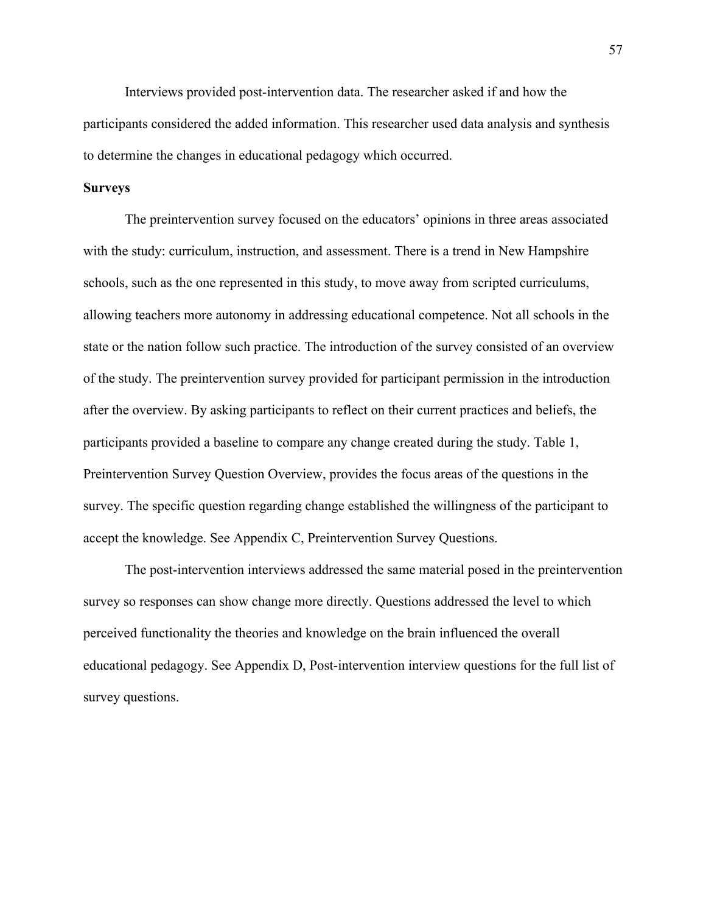Interviews provided post-intervention data. The researcher asked if and how the participants considered the added information. This researcher used data analysis and synthesis to determine the changes in educational pedagogy which occurred.

# **Surveys**

The preintervention survey focused on the educators' opinions in three areas associated with the study: curriculum, instruction, and assessment. There is a trend in New Hampshire schools, such as the one represented in this study, to move away from scripted curriculums, allowing teachers more autonomy in addressing educational competence. Not all schools in the state or the nation follow such practice. The introduction of the survey consisted of an overview of the study. The preintervention survey provided for participant permission in the introduction after the overview. By asking participants to reflect on their current practices and beliefs, the participants provided a baseline to compare any change created during the study. Table 1, Preintervention Survey Question Overview, provides the focus areas of the questions in the survey. The specific question regarding change established the willingness of the participant to accept the knowledge. See Appendix C, Preintervention Survey Questions.

The post-intervention interviews addressed the same material posed in the preintervention survey so responses can show change more directly. Questions addressed the level to which perceived functionality the theories and knowledge on the brain influenced the overall educational pedagogy. See Appendix D, Post-intervention interview questions for the full list of survey questions.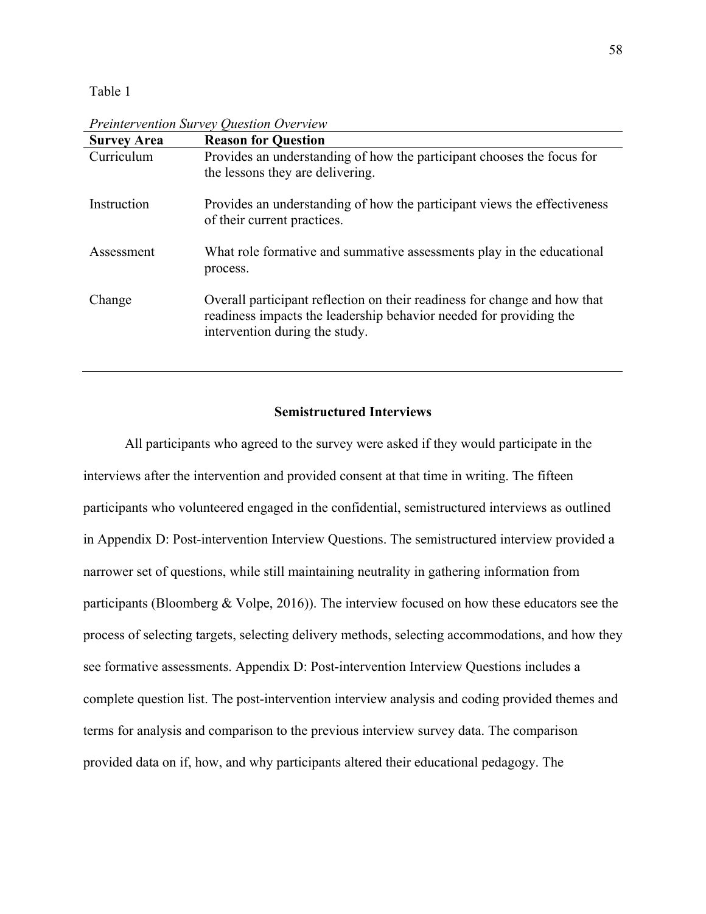# Table 1

| <b>Survey Area</b> | <b>Reason for Question</b>                                                                                                                                                        |
|--------------------|-----------------------------------------------------------------------------------------------------------------------------------------------------------------------------------|
| Curriculum         | Provides an understanding of how the participant chooses the focus for<br>the lessons they are delivering.                                                                        |
| Instruction        | Provides an understanding of how the participant views the effectiveness<br>of their current practices.                                                                           |
| Assessment         | What role formative and summative assessments play in the educational<br>process.                                                                                                 |
| Change             | Overall participant reflection on their readiness for change and how that<br>readiness impacts the leadership behavior needed for providing the<br>intervention during the study. |

*Preintervention Survey Question Overview*

# **Semistructured Interviews**

All participants who agreed to the survey were asked if they would participate in the interviews after the intervention and provided consent at that time in writing. The fifteen participants who volunteered engaged in the confidential, semistructured interviews as outlined in Appendix D: Post-intervention Interview Questions. The semistructured interview provided a narrower set of questions, while still maintaining neutrality in gathering information from participants (Bloomberg & Volpe, 2016)). The interview focused on how these educators see the process of selecting targets, selecting delivery methods, selecting accommodations, and how they see formative assessments. Appendix D: Post-intervention Interview Questions includes a complete question list. The post-intervention interview analysis and coding provided themes and terms for analysis and comparison to the previous interview survey data. The comparison provided data on if, how, and why participants altered their educational pedagogy. The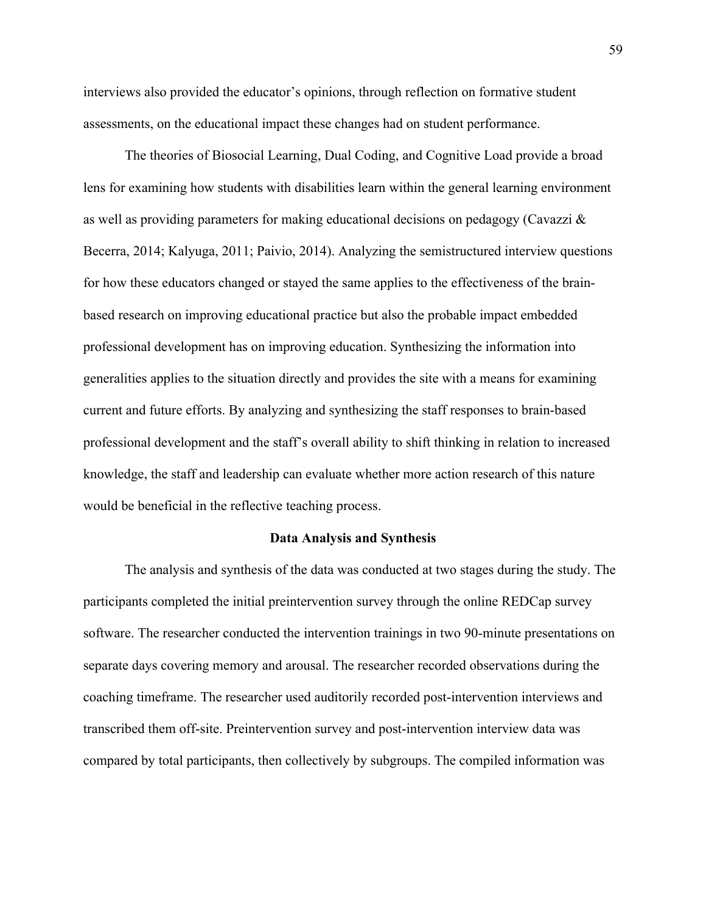interviews also provided the educator's opinions, through reflection on formative student assessments, on the educational impact these changes had on student performance.

The theories of Biosocial Learning, Dual Coding, and Cognitive Load provide a broad lens for examining how students with disabilities learn within the general learning environment as well as providing parameters for making educational decisions on pedagogy (Cavazzi & Becerra, 2014; Kalyuga, 2011; Paivio, 2014). Analyzing the semistructured interview questions for how these educators changed or stayed the same applies to the effectiveness of the brainbased research on improving educational practice but also the probable impact embedded professional development has on improving education. Synthesizing the information into generalities applies to the situation directly and provides the site with a means for examining current and future efforts. By analyzing and synthesizing the staff responses to brain-based professional development and the staff's overall ability to shift thinking in relation to increased knowledge, the staff and leadership can evaluate whether more action research of this nature would be beneficial in the reflective teaching process.

## **Data Analysis and Synthesis**

The analysis and synthesis of the data was conducted at two stages during the study. The participants completed the initial preintervention survey through the online REDCap survey software. The researcher conducted the intervention trainings in two 90-minute presentations on separate days covering memory and arousal. The researcher recorded observations during the coaching timeframe. The researcher used auditorily recorded post-intervention interviews and transcribed them off-site. Preintervention survey and post-intervention interview data was compared by total participants, then collectively by subgroups. The compiled information was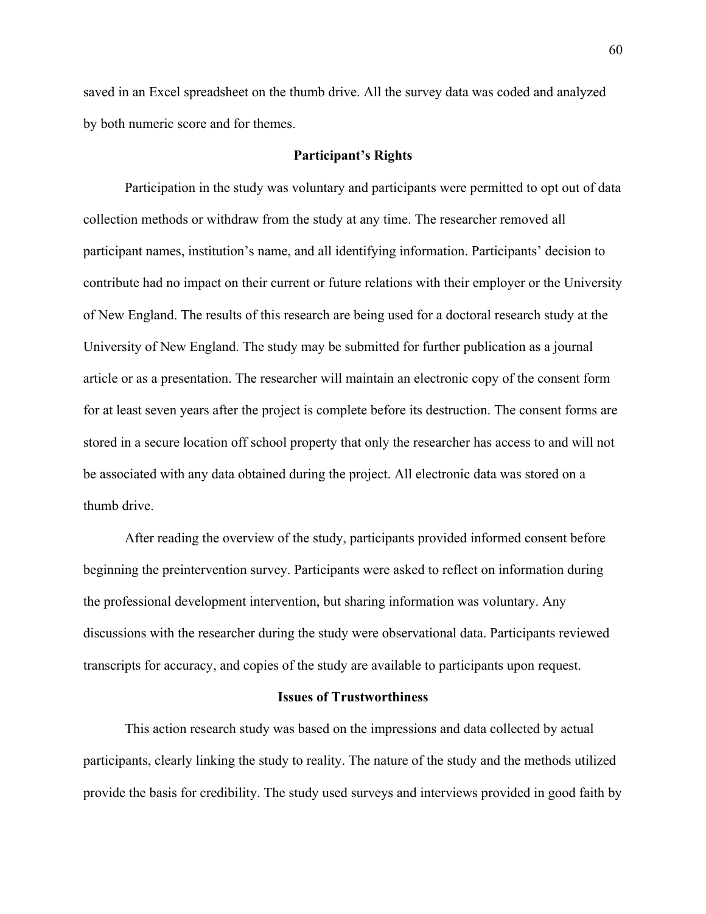saved in an Excel spreadsheet on the thumb drive. All the survey data was coded and analyzed by both numeric score and for themes.

#### **Participant's Rights**

Participation in the study was voluntary and participants were permitted to opt out of data collection methods or withdraw from the study at any time. The researcher removed all participant names, institution's name, and all identifying information. Participants' decision to contribute had no impact on their current or future relations with their employer or the University of New England. The results of this research are being used for a doctoral research study at the University of New England. The study may be submitted for further publication as a journal article or as a presentation. The researcher will maintain an electronic copy of the consent form for at least seven years after the project is complete before its destruction. The consent forms are stored in a secure location off school property that only the researcher has access to and will not be associated with any data obtained during the project. All electronic data was stored on a thumb drive.

After reading the overview of the study, participants provided informed consent before beginning the preintervention survey. Participants were asked to reflect on information during the professional development intervention, but sharing information was voluntary. Any discussions with the researcher during the study were observational data. Participants reviewed transcripts for accuracy, and copies of the study are available to participants upon request.

## **Issues of Trustworthiness**

This action research study was based on the impressions and data collected by actual participants, clearly linking the study to reality. The nature of the study and the methods utilized provide the basis for credibility. The study used surveys and interviews provided in good faith by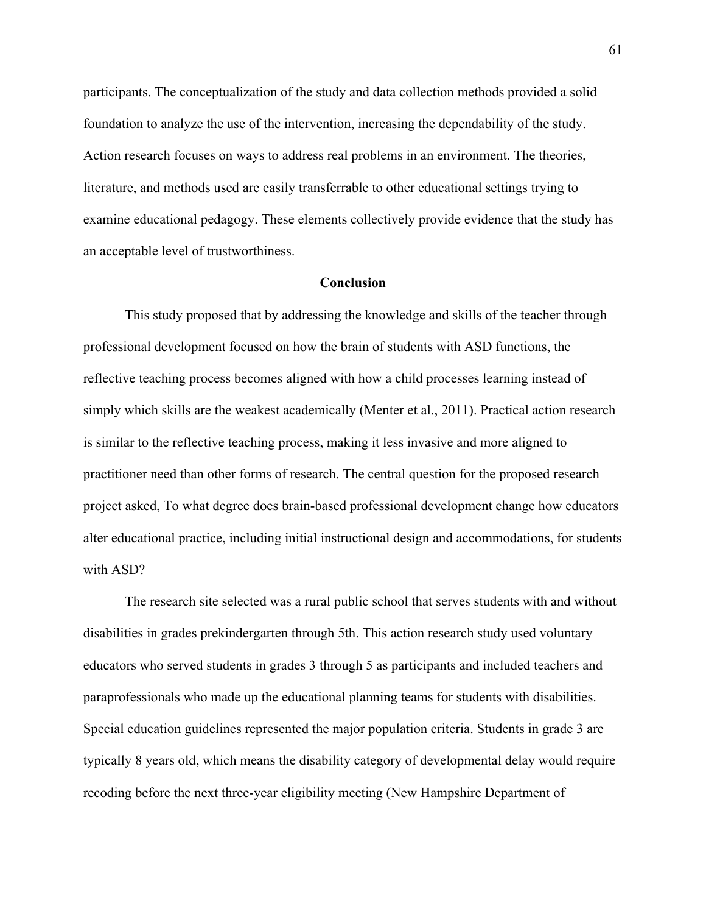participants. The conceptualization of the study and data collection methods provided a solid foundation to analyze the use of the intervention, increasing the dependability of the study. Action research focuses on ways to address real problems in an environment. The theories, literature, and methods used are easily transferrable to other educational settings trying to examine educational pedagogy. These elements collectively provide evidence that the study has an acceptable level of trustworthiness.

### **Conclusion**

This study proposed that by addressing the knowledge and skills of the teacher through professional development focused on how the brain of students with ASD functions, the reflective teaching process becomes aligned with how a child processes learning instead of simply which skills are the weakest academically (Menter et al., 2011). Practical action research is similar to the reflective teaching process, making it less invasive and more aligned to practitioner need than other forms of research. The central question for the proposed research project asked, To what degree does brain-based professional development change how educators alter educational practice, including initial instructional design and accommodations, for students with ASD?

The research site selected was a rural public school that serves students with and without disabilities in grades prekindergarten through 5th. This action research study used voluntary educators who served students in grades 3 through 5 as participants and included teachers and paraprofessionals who made up the educational planning teams for students with disabilities. Special education guidelines represented the major population criteria. Students in grade 3 are typically 8 years old, which means the disability category of developmental delay would require recoding before the next three-year eligibility meeting (New Hampshire Department of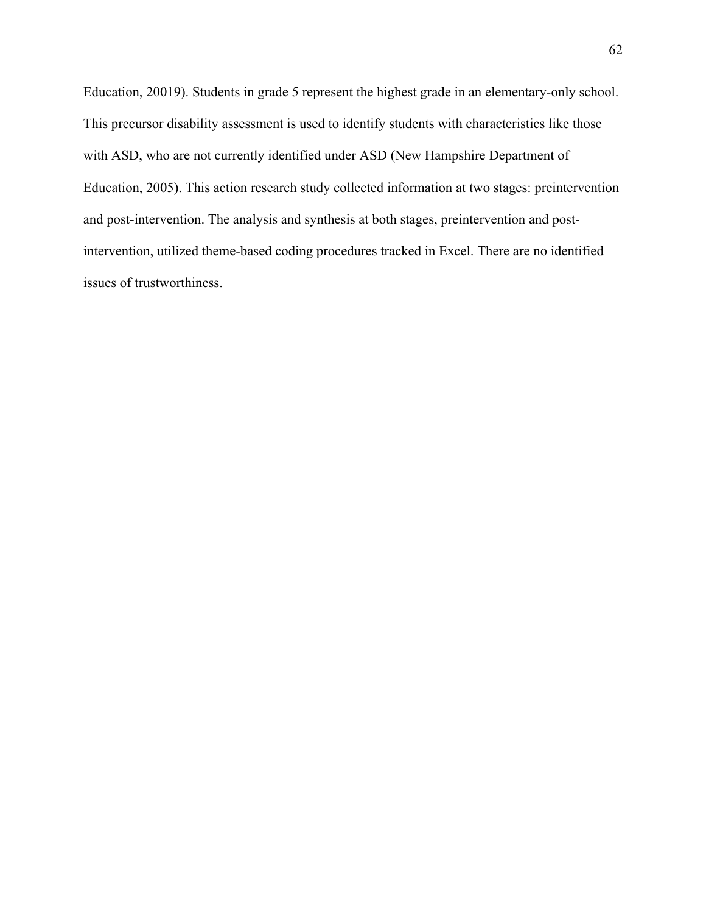Education, 20019). Students in grade 5 represent the highest grade in an elementary-only school. This precursor disability assessment is used to identify students with characteristics like those with ASD, who are not currently identified under ASD (New Hampshire Department of Education, 2005). This action research study collected information at two stages: preintervention and post-intervention. The analysis and synthesis at both stages, preintervention and postintervention, utilized theme-based coding procedures tracked in Excel. There are no identified issues of trustworthiness.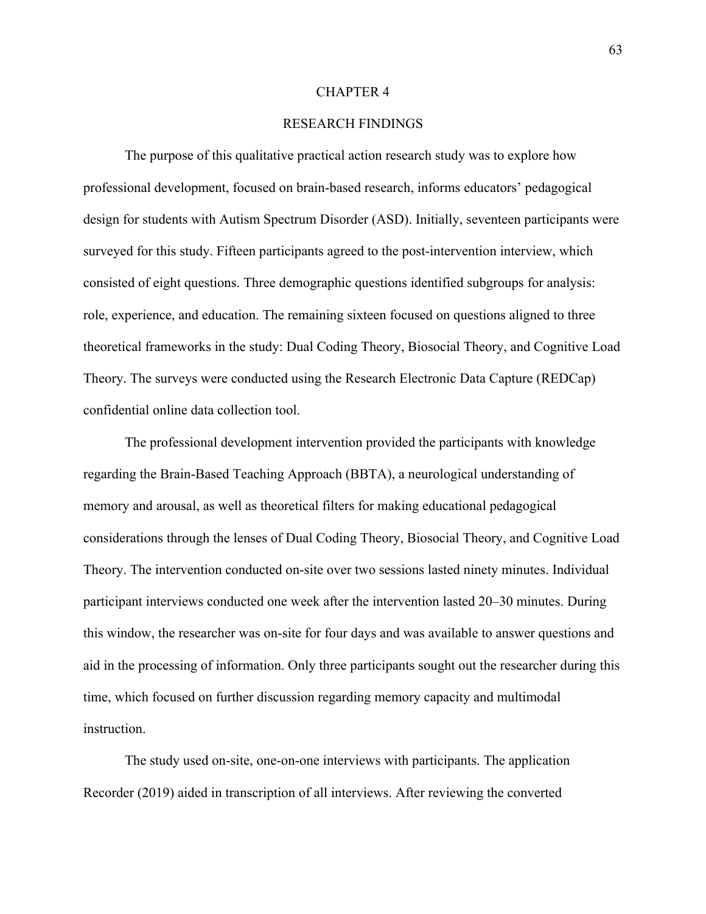### CHAPTER 4

# RESEARCH FINDINGS

The purpose of this qualitative practical action research study was to explore how professional development, focused on brain-based research, informs educators' pedagogical design for students with Autism Spectrum Disorder (ASD). Initially, seventeen participants were surveyed for this study. Fifteen participants agreed to the post-intervention interview, which consisted of eight questions. Three demographic questions identified subgroups for analysis: role, experience, and education. The remaining sixteen focused on questions aligned to three theoretical frameworks in the study: Dual Coding Theory, Biosocial Theory, and Cognitive Load Theory. The surveys were conducted using the Research Electronic Data Capture (REDCap) confidential online data collection tool.

The professional development intervention provided the participants with knowledge regarding the Brain-Based Teaching Approach (BBTA), a neurological understanding of memory and arousal, as well as theoretical filters for making educational pedagogical considerations through the lenses of Dual Coding Theory, Biosocial Theory, and Cognitive Load Theory. The intervention conducted on-site over two sessions lasted ninety minutes. Individual participant interviews conducted one week after the intervention lasted 20–30 minutes. During this window, the researcher was on-site for four days and was available to answer questions and aid in the processing of information. Only three participants sought out the researcher during this time, which focused on further discussion regarding memory capacity and multimodal instruction.

The study used on-site, one-on-one interviews with participants. The application Recorder (2019) aided in transcription of all interviews. After reviewing the converted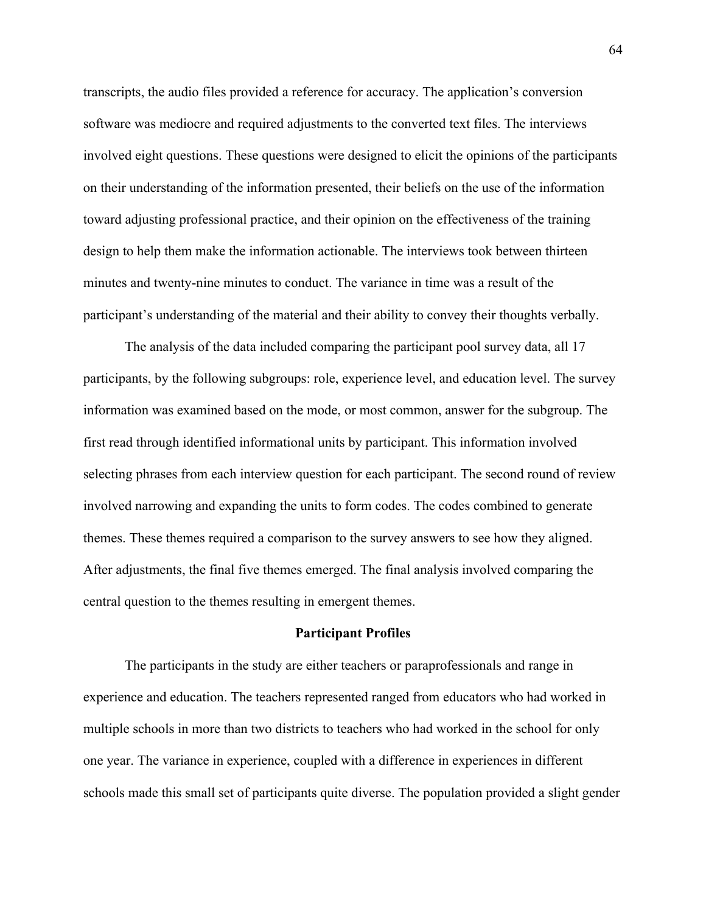transcripts, the audio files provided a reference for accuracy. The application's conversion software was mediocre and required adjustments to the converted text files. The interviews involved eight questions. These questions were designed to elicit the opinions of the participants on their understanding of the information presented, their beliefs on the use of the information toward adjusting professional practice, and their opinion on the effectiveness of the training design to help them make the information actionable. The interviews took between thirteen minutes and twenty-nine minutes to conduct. The variance in time was a result of the participant's understanding of the material and their ability to convey their thoughts verbally.

The analysis of the data included comparing the participant pool survey data, all 17 participants, by the following subgroups: role, experience level, and education level. The survey information was examined based on the mode, or most common, answer for the subgroup. The first read through identified informational units by participant. This information involved selecting phrases from each interview question for each participant. The second round of review involved narrowing and expanding the units to form codes. The codes combined to generate themes. These themes required a comparison to the survey answers to see how they aligned. After adjustments, the final five themes emerged. The final analysis involved comparing the central question to the themes resulting in emergent themes.

#### **Participant Profiles**

The participants in the study are either teachers or paraprofessionals and range in experience and education. The teachers represented ranged from educators who had worked in multiple schools in more than two districts to teachers who had worked in the school for only one year. The variance in experience, coupled with a difference in experiences in different schools made this small set of participants quite diverse. The population provided a slight gender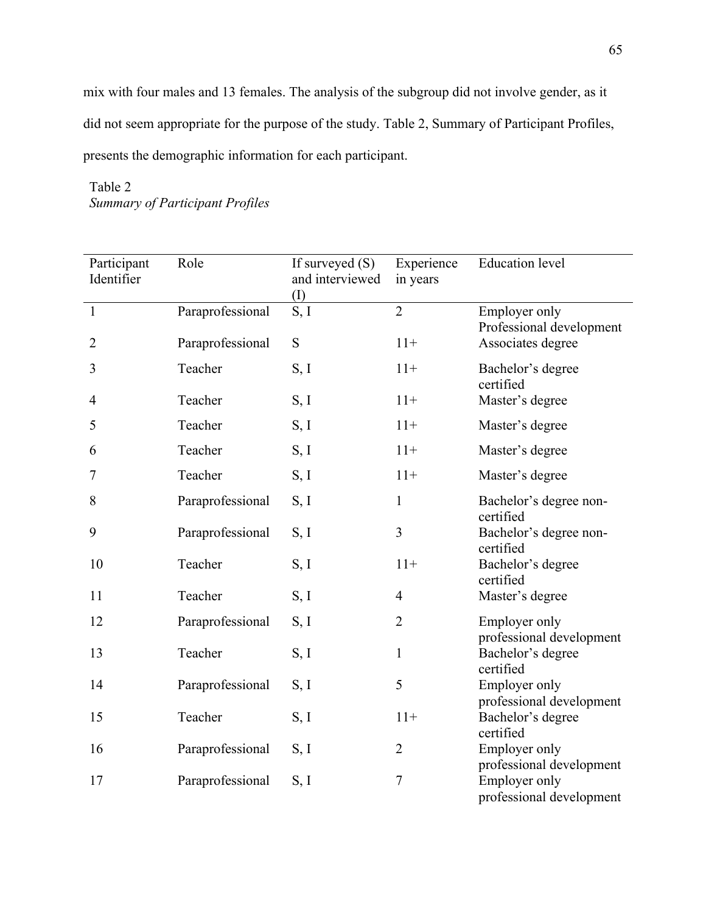mix with four males and 13 females. The analysis of the subgroup did not involve gender, as it did not seem appropriate for the purpose of the study. Table 2, Summary of Participant Profiles, presents the demographic information for each participant.

# Table 2 *Summary of Participant Profiles*

| Participant<br>Identifier | Role             | If surveyed $(S)$<br>and interviewed<br>(I) | Experience<br>in years | <b>Education</b> level                           |
|---------------------------|------------------|---------------------------------------------|------------------------|--------------------------------------------------|
| $\mathbf{1}$              | Paraprofessional | S, I                                        | $\overline{2}$         | Employer only<br>Professional development        |
| $\overline{2}$            | Paraprofessional | S                                           | $11+$                  | Associates degree                                |
| $\mathfrak{Z}$            | Teacher          | S, I                                        | $11+$                  | Bachelor's degree<br>certified                   |
| 4                         | Teacher          | S, I                                        | $11+$                  | Master's degree                                  |
| 5                         | Teacher          | S, I                                        | $11+$                  | Master's degree                                  |
| 6                         | Teacher          | S, I                                        | $11+$                  | Master's degree                                  |
| 7                         | Teacher          | S, I                                        | $11+$                  | Master's degree                                  |
| 8                         | Paraprofessional | S, I                                        | $\mathbf{1}$           | Bachelor's degree non-<br>certified              |
| 9                         | Paraprofessional | S, I                                        | 3                      | Bachelor's degree non-<br>certified              |
| 10                        | Teacher          | S, I                                        | $11+$                  | Bachelor's degree<br>certified                   |
| 11                        | Teacher          | S, I                                        | $\overline{4}$         | Master's degree                                  |
| 12                        | Paraprofessional | S, I                                        | $\overline{2}$         | Employer only<br>professional development        |
| 13                        | Teacher          | S, I                                        | $\mathbf{1}$           | Bachelor's degree<br>certified                   |
| 14                        | Paraprofessional | S, I                                        | 5                      | Employer only<br>professional development        |
| 15                        | Teacher          | S, I                                        | $11+$                  | Bachelor's degree<br>certified                   |
| 16                        | Paraprofessional | S, I                                        | $\overline{2}$         | <b>Employer only</b><br>professional development |
| 17                        | Paraprofessional | S, I                                        | $\overline{7}$         | Employer only<br>professional development        |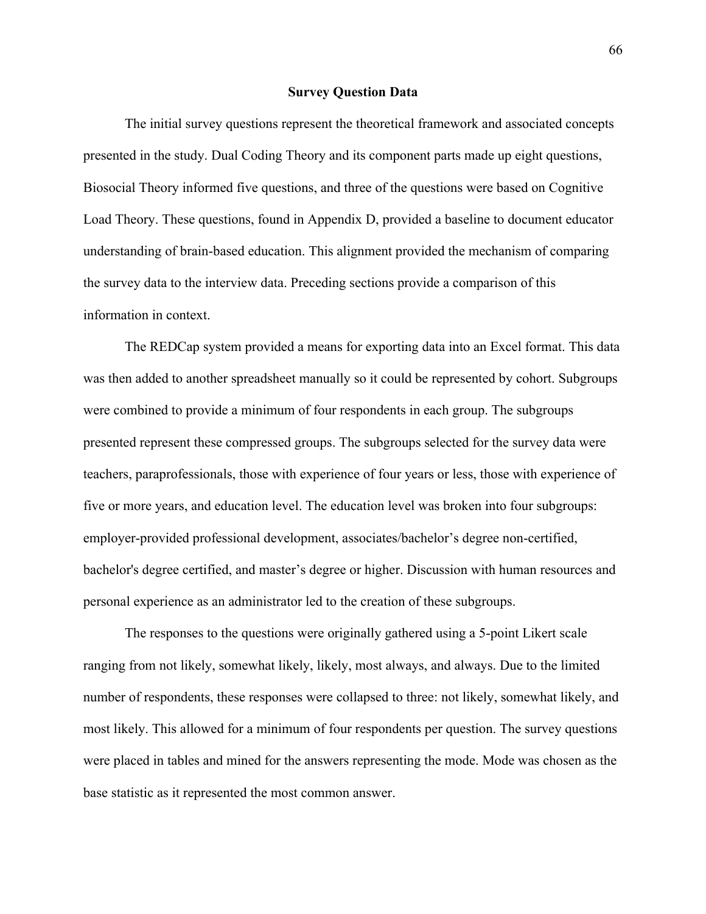#### **Survey Question Data**

The initial survey questions represent the theoretical framework and associated concepts presented in the study. Dual Coding Theory and its component parts made up eight questions, Biosocial Theory informed five questions, and three of the questions were based on Cognitive Load Theory. These questions, found in Appendix D, provided a baseline to document educator understanding of brain-based education. This alignment provided the mechanism of comparing the survey data to the interview data. Preceding sections provide a comparison of this information in context.

The REDCap system provided a means for exporting data into an Excel format. This data was then added to another spreadsheet manually so it could be represented by cohort. Subgroups were combined to provide a minimum of four respondents in each group. The subgroups presented represent these compressed groups. The subgroups selected for the survey data were teachers, paraprofessionals, those with experience of four years or less, those with experience of five or more years, and education level. The education level was broken into four subgroups: employer-provided professional development, associates/bachelor's degree non-certified, bachelor's degree certified, and master's degree or higher. Discussion with human resources and personal experience as an administrator led to the creation of these subgroups.

The responses to the questions were originally gathered using a 5-point Likert scale ranging from not likely, somewhat likely, likely, most always, and always. Due to the limited number of respondents, these responses were collapsed to three: not likely, somewhat likely, and most likely. This allowed for a minimum of four respondents per question. The survey questions were placed in tables and mined for the answers representing the mode. Mode was chosen as the base statistic as it represented the most common answer.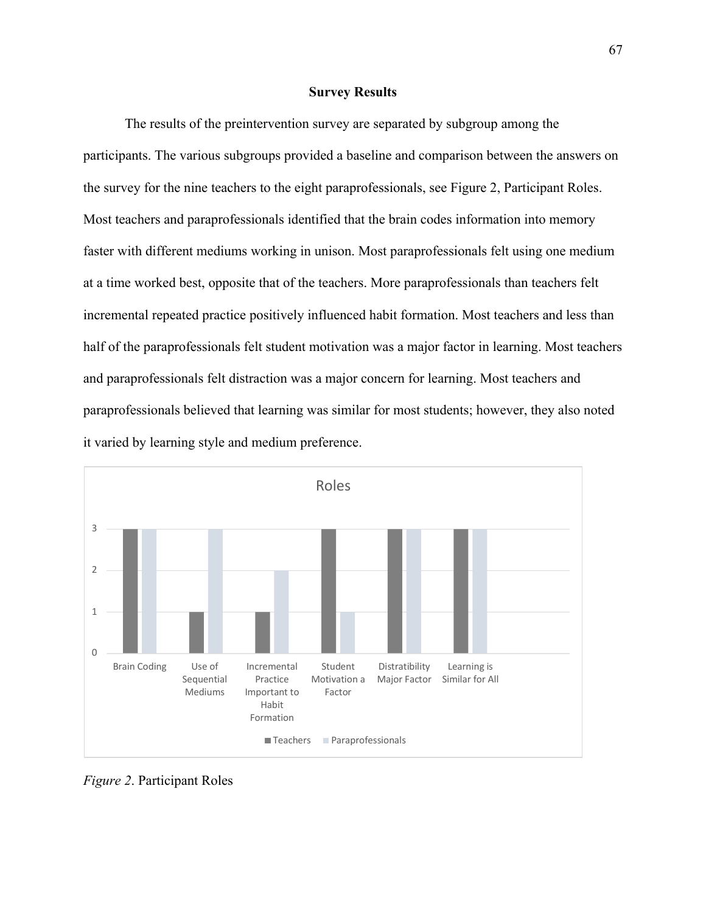### **Survey Results**

The results of the preintervention survey are separated by subgroup among the participants. The various subgroups provided a baseline and comparison between the answers on the survey for the nine teachers to the eight paraprofessionals, see Figure 2, Participant Roles. Most teachers and paraprofessionals identified that the brain codes information into memory faster with different mediums working in unison. Most paraprofessionals felt using one medium at a time worked best, opposite that of the teachers. More paraprofessionals than teachers felt incremental repeated practice positively influenced habit formation. Most teachers and less than half of the paraprofessionals felt student motivation was a major factor in learning. Most teachers and paraprofessionals felt distraction was a major concern for learning. Most teachers and paraprofessionals believed that learning was similar for most students; however, they also noted it varied by learning style and medium preference.



*Figure 2*. Participant Roles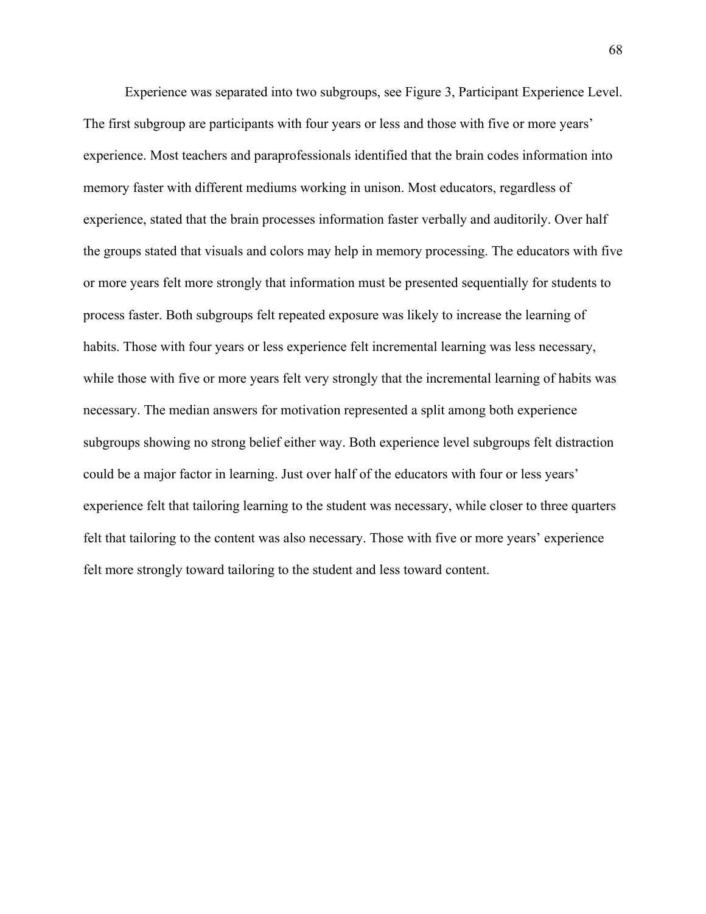Experience was separated into two subgroups, see Figure 3, Participant Experience Level. The first subgroup are participants with four years or less and those with five or more years' experience. Most teachers and paraprofessionals identified that the brain codes information into memory faster with different mediums working in unison. Most educators, regardless of experience, stated that the brain processes information faster verbally and auditorily. Over half the groups stated that visuals and colors may help in memory processing. The educators with five or more years felt more strongly that information must be presented sequentially for students to process faster. Both subgroups felt repeated exposure was likely to increase the learning of habits. Those with four years or less experience felt incremental learning was less necessary, while those with five or more years felt very strongly that the incremental learning of habits was necessary. The median answers for motivation represented a split among both experience subgroups showing no strong belief either way. Both experience level subgroups felt distraction could be a major factor in learning. Just over half of the educators with four or less years' experience felt that tailoring learning to the student was necessary, while closer to three quarters felt that tailoring to the content was also necessary. Those with five or more years' experience felt more strongly toward tailoring to the student and less toward content.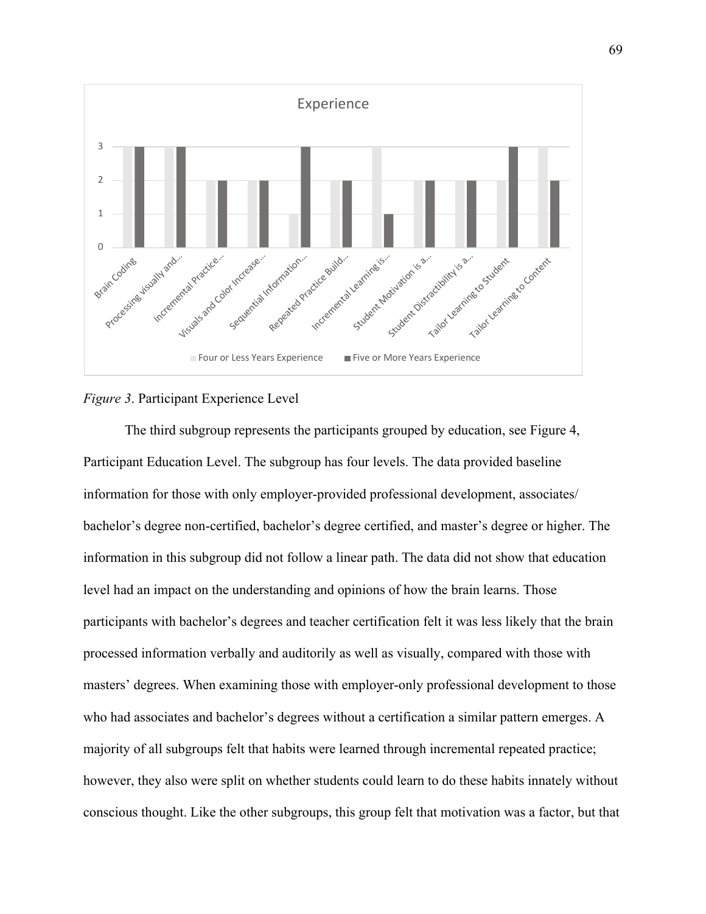

### *Figure 3*. Participant Experience Level

The third subgroup represents the participants grouped by education, see Figure 4, Participant Education Level. The subgroup has four levels. The data provided baseline information for those with only employer-provided professional development, associates/ bachelor's degree non-certified, bachelor's degree certified, and master's degree or higher. The information in this subgroup did not follow a linear path. The data did not show that education level had an impact on the understanding and opinions of how the brain learns. Those participants with bachelor's degrees and teacher certification felt it was less likely that the brain processed information verbally and auditorily as well as visually, compared with those with masters' degrees. When examining those with employer-only professional development to those who had associates and bachelor's degrees without a certification a similar pattern emerges. A majority of all subgroups felt that habits were learned through incremental repeated practice; however, they also were split on whether students could learn to do these habits innately without conscious thought. Like the other subgroups, this group felt that motivation was a factor, but that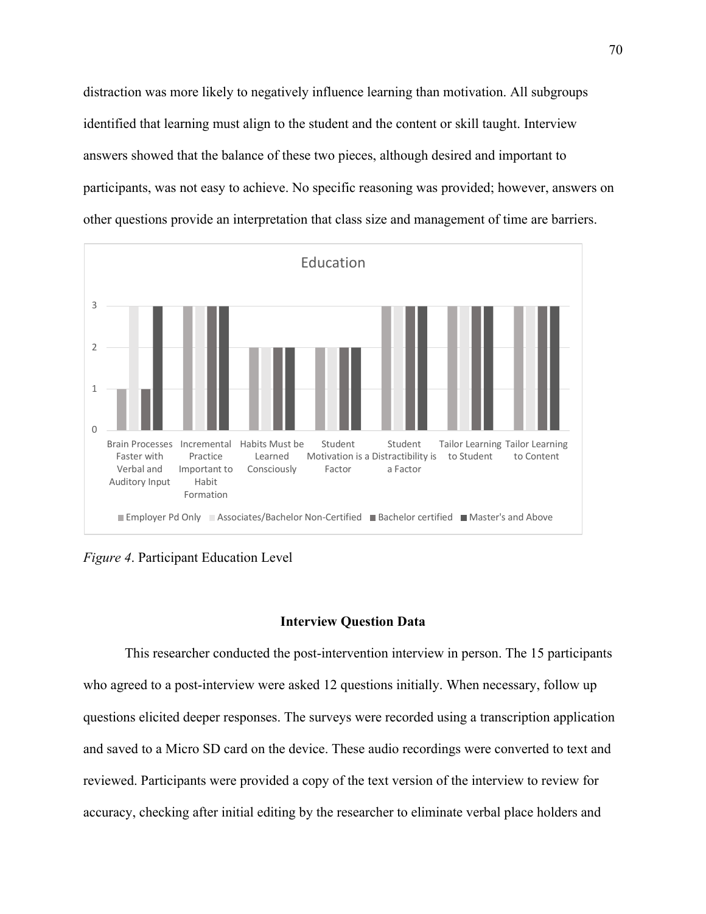distraction was more likely to negatively influence learning than motivation. All subgroups identified that learning must align to the student and the content or skill taught. Interview answers showed that the balance of these two pieces, although desired and important to participants, was not easy to achieve. No specific reasoning was provided; however, answers on other questions provide an interpretation that class size and management of time are barriers.



*Figure 4*. Participant Education Level

### **Interview Question Data**

This researcher conducted the post-intervention interview in person. The 15 participants who agreed to a post-interview were asked 12 questions initially. When necessary, follow up questions elicited deeper responses. The surveys were recorded using a transcription application and saved to a Micro SD card on the device. These audio recordings were converted to text and reviewed. Participants were provided a copy of the text version of the interview to review for accuracy, checking after initial editing by the researcher to eliminate verbal place holders and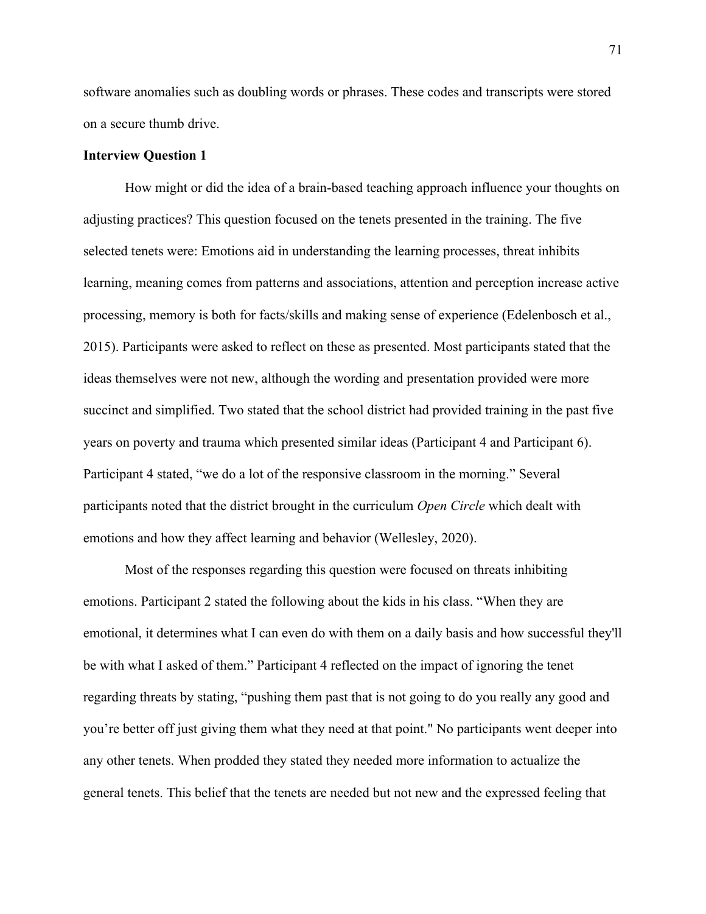software anomalies such as doubling words or phrases. These codes and transcripts were stored on a secure thumb drive.

### **Interview Question 1**

How might or did the idea of a brain-based teaching approach influence your thoughts on adjusting practices? This question focused on the tenets presented in the training. The five selected tenets were: Emotions aid in understanding the learning processes, threat inhibits learning, meaning comes from patterns and associations, attention and perception increase active processing, memory is both for facts/skills and making sense of experience (Edelenbosch et al., 2015). Participants were asked to reflect on these as presented. Most participants stated that the ideas themselves were not new, although the wording and presentation provided were more succinct and simplified. Two stated that the school district had provided training in the past five years on poverty and trauma which presented similar ideas (Participant 4 and Participant 6). Participant 4 stated, "we do a lot of the responsive classroom in the morning." Several participants noted that the district brought in the curriculum *Open Circle* which dealt with emotions and how they affect learning and behavior (Wellesley, 2020).

Most of the responses regarding this question were focused on threats inhibiting emotions. Participant 2 stated the following about the kids in his class. "When they are emotional, it determines what I can even do with them on a daily basis and how successful they'll be with what I asked of them." Participant 4 reflected on the impact of ignoring the tenet regarding threats by stating, "pushing them past that is not going to do you really any good and you're better off just giving them what they need at that point." No participants went deeper into any other tenets. When prodded they stated they needed more information to actualize the general tenets. This belief that the tenets are needed but not new and the expressed feeling that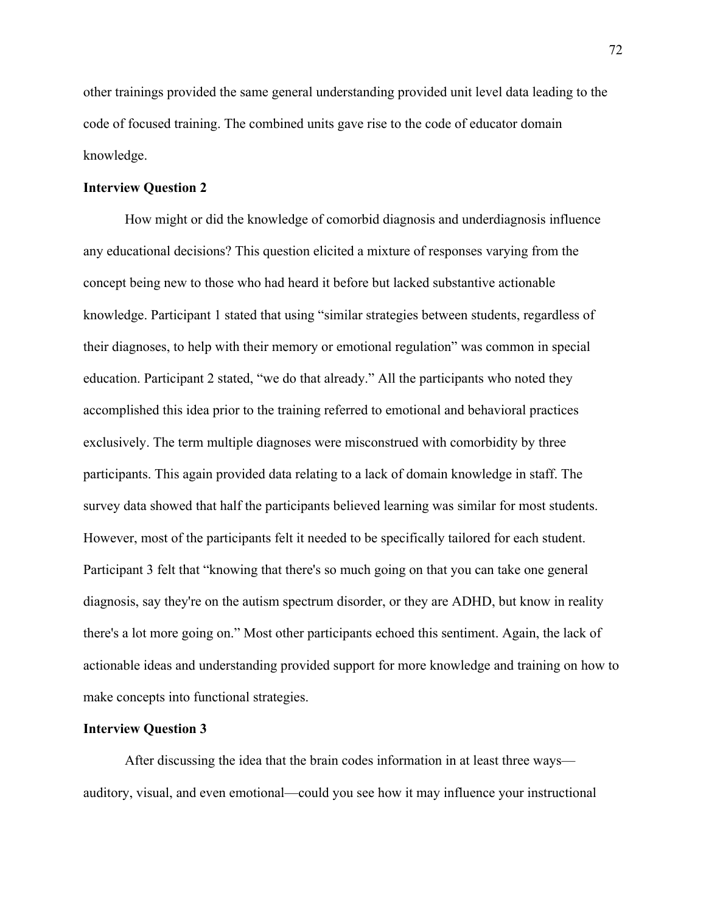other trainings provided the same general understanding provided unit level data leading to the code of focused training. The combined units gave rise to the code of educator domain knowledge.

### **Interview Question 2**

How might or did the knowledge of comorbid diagnosis and underdiagnosis influence any educational decisions? This question elicited a mixture of responses varying from the concept being new to those who had heard it before but lacked substantive actionable knowledge. Participant 1 stated that using "similar strategies between students, regardless of their diagnoses, to help with their memory or emotional regulation" was common in special education. Participant 2 stated, "we do that already." All the participants who noted they accomplished this idea prior to the training referred to emotional and behavioral practices exclusively. The term multiple diagnoses were misconstrued with comorbidity by three participants. This again provided data relating to a lack of domain knowledge in staff. The survey data showed that half the participants believed learning was similar for most students. However, most of the participants felt it needed to be specifically tailored for each student. Participant 3 felt that "knowing that there's so much going on that you can take one general diagnosis, say they're on the autism spectrum disorder, or they are ADHD, but know in reality there's a lot more going on." Most other participants echoed this sentiment. Again, the lack of actionable ideas and understanding provided support for more knowledge and training on how to make concepts into functional strategies.

#### **Interview Question 3**

After discussing the idea that the brain codes information in at least three ways auditory, visual, and even emotional—could you see how it may influence your instructional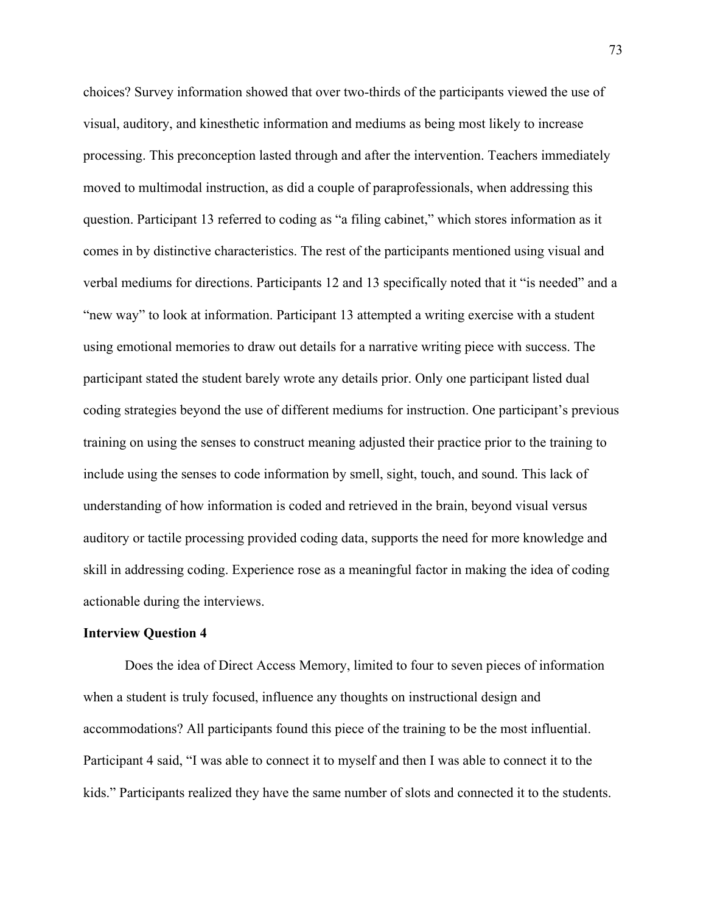choices? Survey information showed that over two-thirds of the participants viewed the use of visual, auditory, and kinesthetic information and mediums as being most likely to increase processing. This preconception lasted through and after the intervention. Teachers immediately moved to multimodal instruction, as did a couple of paraprofessionals, when addressing this question. Participant 13 referred to coding as "a filing cabinet," which stores information as it comes in by distinctive characteristics. The rest of the participants mentioned using visual and verbal mediums for directions. Participants 12 and 13 specifically noted that it "is needed" and a "new way" to look at information. Participant 13 attempted a writing exercise with a student using emotional memories to draw out details for a narrative writing piece with success. The participant stated the student barely wrote any details prior. Only one participant listed dual coding strategies beyond the use of different mediums for instruction. One participant's previous training on using the senses to construct meaning adjusted their practice prior to the training to include using the senses to code information by smell, sight, touch, and sound. This lack of understanding of how information is coded and retrieved in the brain, beyond visual versus auditory or tactile processing provided coding data, supports the need for more knowledge and skill in addressing coding. Experience rose as a meaningful factor in making the idea of coding actionable during the interviews.

#### **Interview Question 4**

Does the idea of Direct Access Memory, limited to four to seven pieces of information when a student is truly focused, influence any thoughts on instructional design and accommodations? All participants found this piece of the training to be the most influential. Participant 4 said, "I was able to connect it to myself and then I was able to connect it to the kids." Participants realized they have the same number of slots and connected it to the students.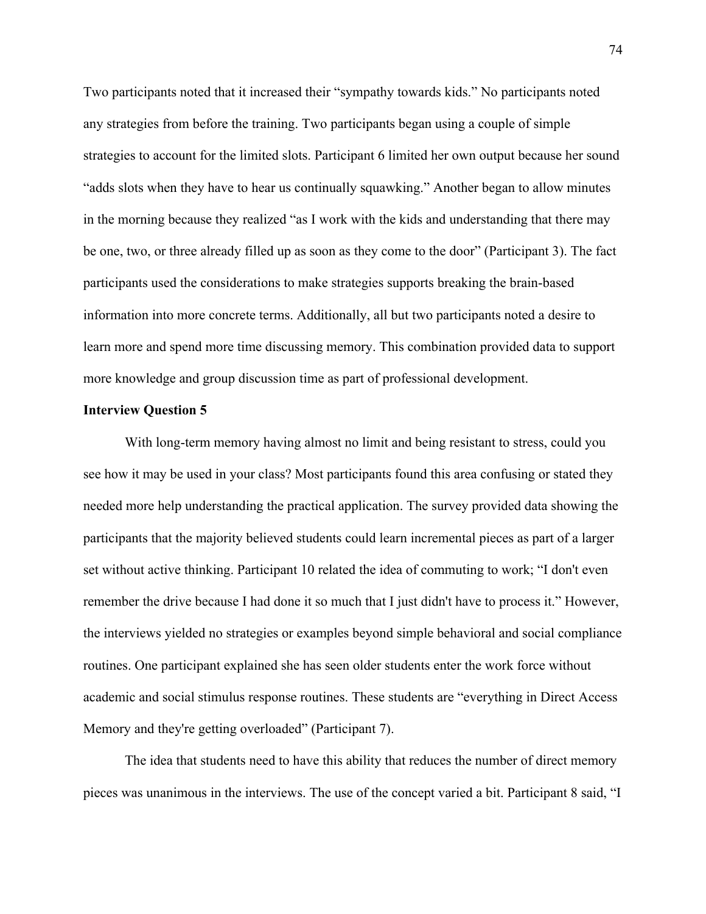Two participants noted that it increased their "sympathy towards kids." No participants noted any strategies from before the training. Two participants began using a couple of simple strategies to account for the limited slots. Participant 6 limited her own output because her sound "adds slots when they have to hear us continually squawking." Another began to allow minutes in the morning because they realized "as I work with the kids and understanding that there may be one, two, or three already filled up as soon as they come to the door" (Participant 3). The fact participants used the considerations to make strategies supports breaking the brain-based information into more concrete terms. Additionally, all but two participants noted a desire to learn more and spend more time discussing memory. This combination provided data to support more knowledge and group discussion time as part of professional development.

#### **Interview Question 5**

With long-term memory having almost no limit and being resistant to stress, could you see how it may be used in your class? Most participants found this area confusing or stated they needed more help understanding the practical application. The survey provided data showing the participants that the majority believed students could learn incremental pieces as part of a larger set without active thinking. Participant 10 related the idea of commuting to work; "I don't even remember the drive because I had done it so much that I just didn't have to process it." However, the interviews yielded no strategies or examples beyond simple behavioral and social compliance routines. One participant explained she has seen older students enter the work force without academic and social stimulus response routines. These students are "everything in Direct Access Memory and they're getting overloaded" (Participant 7).

The idea that students need to have this ability that reduces the number of direct memory pieces was unanimous in the interviews. The use of the concept varied a bit. Participant 8 said, "I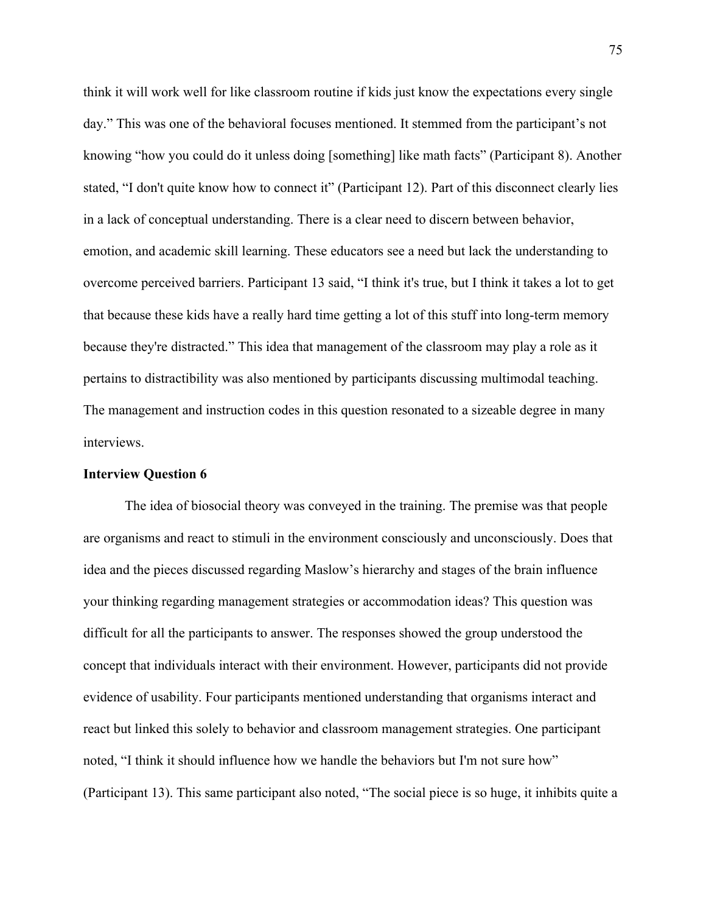think it will work well for like classroom routine if kids just know the expectations every single day." This was one of the behavioral focuses mentioned. It stemmed from the participant's not knowing "how you could do it unless doing [something] like math facts" (Participant 8). Another stated, "I don't quite know how to connect it" (Participant 12). Part of this disconnect clearly lies in a lack of conceptual understanding. There is a clear need to discern between behavior, emotion, and academic skill learning. These educators see a need but lack the understanding to overcome perceived barriers. Participant 13 said, "I think it's true, but I think it takes a lot to get that because these kids have a really hard time getting a lot of this stuff into long-term memory because they're distracted." This idea that management of the classroom may play a role as it pertains to distractibility was also mentioned by participants discussing multimodal teaching. The management and instruction codes in this question resonated to a sizeable degree in many interviews.

#### **Interview Question 6**

The idea of biosocial theory was conveyed in the training. The premise was that people are organisms and react to stimuli in the environment consciously and unconsciously. Does that idea and the pieces discussed regarding Maslow's hierarchy and stages of the brain influence your thinking regarding management strategies or accommodation ideas? This question was difficult for all the participants to answer. The responses showed the group understood the concept that individuals interact with their environment. However, participants did not provide evidence of usability. Four participants mentioned understanding that organisms interact and react but linked this solely to behavior and classroom management strategies. One participant noted, "I think it should influence how we handle the behaviors but I'm not sure how" (Participant 13). This same participant also noted, "The social piece is so huge, it inhibits quite a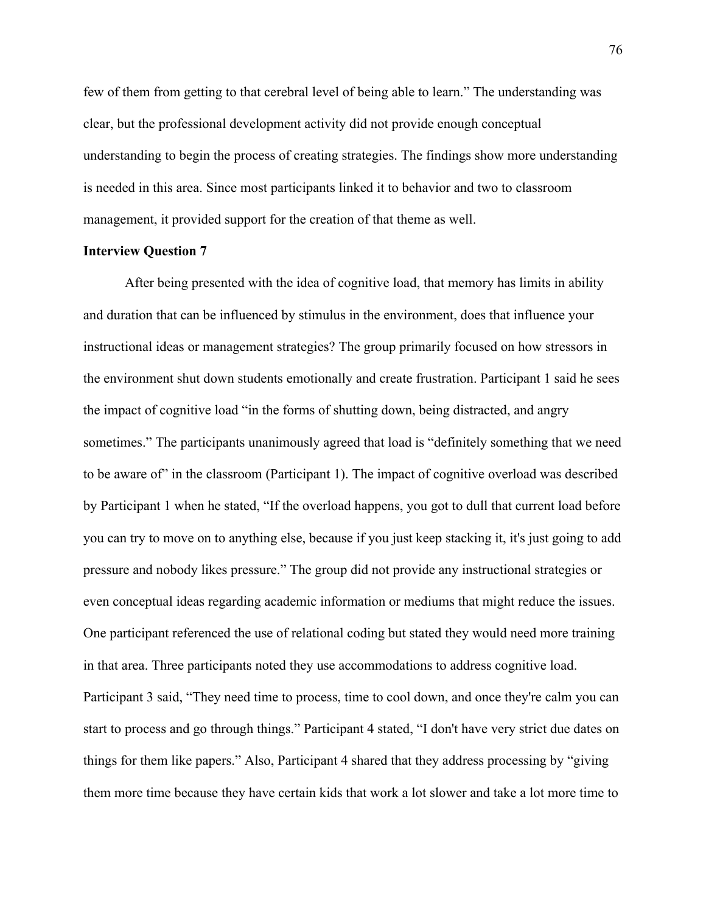few of them from getting to that cerebral level of being able to learn." The understanding was clear, but the professional development activity did not provide enough conceptual understanding to begin the process of creating strategies. The findings show more understanding is needed in this area. Since most participants linked it to behavior and two to classroom management, it provided support for the creation of that theme as well.

### **Interview Question 7**

After being presented with the idea of cognitive load, that memory has limits in ability and duration that can be influenced by stimulus in the environment, does that influence your instructional ideas or management strategies? The group primarily focused on how stressors in the environment shut down students emotionally and create frustration. Participant 1 said he sees the impact of cognitive load "in the forms of shutting down, being distracted, and angry sometimes." The participants unanimously agreed that load is "definitely something that we need to be aware of" in the classroom (Participant 1). The impact of cognitive overload was described by Participant 1 when he stated, "If the overload happens, you got to dull that current load before you can try to move on to anything else, because if you just keep stacking it, it's just going to add pressure and nobody likes pressure." The group did not provide any instructional strategies or even conceptual ideas regarding academic information or mediums that might reduce the issues. One participant referenced the use of relational coding but stated they would need more training in that area. Three participants noted they use accommodations to address cognitive load. Participant 3 said, "They need time to process, time to cool down, and once they're calm you can start to process and go through things." Participant 4 stated, "I don't have very strict due dates on things for them like papers." Also, Participant 4 shared that they address processing by "giving them more time because they have certain kids that work a lot slower and take a lot more time to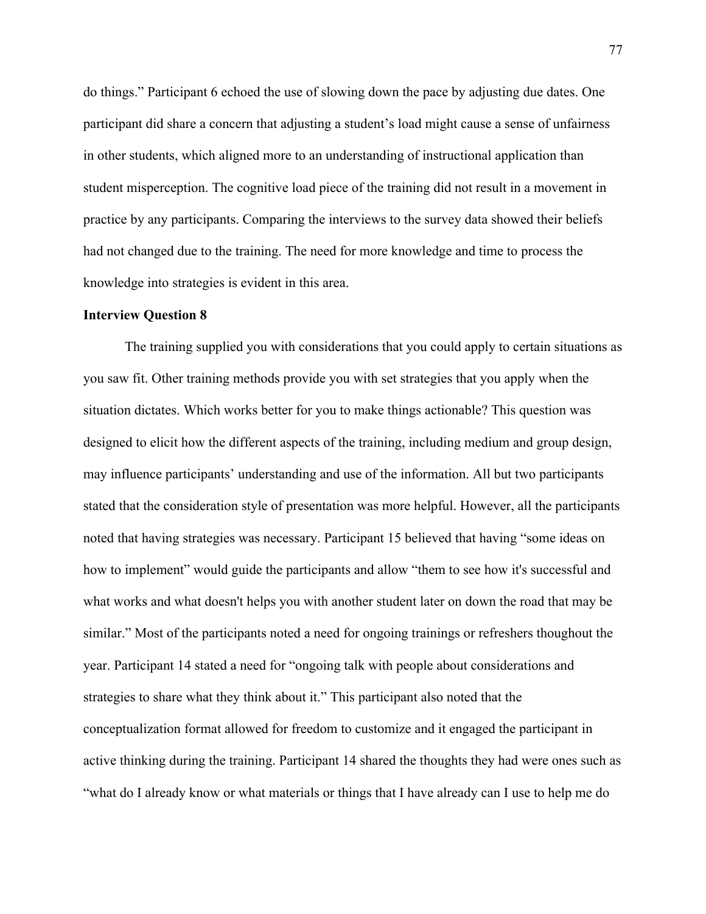do things." Participant 6 echoed the use of slowing down the pace by adjusting due dates. One participant did share a concern that adjusting a student's load might cause a sense of unfairness in other students, which aligned more to an understanding of instructional application than student misperception. The cognitive load piece of the training did not result in a movement in practice by any participants. Comparing the interviews to the survey data showed their beliefs had not changed due to the training. The need for more knowledge and time to process the knowledge into strategies is evident in this area.

### **Interview Question 8**

The training supplied you with considerations that you could apply to certain situations as you saw fit. Other training methods provide you with set strategies that you apply when the situation dictates. Which works better for you to make things actionable? This question was designed to elicit how the different aspects of the training, including medium and group design, may influence participants' understanding and use of the information. All but two participants stated that the consideration style of presentation was more helpful. However, all the participants noted that having strategies was necessary. Participant 15 believed that having "some ideas on how to implement" would guide the participants and allow "them to see how it's successful and what works and what doesn't helps you with another student later on down the road that may be similar." Most of the participants noted a need for ongoing trainings or refreshers thoughout the year. Participant 14 stated a need for "ongoing talk with people about considerations and strategies to share what they think about it." This participant also noted that the conceptualization format allowed for freedom to customize and it engaged the participant in active thinking during the training. Participant 14 shared the thoughts they had were ones such as "what do I already know or what materials or things that I have already can I use to help me do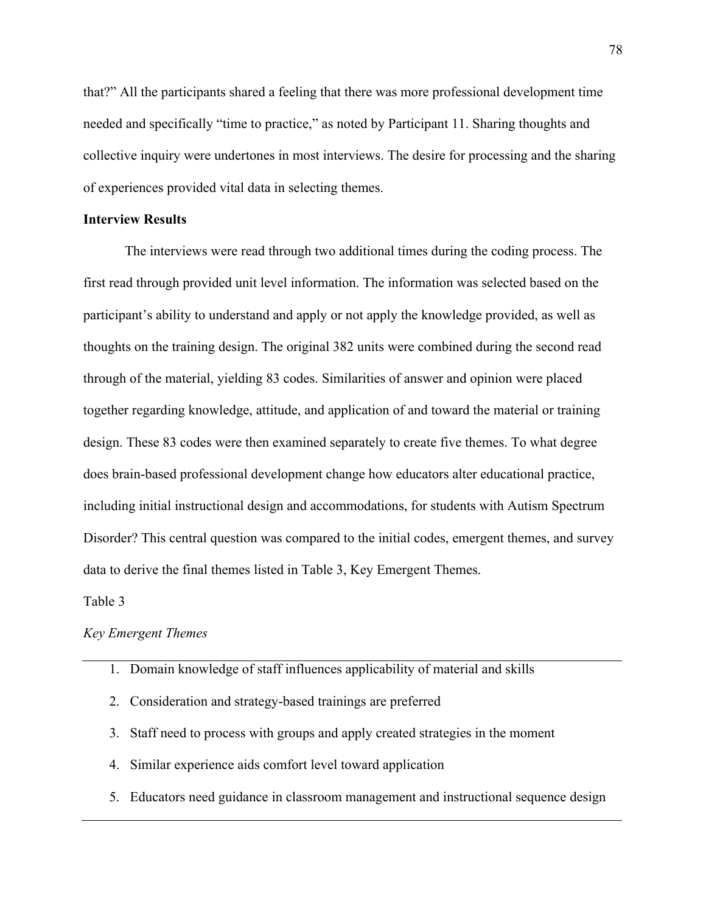that?" All the participants shared a feeling that there was more professional development time needed and specifically "time to practice," as noted by Participant 11. Sharing thoughts and collective inquiry were undertones in most interviews. The desire for processing and the sharing of experiences provided vital data in selecting themes.

### **Interview Results**

The interviews were read through two additional times during the coding process. The first read through provided unit level information. The information was selected based on the participant's ability to understand and apply or not apply the knowledge provided, as well as thoughts on the training design. The original 382 units were combined during the second read through of the material, yielding 83 codes. Similarities of answer and opinion were placed together regarding knowledge, attitude, and application of and toward the material or training design. These 83 codes were then examined separately to create five themes. To what degree does brain-based professional development change how educators alter educational practice, including initial instructional design and accommodations, for students with Autism Spectrum Disorder? This central question was compared to the initial codes, emergent themes, and survey data to derive the final themes listed in Table 3, Key Emergent Themes.

#### Table 3

### *Key Emergent Themes*

- 1. Domain knowledge of staff influences applicability of material and skills
- 2. Consideration and strategy-based trainings are preferred
- 3. Staff need to process with groups and apply created strategies in the moment
- 4. Similar experience aids comfort level toward application
- 5. Educators need guidance in classroom management and instructional sequence design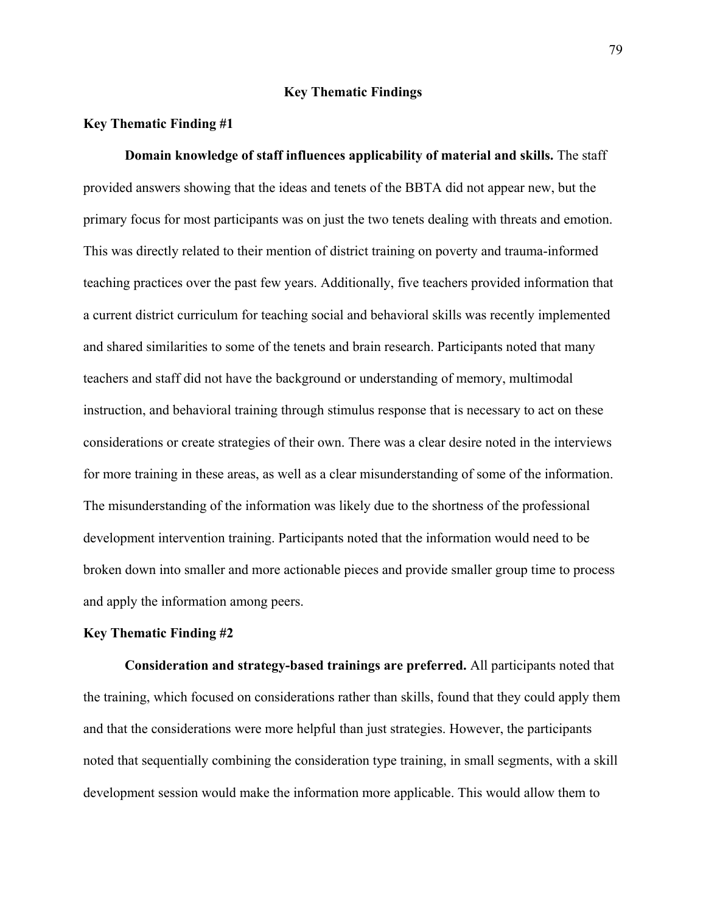### **Key Thematic Findings**

### **Key Thematic Finding #1**

**Domain knowledge of staff influences applicability of material and skills.** The staff provided answers showing that the ideas and tenets of the BBTA did not appear new, but the primary focus for most participants was on just the two tenets dealing with threats and emotion. This was directly related to their mention of district training on poverty and trauma-informed teaching practices over the past few years. Additionally, five teachers provided information that a current district curriculum for teaching social and behavioral skills was recently implemented and shared similarities to some of the tenets and brain research. Participants noted that many teachers and staff did not have the background or understanding of memory, multimodal instruction, and behavioral training through stimulus response that is necessary to act on these considerations or create strategies of their own. There was a clear desire noted in the interviews for more training in these areas, as well as a clear misunderstanding of some of the information. The misunderstanding of the information was likely due to the shortness of the professional development intervention training. Participants noted that the information would need to be broken down into smaller and more actionable pieces and provide smaller group time to process and apply the information among peers.

### **Key Thematic Finding #2**

**Consideration and strategy-based trainings are preferred.** All participants noted that the training, which focused on considerations rather than skills, found that they could apply them and that the considerations were more helpful than just strategies. However, the participants noted that sequentially combining the consideration type training, in small segments, with a skill development session would make the information more applicable. This would allow them to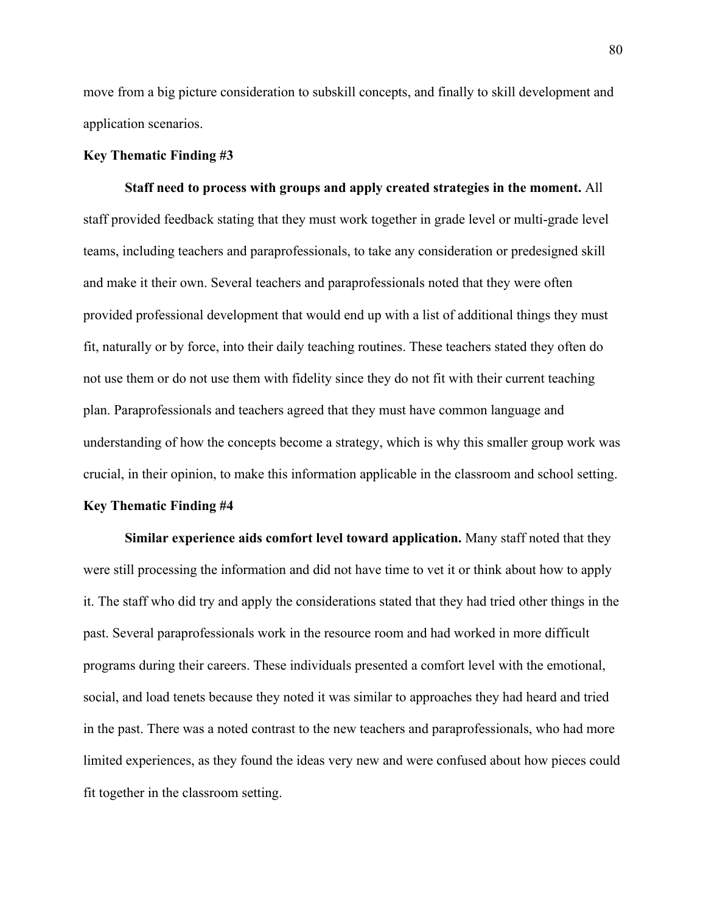move from a big picture consideration to subskill concepts, and finally to skill development and application scenarios.

### **Key Thematic Finding #3**

**Staff need to process with groups and apply created strategies in the moment.** All staff provided feedback stating that they must work together in grade level or multi-grade level teams, including teachers and paraprofessionals, to take any consideration or predesigned skill and make it their own. Several teachers and paraprofessionals noted that they were often provided professional development that would end up with a list of additional things they must fit, naturally or by force, into their daily teaching routines. These teachers stated they often do not use them or do not use them with fidelity since they do not fit with their current teaching plan. Paraprofessionals and teachers agreed that they must have common language and understanding of how the concepts become a strategy, which is why this smaller group work was crucial, in their opinion, to make this information applicable in the classroom and school setting.

#### **Key Thematic Finding #4**

**Similar experience aids comfort level toward application.** Many staff noted that they were still processing the information and did not have time to vet it or think about how to apply it. The staff who did try and apply the considerations stated that they had tried other things in the past. Several paraprofessionals work in the resource room and had worked in more difficult programs during their careers. These individuals presented a comfort level with the emotional, social, and load tenets because they noted it was similar to approaches they had heard and tried in the past. There was a noted contrast to the new teachers and paraprofessionals, who had more limited experiences, as they found the ideas very new and were confused about how pieces could fit together in the classroom setting.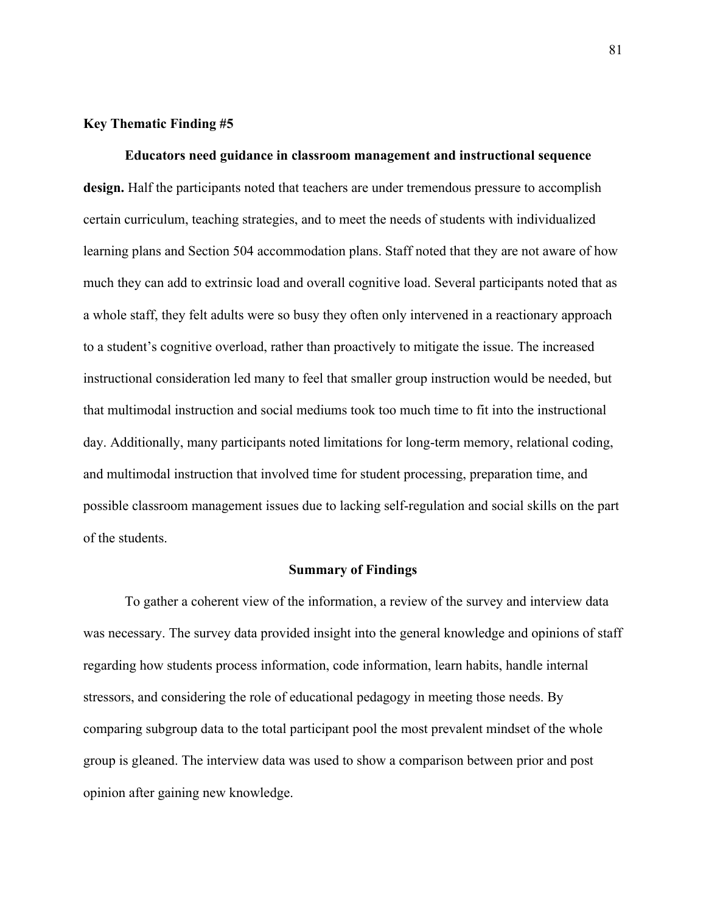### **Key Thematic Finding #5**

**Educators need guidance in classroom management and instructional sequence design.** Half the participants noted that teachers are under tremendous pressure to accomplish certain curriculum, teaching strategies, and to meet the needs of students with individualized learning plans and Section 504 accommodation plans. Staff noted that they are not aware of how much they can add to extrinsic load and overall cognitive load. Several participants noted that as a whole staff, they felt adults were so busy they often only intervened in a reactionary approach to a student's cognitive overload, rather than proactively to mitigate the issue. The increased instructional consideration led many to feel that smaller group instruction would be needed, but that multimodal instruction and social mediums took too much time to fit into the instructional day. Additionally, many participants noted limitations for long-term memory, relational coding, and multimodal instruction that involved time for student processing, preparation time, and possible classroom management issues due to lacking self-regulation and social skills on the part of the students.

#### **Summary of Findings**

To gather a coherent view of the information, a review of the survey and interview data was necessary. The survey data provided insight into the general knowledge and opinions of staff regarding how students process information, code information, learn habits, handle internal stressors, and considering the role of educational pedagogy in meeting those needs. By comparing subgroup data to the total participant pool the most prevalent mindset of the whole group is gleaned. The interview data was used to show a comparison between prior and post opinion after gaining new knowledge.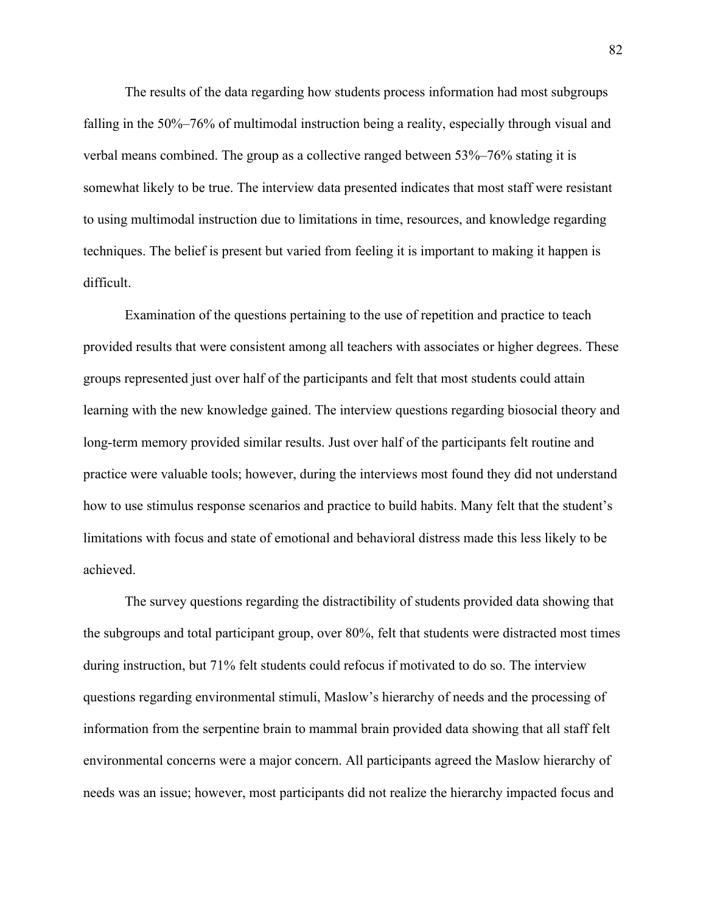The results of the data regarding how students process information had most subgroups falling in the 50%–76% of multimodal instruction being a reality, especially through visual and verbal means combined. The group as a collective ranged between 53%–76% stating it is somewhat likely to be true. The interview data presented indicates that most staff were resistant to using multimodal instruction due to limitations in time, resources, and knowledge regarding techniques. The belief is present but varied from feeling it is important to making it happen is difficult.

Examination of the questions pertaining to the use of repetition and practice to teach provided results that were consistent among all teachers with associates or higher degrees. These groups represented just over half of the participants and felt that most students could attain learning with the new knowledge gained. The interview questions regarding biosocial theory and long-term memory provided similar results. Just over half of the participants felt routine and practice were valuable tools; however, during the interviews most found they did not understand how to use stimulus response scenarios and practice to build habits. Many felt that the student's limitations with focus and state of emotional and behavioral distress made this less likely to be achieved.

The survey questions regarding the distractibility of students provided data showing that the subgroups and total participant group, over 80%, felt that students were distracted most times during instruction, but 71% felt students could refocus if motivated to do so. The interview questions regarding environmental stimuli, Maslow's hierarchy of needs and the processing of information from the serpentine brain to mammal brain provided data showing that all staff felt environmental concerns were a major concern. All participants agreed the Maslow hierarchy of needs was an issue; however, most participants did not realize the hierarchy impacted focus and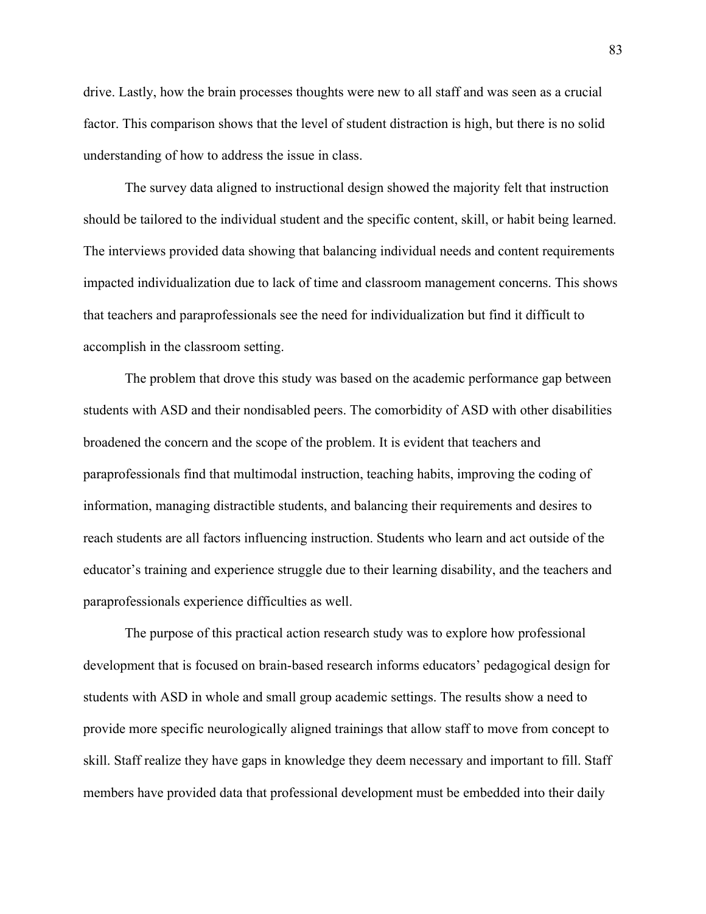drive. Lastly, how the brain processes thoughts were new to all staff and was seen as a crucial factor. This comparison shows that the level of student distraction is high, but there is no solid understanding of how to address the issue in class.

The survey data aligned to instructional design showed the majority felt that instruction should be tailored to the individual student and the specific content, skill, or habit being learned. The interviews provided data showing that balancing individual needs and content requirements impacted individualization due to lack of time and classroom management concerns. This shows that teachers and paraprofessionals see the need for individualization but find it difficult to accomplish in the classroom setting.

The problem that drove this study was based on the academic performance gap between students with ASD and their nondisabled peers. The comorbidity of ASD with other disabilities broadened the concern and the scope of the problem. It is evident that teachers and paraprofessionals find that multimodal instruction, teaching habits, improving the coding of information, managing distractible students, and balancing their requirements and desires to reach students are all factors influencing instruction. Students who learn and act outside of the educator's training and experience struggle due to their learning disability, and the teachers and paraprofessionals experience difficulties as well.

The purpose of this practical action research study was to explore how professional development that is focused on brain-based research informs educators' pedagogical design for students with ASD in whole and small group academic settings. The results show a need to provide more specific neurologically aligned trainings that allow staff to move from concept to skill. Staff realize they have gaps in knowledge they deem necessary and important to fill. Staff members have provided data that professional development must be embedded into their daily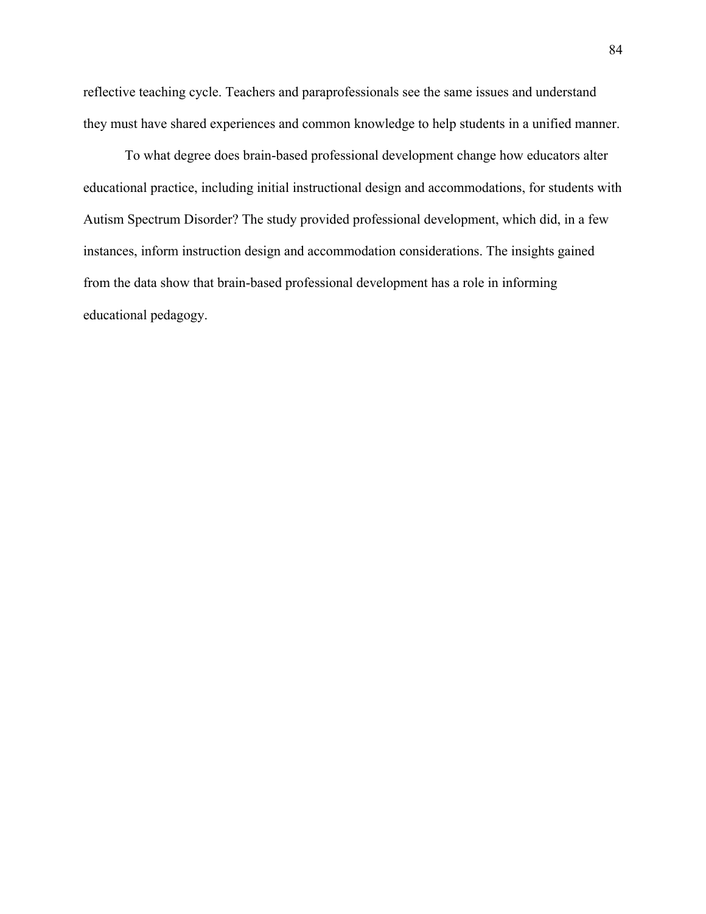reflective teaching cycle. Teachers and paraprofessionals see the same issues and understand they must have shared experiences and common knowledge to help students in a unified manner.

To what degree does brain-based professional development change how educators alter educational practice, including initial instructional design and accommodations, for students with Autism Spectrum Disorder? The study provided professional development, which did, in a few instances, inform instruction design and accommodation considerations. The insights gained from the data show that brain-based professional development has a role in informing educational pedagogy.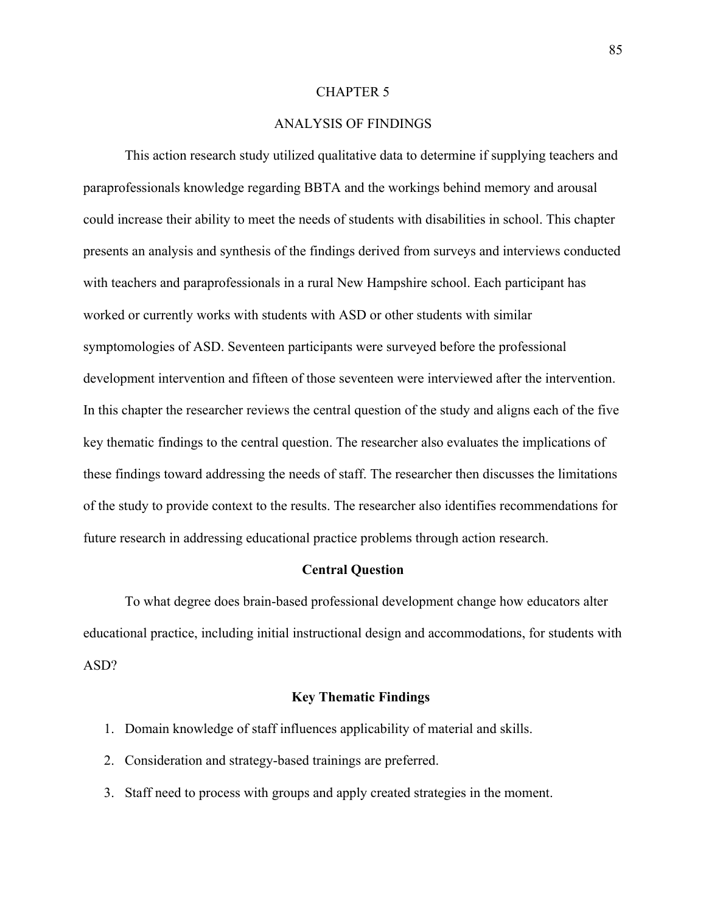### CHAPTER 5

# ANALYSIS OF FINDINGS

This action research study utilized qualitative data to determine if supplying teachers and paraprofessionals knowledge regarding BBTA and the workings behind memory and arousal could increase their ability to meet the needs of students with disabilities in school. This chapter presents an analysis and synthesis of the findings derived from surveys and interviews conducted with teachers and paraprofessionals in a rural New Hampshire school. Each participant has worked or currently works with students with ASD or other students with similar symptomologies of ASD. Seventeen participants were surveyed before the professional development intervention and fifteen of those seventeen were interviewed after the intervention. In this chapter the researcher reviews the central question of the study and aligns each of the five key thematic findings to the central question. The researcher also evaluates the implications of these findings toward addressing the needs of staff. The researcher then discusses the limitations of the study to provide context to the results. The researcher also identifies recommendations for future research in addressing educational practice problems through action research.

#### **Central Question**

To what degree does brain-based professional development change how educators alter educational practice, including initial instructional design and accommodations, for students with ASD?

### **Key Thematic Findings**

- 1. Domain knowledge of staff influences applicability of material and skills.
- 2. Consideration and strategy-based trainings are preferred.
- 3. Staff need to process with groups and apply created strategies in the moment.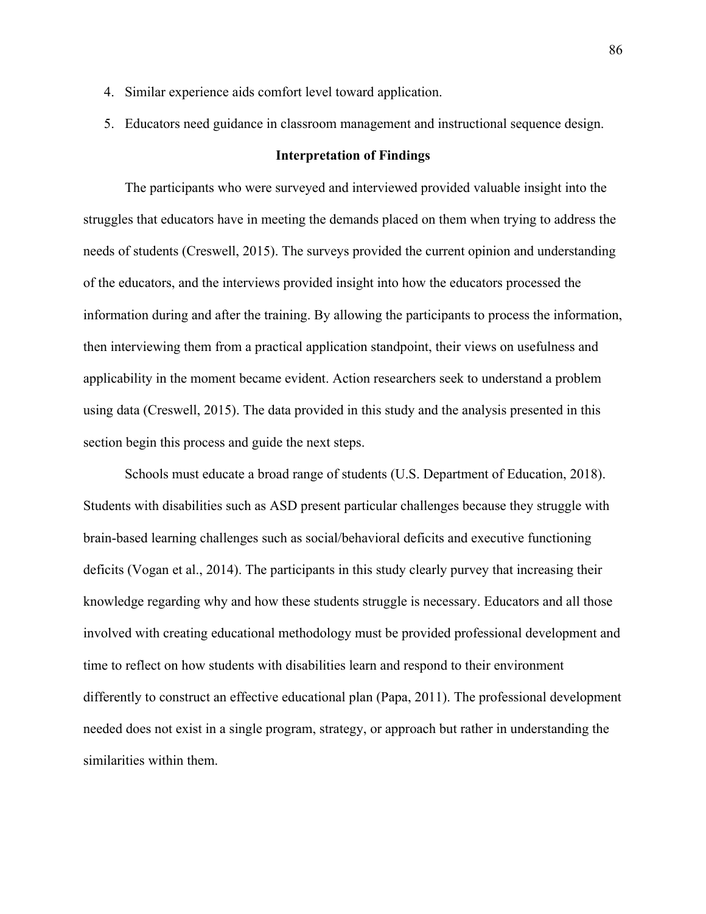- 4. Similar experience aids comfort level toward application.
- 5. Educators need guidance in classroom management and instructional sequence design.

### **Interpretation of Findings**

The participants who were surveyed and interviewed provided valuable insight into the struggles that educators have in meeting the demands placed on them when trying to address the needs of students (Creswell, 2015). The surveys provided the current opinion and understanding of the educators, and the interviews provided insight into how the educators processed the information during and after the training. By allowing the participants to process the information, then interviewing them from a practical application standpoint, their views on usefulness and applicability in the moment became evident. Action researchers seek to understand a problem using data (Creswell, 2015). The data provided in this study and the analysis presented in this section begin this process and guide the next steps.

Schools must educate a broad range of students (U.S. Department of Education, 2018). Students with disabilities such as ASD present particular challenges because they struggle with brain-based learning challenges such as social/behavioral deficits and executive functioning deficits (Vogan et al., 2014). The participants in this study clearly purvey that increasing their knowledge regarding why and how these students struggle is necessary. Educators and all those involved with creating educational methodology must be provided professional development and time to reflect on how students with disabilities learn and respond to their environment differently to construct an effective educational plan (Papa, 2011). The professional development needed does not exist in a single program, strategy, or approach but rather in understanding the similarities within them.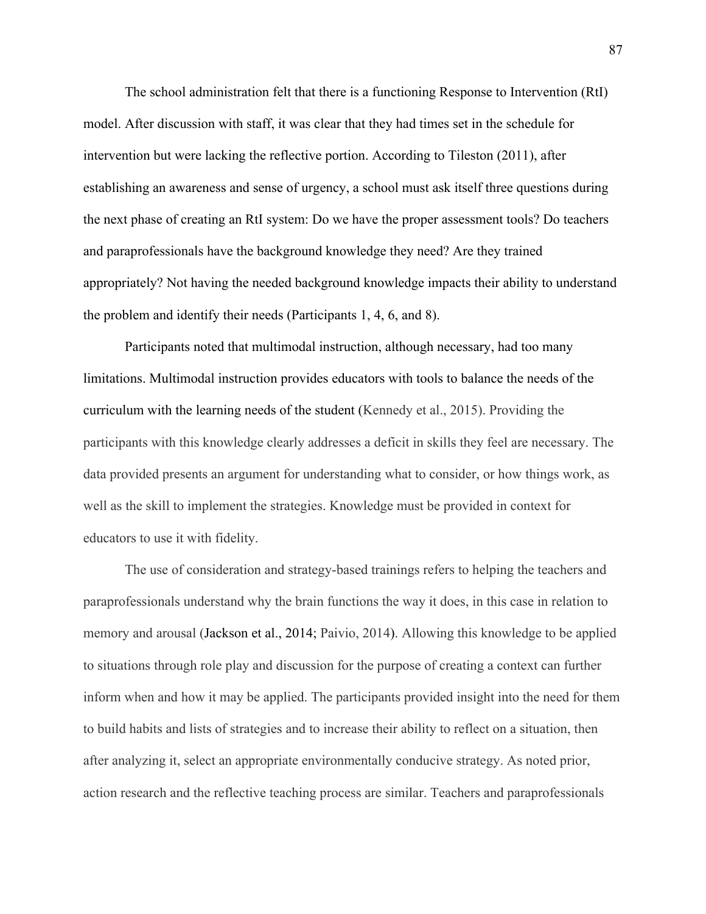The school administration felt that there is a functioning Response to Intervention (RtI) model. After discussion with staff, it was clear that they had times set in the schedule for intervention but were lacking the reflective portion. According to Tileston (2011), after establishing an awareness and sense of urgency, a school must ask itself three questions during the next phase of creating an RtI system: Do we have the proper assessment tools? Do teachers and paraprofessionals have the background knowledge they need? Are they trained appropriately? Not having the needed background knowledge impacts their ability to understand the problem and identify their needs (Participants 1, 4, 6, and 8).

Participants noted that multimodal instruction, although necessary, had too many limitations. Multimodal instruction provides educators with tools to balance the needs of the curriculum with the learning needs of the student (Kennedy et al., 2015). Providing the participants with this knowledge clearly addresses a deficit in skills they feel are necessary. The data provided presents an argument for understanding what to consider, or how things work, as well as the skill to implement the strategies. Knowledge must be provided in context for educators to use it with fidelity.

The use of consideration and strategy-based trainings refers to helping the teachers and paraprofessionals understand why the brain functions the way it does, in this case in relation to memory and arousal (Jackson et al., 2014; Paivio, 2014). Allowing this knowledge to be applied to situations through role play and discussion for the purpose of creating a context can further inform when and how it may be applied. The participants provided insight into the need for them to build habits and lists of strategies and to increase their ability to reflect on a situation, then after analyzing it, select an appropriate environmentally conducive strategy. As noted prior, action research and the reflective teaching process are similar. Teachers and paraprofessionals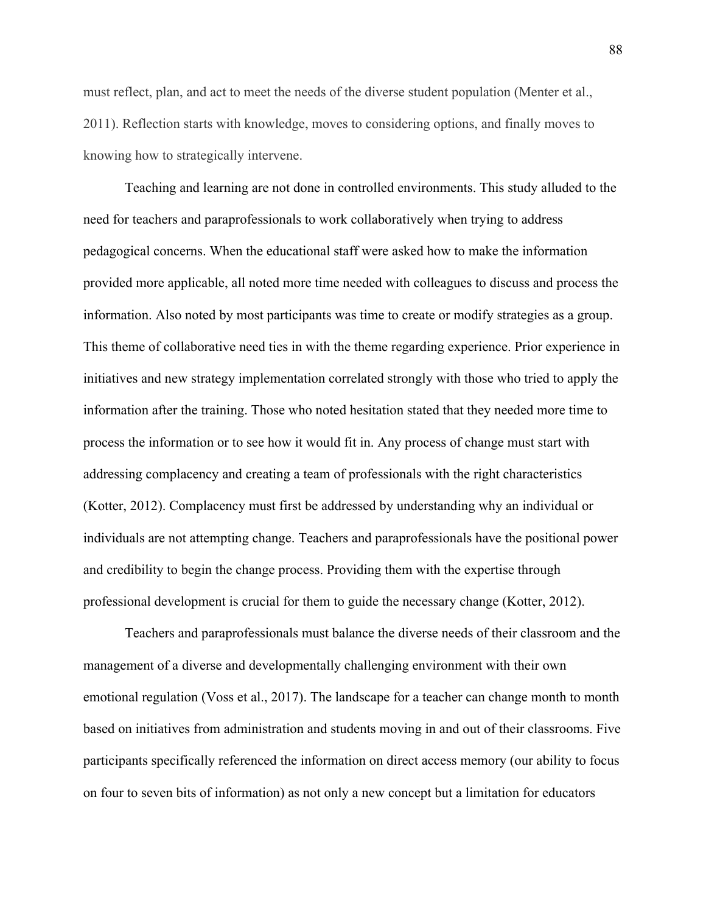must reflect, plan, and act to meet the needs of the diverse student population (Menter et al., 2011). Reflection starts with knowledge, moves to considering options, and finally moves to knowing how to strategically intervene.

Teaching and learning are not done in controlled environments. This study alluded to the need for teachers and paraprofessionals to work collaboratively when trying to address pedagogical concerns. When the educational staff were asked how to make the information provided more applicable, all noted more time needed with colleagues to discuss and process the information. Also noted by most participants was time to create or modify strategies as a group. This theme of collaborative need ties in with the theme regarding experience. Prior experience in initiatives and new strategy implementation correlated strongly with those who tried to apply the information after the training. Those who noted hesitation stated that they needed more time to process the information or to see how it would fit in. Any process of change must start with addressing complacency and creating a team of professionals with the right characteristics (Kotter, 2012). Complacency must first be addressed by understanding why an individual or individuals are not attempting change. Teachers and paraprofessionals have the positional power and credibility to begin the change process. Providing them with the expertise through professional development is crucial for them to guide the necessary change (Kotter, 2012).

Teachers and paraprofessionals must balance the diverse needs of their classroom and the management of a diverse and developmentally challenging environment with their own emotional regulation (Voss et al., 2017). The landscape for a teacher can change month to month based on initiatives from administration and students moving in and out of their classrooms. Five participants specifically referenced the information on direct access memory (our ability to focus on four to seven bits of information) as not only a new concept but a limitation for educators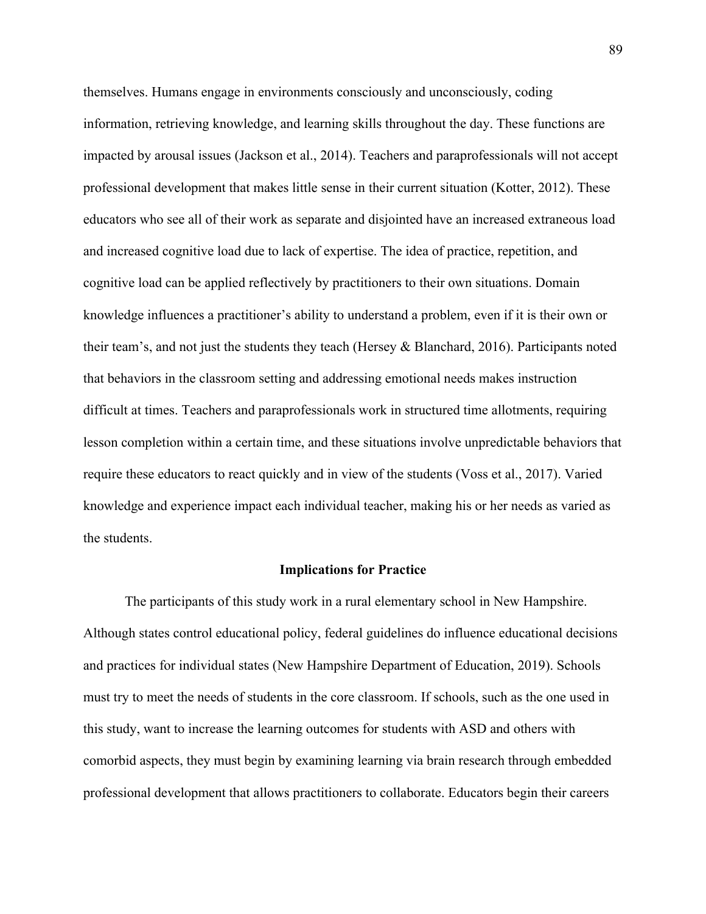themselves. Humans engage in environments consciously and unconsciously, coding information, retrieving knowledge, and learning skills throughout the day. These functions are impacted by arousal issues (Jackson et al., 2014). Teachers and paraprofessionals will not accept professional development that makes little sense in their current situation (Kotter, 2012). These educators who see all of their work as separate and disjointed have an increased extraneous load and increased cognitive load due to lack of expertise. The idea of practice, repetition, and cognitive load can be applied reflectively by practitioners to their own situations. Domain knowledge influences a practitioner's ability to understand a problem, even if it is their own or their team's, and not just the students they teach (Hersey & Blanchard, 2016). Participants noted that behaviors in the classroom setting and addressing emotional needs makes instruction difficult at times. Teachers and paraprofessionals work in structured time allotments, requiring lesson completion within a certain time, and these situations involve unpredictable behaviors that require these educators to react quickly and in view of the students (Voss et al., 2017). Varied knowledge and experience impact each individual teacher, making his or her needs as varied as the students.

#### **Implications for Practice**

The participants of this study work in a rural elementary school in New Hampshire. Although states control educational policy, federal guidelines do influence educational decisions and practices for individual states (New Hampshire Department of Education, 2019). Schools must try to meet the needs of students in the core classroom. If schools, such as the one used in this study, want to increase the learning outcomes for students with ASD and others with comorbid aspects, they must begin by examining learning via brain research through embedded professional development that allows practitioners to collaborate. Educators begin their careers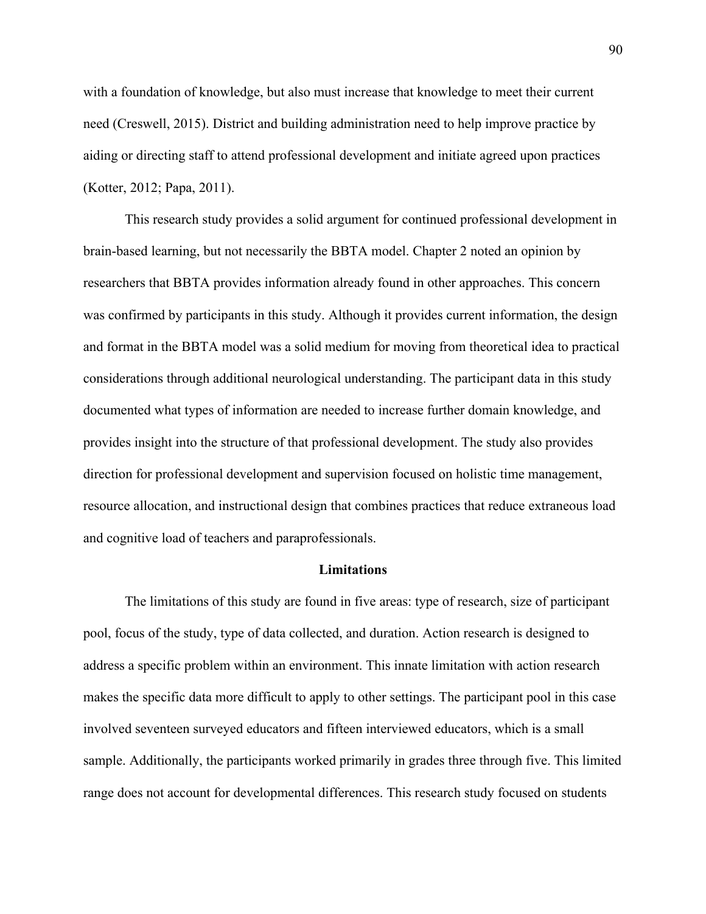with a foundation of knowledge, but also must increase that knowledge to meet their current need (Creswell, 2015). District and building administration need to help improve practice by aiding or directing staff to attend professional development and initiate agreed upon practices (Kotter, 2012; Papa, 2011).

This research study provides a solid argument for continued professional development in brain-based learning, but not necessarily the BBTA model. Chapter 2 noted an opinion by researchers that BBTA provides information already found in other approaches. This concern was confirmed by participants in this study. Although it provides current information, the design and format in the BBTA model was a solid medium for moving from theoretical idea to practical considerations through additional neurological understanding. The participant data in this study documented what types of information are needed to increase further domain knowledge, and provides insight into the structure of that professional development. The study also provides direction for professional development and supervision focused on holistic time management, resource allocation, and instructional design that combines practices that reduce extraneous load and cognitive load of teachers and paraprofessionals.

#### **Limitations**

The limitations of this study are found in five areas: type of research, size of participant pool, focus of the study, type of data collected, and duration. Action research is designed to address a specific problem within an environment. This innate limitation with action research makes the specific data more difficult to apply to other settings. The participant pool in this case involved seventeen surveyed educators and fifteen interviewed educators, which is a small sample. Additionally, the participants worked primarily in grades three through five. This limited range does not account for developmental differences. This research study focused on students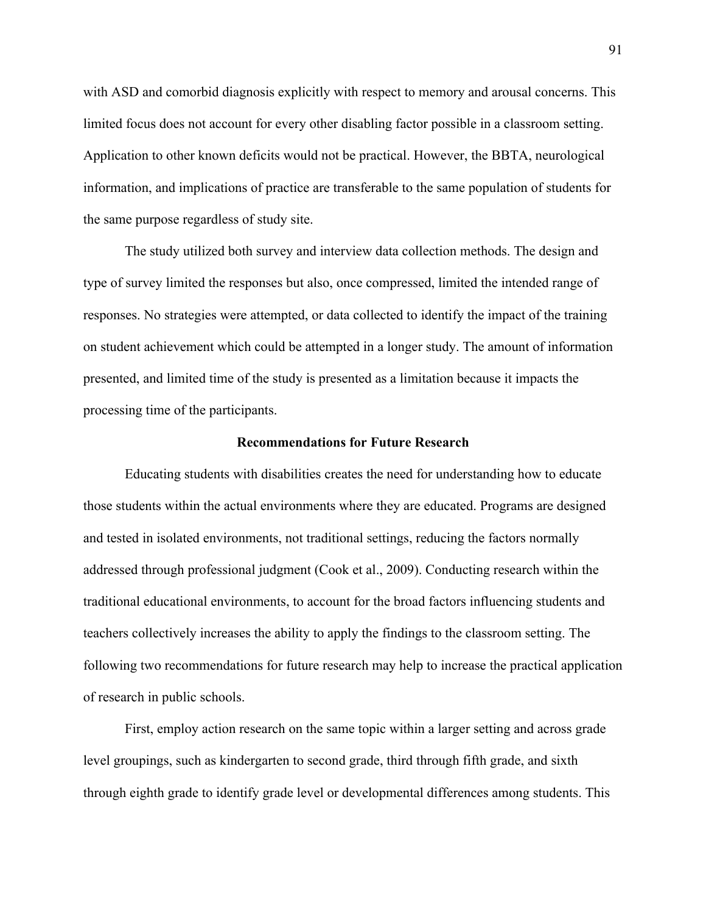with ASD and comorbid diagnosis explicitly with respect to memory and arousal concerns. This limited focus does not account for every other disabling factor possible in a classroom setting. Application to other known deficits would not be practical. However, the BBTA, neurological information, and implications of practice are transferable to the same population of students for the same purpose regardless of study site.

The study utilized both survey and interview data collection methods. The design and type of survey limited the responses but also, once compressed, limited the intended range of responses. No strategies were attempted, or data collected to identify the impact of the training on student achievement which could be attempted in a longer study. The amount of information presented, and limited time of the study is presented as a limitation because it impacts the processing time of the participants.

### **Recommendations for Future Research**

Educating students with disabilities creates the need for understanding how to educate those students within the actual environments where they are educated. Programs are designed and tested in isolated environments, not traditional settings, reducing the factors normally addressed through professional judgment (Cook et al., 2009). Conducting research within the traditional educational environments, to account for the broad factors influencing students and teachers collectively increases the ability to apply the findings to the classroom setting. The following two recommendations for future research may help to increase the practical application of research in public schools.

First, employ action research on the same topic within a larger setting and across grade level groupings, such as kindergarten to second grade, third through fifth grade, and sixth through eighth grade to identify grade level or developmental differences among students. This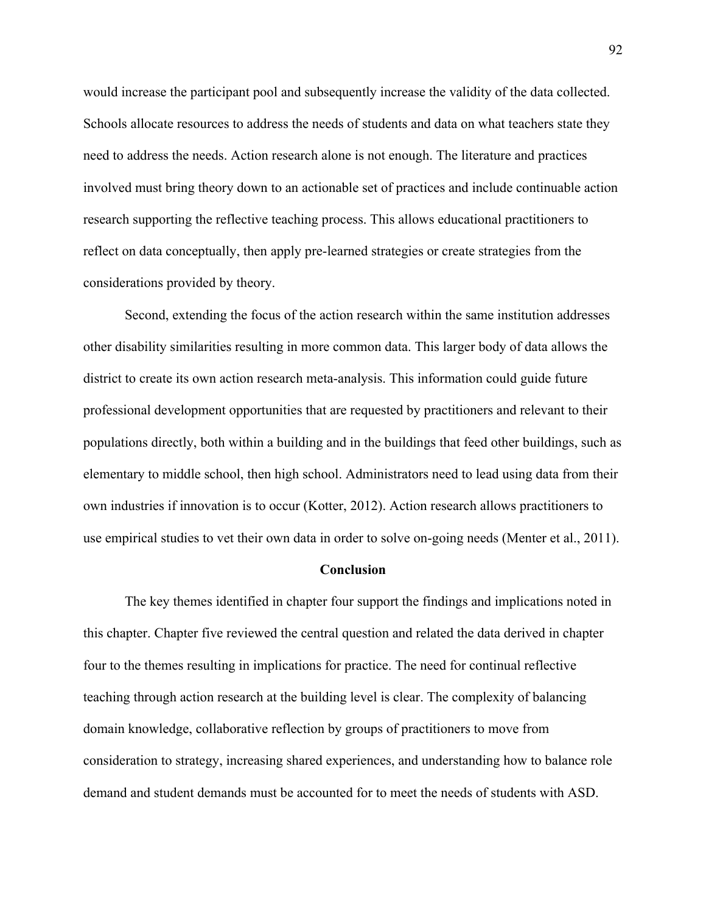would increase the participant pool and subsequently increase the validity of the data collected. Schools allocate resources to address the needs of students and data on what teachers state they need to address the needs. Action research alone is not enough. The literature and practices involved must bring theory down to an actionable set of practices and include continuable action research supporting the reflective teaching process. This allows educational practitioners to reflect on data conceptually, then apply pre-learned strategies or create strategies from the considerations provided by theory.

Second, extending the focus of the action research within the same institution addresses other disability similarities resulting in more common data. This larger body of data allows the district to create its own action research meta-analysis. This information could guide future professional development opportunities that are requested by practitioners and relevant to their populations directly, both within a building and in the buildings that feed other buildings, such as elementary to middle school, then high school. Administrators need to lead using data from their own industries if innovation is to occur (Kotter, 2012). Action research allows practitioners to use empirical studies to vet their own data in order to solve on-going needs (Menter et al., 2011).

### **Conclusion**

The key themes identified in chapter four support the findings and implications noted in this chapter. Chapter five reviewed the central question and related the data derived in chapter four to the themes resulting in implications for practice. The need for continual reflective teaching through action research at the building level is clear. The complexity of balancing domain knowledge, collaborative reflection by groups of practitioners to move from consideration to strategy, increasing shared experiences, and understanding how to balance role demand and student demands must be accounted for to meet the needs of students with ASD.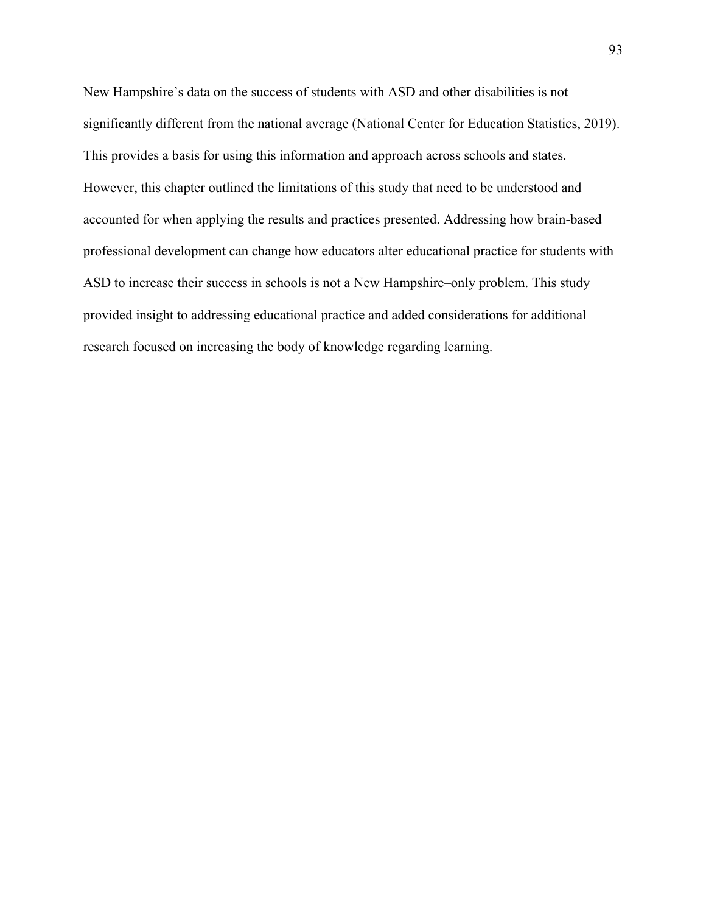New Hampshire's data on the success of students with ASD and other disabilities is not significantly different from the national average (National Center for Education Statistics, 2019). This provides a basis for using this information and approach across schools and states. However, this chapter outlined the limitations of this study that need to be understood and accounted for when applying the results and practices presented. Addressing how brain-based professional development can change how educators alter educational practice for students with ASD to increase their success in schools is not a New Hampshire–only problem. This study provided insight to addressing educational practice and added considerations for additional research focused on increasing the body of knowledge regarding learning.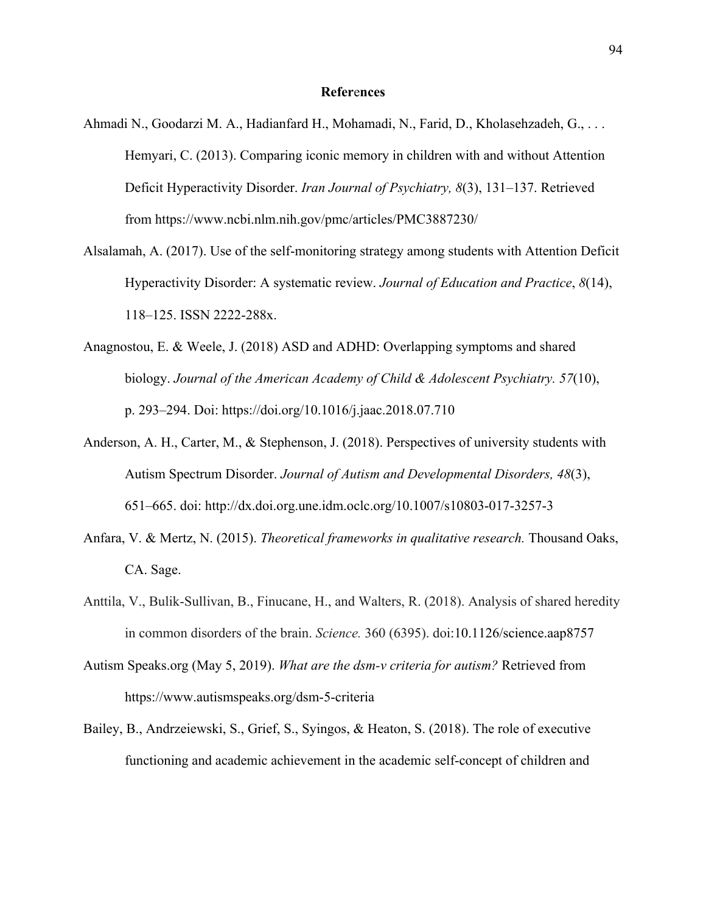### **Refer**e**nces**

- Ahmadi N., Goodarzi M. A., Hadianfard H., Mohamadi, N., Farid, D., Kholasehzadeh, G., . . . Hemyari, C. (2013). Comparing iconic memory in children with and without Attention Deficit Hyperactivity Disorder. *Iran Journal of Psychiatry, 8*(3), 131–137. Retrieved from https://www.ncbi.nlm.nih.gov/pmc/articles/PMC3887230/
- Alsalamah, A. (2017). Use of the self-monitoring strategy among students with Attention Deficit Hyperactivity Disorder: A systematic review. *Journal of Education and Practice*, *8*(14), 118–125. ISSN 2222-288x.
- Anagnostou, E. & Weele, J. (2018) ASD and ADHD: Overlapping symptoms and shared biology. *Journal of the American Academy of Child & Adolescent Psychiatry. 57*(10), p. 293–294. Doi: https://doi.org/10.1016/j.jaac.2018.07.710
- Anderson, A. H., Carter, M., & Stephenson, J. (2018). Perspectives of university students with Autism Spectrum Disorder. *Journal of Autism and Developmental Disorders, 48*(3), 651–665. doi: http://dx.doi.org.une.idm.oclc.org/10.1007/s10803-017-3257-3
- Anfara, V. & Mertz, N. (2015). *Theoretical frameworks in qualitative research.* Thousand Oaks, CA. Sage.
- Anttila, V., Bulik-Sullivan, B., Finucane, H., and Walters, R. (2018). Analysis of shared heredity in common disorders of the brain. *Science.* 360 (6395). doi:10.1126/science.aap8757
- Autism Speaks.org (May 5, 2019). *What are the dsm-v criteria for autism?* Retrieved from https://www.autismspeaks.org/dsm-5-criteria
- Bailey, B., Andrzeiewski, S., Grief, S., Syingos, & Heaton, S. (2018). The role of executive functioning and academic achievement in the academic self-concept of children and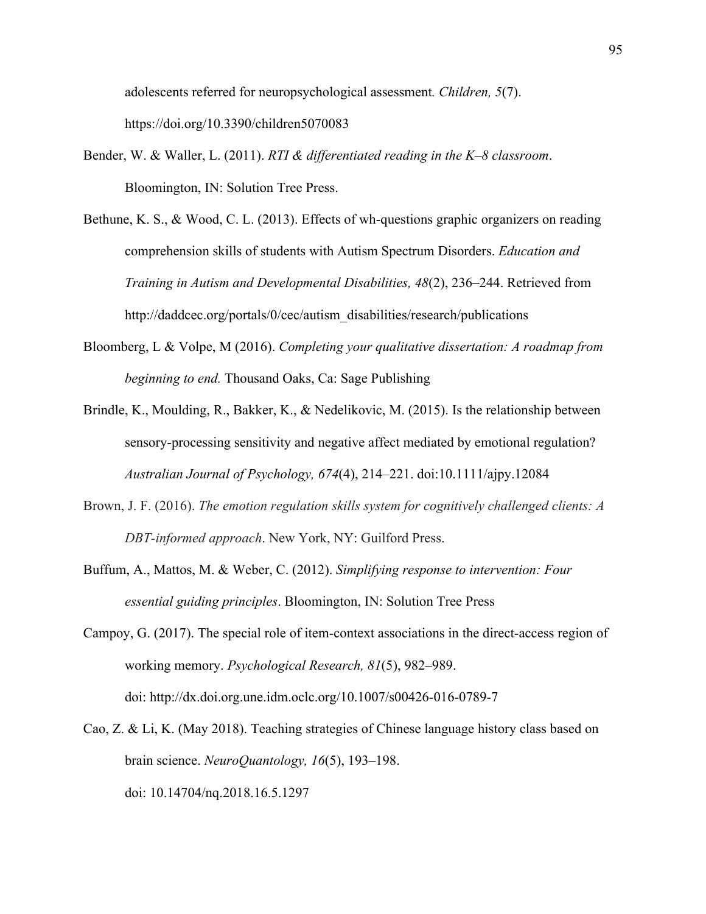adolescents referred for neuropsychological assessment*. Children, 5*(7). https://doi.org/10.3390/children5070083

- Bender, W. & Waller, L. (2011). *RTI & differentiated reading in the K–8 classroom*. Bloomington, IN: Solution Tree Press.
- Bethune, K. S., & Wood, C. L. (2013). Effects of wh-questions graphic organizers on reading comprehension skills of students with Autism Spectrum Disorders. *Education and Training in Autism and Developmental Disabilities, 48*(2), 236–244. Retrieved from http://daddcec.org/portals/0/cec/autism\_disabilities/research/publications
- Bloomberg, L & Volpe, M (2016). *Completing your qualitative dissertation: A roadmap from beginning to end.* Thousand Oaks, Ca: Sage Publishing
- Brindle, K., Moulding, R., Bakker, K., & Nedelikovic, M. (2015). Is the relationship between sensory-processing sensitivity and negative affect mediated by emotional regulation? *Australian Journal of Psychology, 674*(4), 214–221. doi:10.1111/ajpy.12084
- Brown, J. F. (2016). *The emotion regulation skills system for cognitively challenged clients: A DBT-informed approach*. New York, NY: Guilford Press.
- Buffum, A., Mattos, M. & Weber, C. (2012). *Simplifying response to intervention: Four essential guiding principles*. Bloomington, IN: Solution Tree Press
- Campoy, G. (2017). The special role of item-context associations in the direct-access region of working memory. *Psychological Research, 81*(5), 982–989. doi: http://dx.doi.org.une.idm.oclc.org/10.1007/s00426-016-0789-7
- Cao, Z. & Li, K. (May 2018). Teaching strategies of Chinese language history class based on brain science. *NeuroQuantology, 16*(5), 193–198. doi: 10.14704/nq.2018.16.5.1297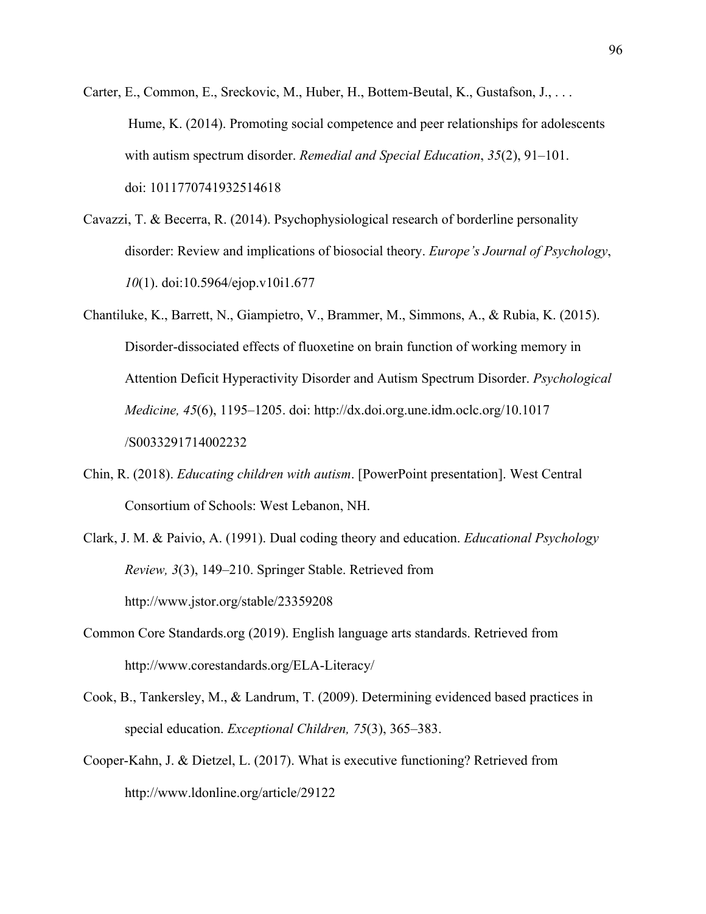- Carter, E., Common, E., Sreckovic, M., Huber, H., Bottem-Beutal, K., Gustafson, J., . . . Hume, K. (2014). Promoting social competence and peer relationships for adolescents with autism spectrum disorder. *Remedial and Special Education*, *35*(2), 91–101. doi: 1011770741932514618
- Cavazzi, T. & Becerra, R. (2014). Psychophysiological research of borderline personality disorder: Review and implications of biosocial theory. *Europe's Journal of Psychology*, *10*(1). doi:10.5964/ejop.v10i1.677
- Chantiluke, K., Barrett, N., Giampietro, V., Brammer, M., Simmons, A., & Rubia, K. (2015). Disorder-dissociated effects of fluoxetine on brain function of working memory in Attention Deficit Hyperactivity Disorder and Autism Spectrum Disorder. *Psychological Medicine, 45*(6), 1195–1205. doi: http://dx.doi.org.une.idm.oclc.org/10.1017 /S0033291714002232
- Chin, R. (2018). *Educating children with autism*. [PowerPoint presentation]. West Central Consortium of Schools: West Lebanon, NH.
- Clark, J. M. & Paivio, A. (1991). Dual coding theory and education. *Educational Psychology Review, 3*(3), 149–210. Springer Stable. Retrieved from http://www.jstor.org/stable/23359208
- Common Core Standards.org (2019). English language arts standards. Retrieved from http://www.corestandards.org/ELA-Literacy/
- Cook, B., Tankersley, M., & Landrum, T. (2009). Determining evidenced based practices in special education. *Exceptional Children, 75*(3), 365–383.
- Cooper-Kahn, J. & Dietzel, L. (2017). What is executive functioning? Retrieved from http://www.ldonline.org/article/29122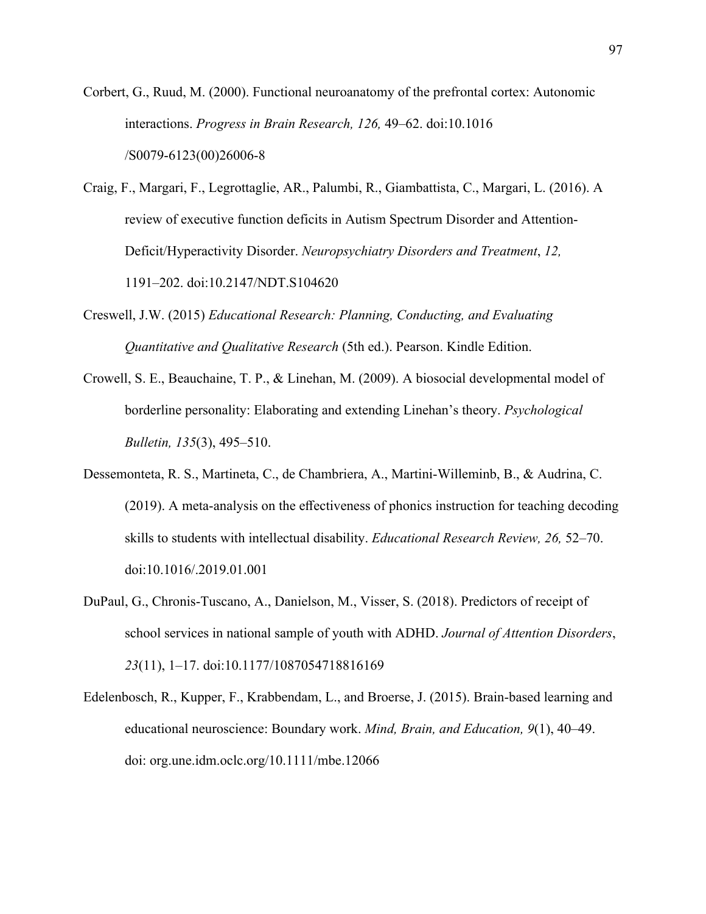Corbert, G., Ruud, M. (2000). Functional neuroanatomy of the prefrontal cortex: Autonomic interactions. *Progress in Brain Research, 126,* 49–62. doi:10.1016 /S0079-6123(00)26006-8

- Craig, F., Margari, F., Legrottaglie, AR., Palumbi, R., Giambattista, C., Margari, L. (2016). A review of executive function deficits in Autism Spectrum Disorder and Attention-Deficit/Hyperactivity Disorder. *Neuropsychiatry Disorders and Treatment*, *12,* 1191–202. doi:10.2147/NDT.S104620
- Creswell, J.W. (2015) *Educational Research: Planning, Conducting, and Evaluating Quantitative and Qualitative Research* (5th ed.). Pearson. Kindle Edition.
- Crowell, S. E., Beauchaine, T. P., & Linehan, M. (2009). A biosocial developmental model of borderline personality: Elaborating and extending Linehan's theory. *Psychological Bulletin, 135*(3), 495–510.
- Dessemonteta, R. S., Martineta, C., de Chambriera, A., Martini-Willeminb, B., & Audrina, C. (2019). A meta-analysis on the effectiveness of phonics instruction for teaching decoding skills to students with intellectual disability. *Educational Research Review, 26,* 52–70. doi:10.1016/.2019.01.001
- DuPaul, G., Chronis-Tuscano, A., Danielson, M., Visser, S. (2018). Predictors of receipt of school services in national sample of youth with ADHD. *Journal of Attention Disorders*, *23*(11), 1–17. doi:10.1177/1087054718816169
- Edelenbosch, R., Kupper, F., Krabbendam, L., and Broerse, J. (2015). Brain-based learning and educational neuroscience: Boundary work. *Mind, Brain, and Education, 9*(1), 40–49. doi: org.une.idm.oclc.org/10.1111/mbe.12066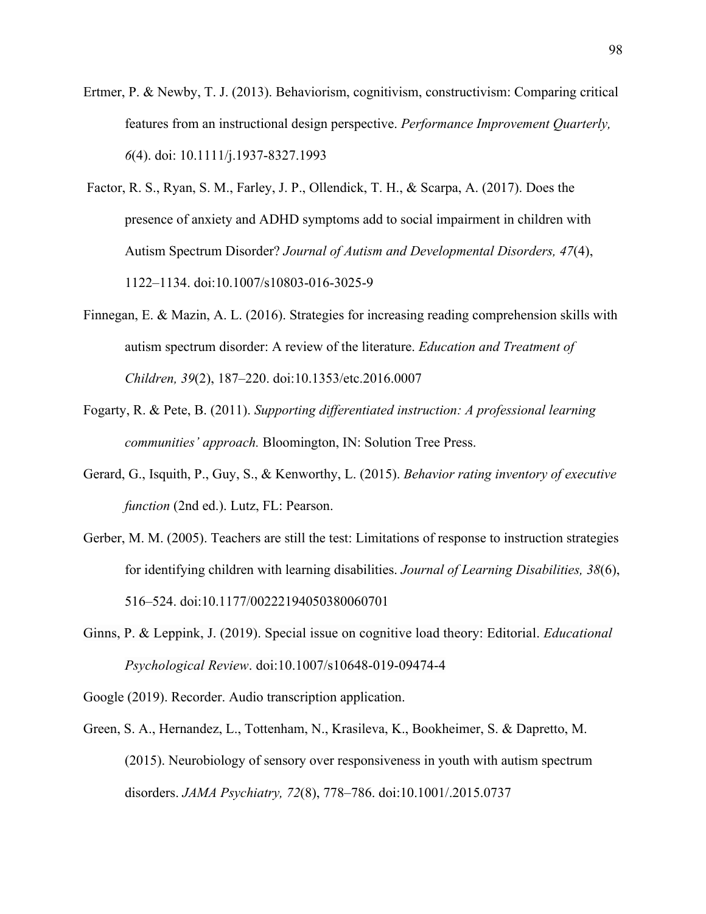- Ertmer, P. & Newby, T. J. (2013). Behaviorism, cognitivism, constructivism: Comparing critical features from an instructional design perspective. *Performance Improvement Quarterly, 6*(4). doi: 10.1111/j.1937-8327.1993
- Factor, R. S., Ryan, S. M., Farley, J. P., Ollendick, T. H., & Scarpa, A. (2017). Does the presence of anxiety and ADHD symptoms add to social impairment in children with Autism Spectrum Disorder? *Journal of Autism and Developmental Disorders, 47*(4), 1122–1134. doi:10.1007/s10803-016-3025-9
- Finnegan, E. & Mazin, A. L. (2016). Strategies for increasing reading comprehension skills with autism spectrum disorder: A review of the literature. *Education and Treatment of Children, 39*(2), 187–220. doi:10.1353/etc.2016.0007
- Fogarty, R. & Pete, B. (2011). *Supporting differentiated instruction: A professional learning communities' approach.* Bloomington, IN: Solution Tree Press.
- Gerard, G., Isquith, P., Guy, S., & Kenworthy, L. (2015). *Behavior rating inventory of executive function* (2nd ed.). Lutz, FL: Pearson.
- Gerber, M. M. (2005). Teachers are still the test: Limitations of response to instruction strategies for identifying children with learning disabilities. *Journal of Learning Disabilities, 38*(6), 516–524. doi:10.1177/00222194050380060701
- Ginns, P. & Leppink, J. (2019). Special issue on cognitive load theory: Editorial. *Educational Psychological Review*. doi:10.1007/s10648-019-09474-4
- Google (2019). Recorder. Audio transcription application.
- Green, S. A., Hernandez, L., Tottenham, N., Krasileva, K., Bookheimer, S. & Dapretto, M. (2015). Neurobiology of sensory over responsiveness in youth with autism spectrum disorders. *JAMA Psychiatry, 72*(8), 778–786. doi:10.1001/.2015.0737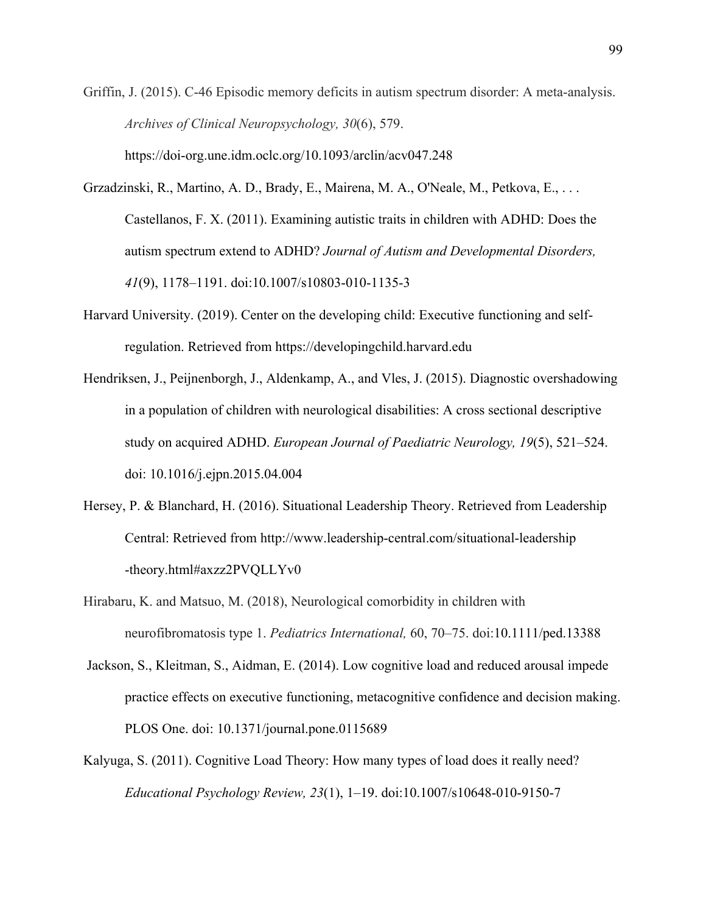Griffin, J. (2015). C-46 Episodic memory deficits in autism spectrum disorder: A meta-analysis. *Archives of Clinical Neuropsychology, 30*(6), 579. https://doi-org.une.idm.oclc.org/10.1093/arclin/acv047.248

- Grzadzinski, R., Martino, A. D., Brady, E., Mairena, M. A., O'Neale, M., Petkova, E., . . . Castellanos, F. X. (2011). Examining autistic traits in children with ADHD: Does the autism spectrum extend to ADHD? *Journal of Autism and Developmental Disorders, 41*(9), 1178–1191. doi:10.1007/s10803-010-1135-3
- Harvard University. (2019). Center on the developing child: Executive functioning and selfregulation. Retrieved from https://developingchild.harvard.edu
- Hendriksen, J., Peijnenborgh, J., Aldenkamp, A., and Vles, J. (2015). Diagnostic overshadowing in a population of children with neurological disabilities: A cross sectional descriptive study on acquired ADHD. *European Journal of Paediatric Neurology, 19*(5), 521–524. doi: 10.1016/j.ejpn.2015.04.004
- Hersey, P. & Blanchard, H. (2016). Situational Leadership Theory. Retrieved from Leadership Central: Retrieved from http://www.leadership-central.com/situational-leadership -theory.html#axzz2PVQLLYv0
- Hirabaru, K. and Matsuo, M. (2018), Neurological comorbidity in children with neurofibromatosis type 1. *Pediatrics International,* 60, 70–75. doi:10.1111/ped.13388
- Jackson, S., Kleitman, S., Aidman, E. (2014). Low cognitive load and reduced arousal impede practice effects on executive functioning, metacognitive confidence and decision making. PLOS One. doi: 10.1371/journal.pone.0115689
- Kalyuga, S. (2011). Cognitive Load Theory: How many types of load does it really need? *Educational Psychology Review, 23*(1), 1–19. doi:10.1007/s10648-010-9150-7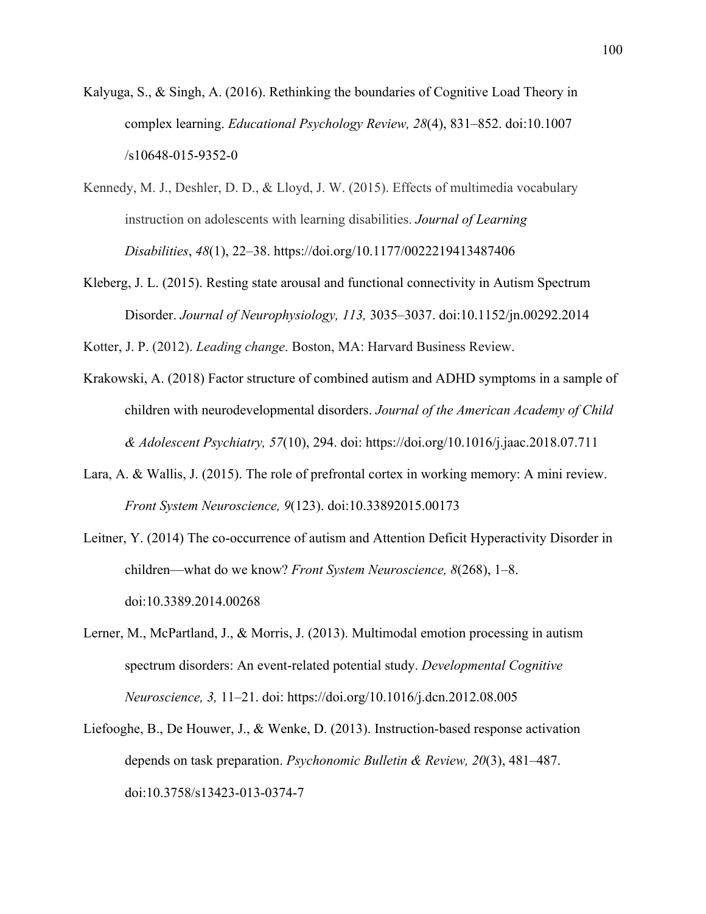- Kalyuga, S., & Singh, A. (2016). Rethinking the boundaries of Cognitive Load Theory in complex learning. *Educational Psychology Review, 28*(4), 831–852. doi:10.1007 /s10648-015-9352-0
- Kennedy, M. J., Deshler, D. D., & Lloyd, J. W. (2015). Effects of multimedia vocabulary instruction on adolescents with learning disabilities. *Journal of Learning Disabilities*, *48*(1), 22–38. https://doi.org/10.1177/0022219413487406
- Kleberg, J. L. (2015). Resting state arousal and functional connectivity in Autism Spectrum Disorder. *Journal of Neurophysiology, 113,* 3035–3037. doi:10.1152/jn.00292.2014

Kotter, J. P. (2012). *Leading change*. Boston, MA: Harvard Business Review.

- Krakowski, A. (2018) Factor structure of combined autism and ADHD symptoms in a sample of children with neurodevelopmental disorders. *Journal of the American Academy of Child & Adolescent Psychiatry, 57*(10), 294. doi: https://doi.org/10.1016/j.jaac.2018.07.711
- Lara, A. & Wallis, J. (2015). The role of prefrontal cortex in working memory: A mini review. *Front System Neuroscience, 9*(123). doi:10.33892015.00173
- Leitner, Y. (2014) The co-occurrence of autism and Attention Deficit Hyperactivity Disorder in children—what do we know? *Front System Neuroscience, 8*(268), 1–8. doi:10.3389.2014.00268
- Lerner, M., McPartland, J., & Morris, J. (2013). Multimodal emotion processing in autism spectrum disorders: An event-related potential study. *Developmental Cognitive Neuroscience, 3,* 11–21. doi: https://doi.org/10.1016/j.dcn.2012.08.005
- Liefooghe, B., De Houwer, J., & Wenke, D. (2013). Instruction-based response activation depends on task preparation. *Psychonomic Bulletin & Review, 20*(3), 481–487. doi:10.3758/s13423-013-0374-7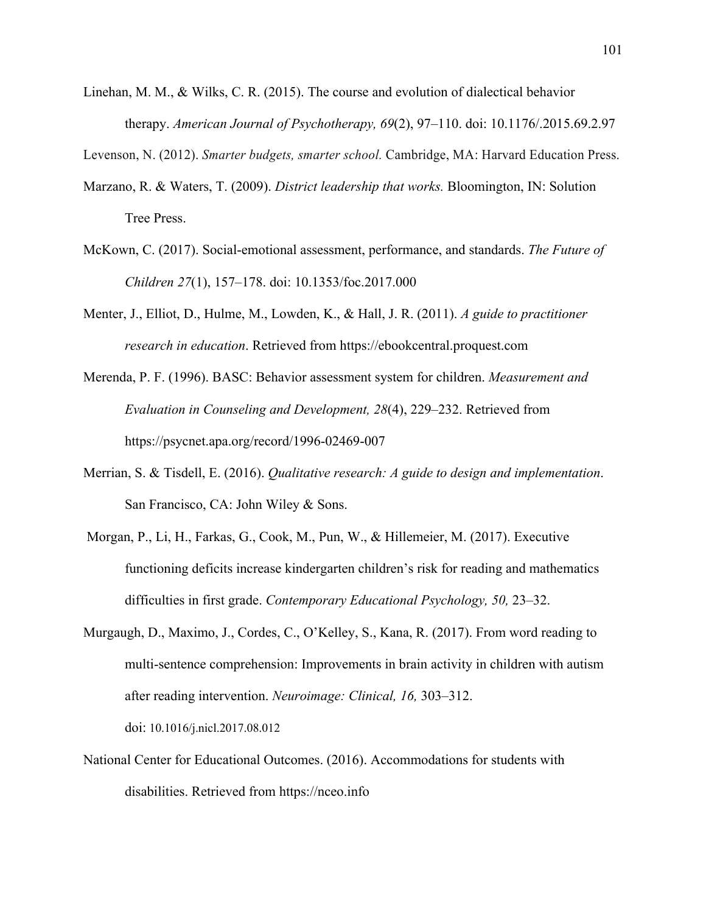Linehan, M. M., & Wilks, C. R. (2015). The course and evolution of dialectical behavior therapy. *American Journal of Psychotherapy, 69*(2), 97–110. doi: 10.1176/.2015.69.2.97

Levenson, N. (2012). *Smarter budgets, smarter school.* Cambridge, MA: Harvard Education Press.

- Marzano, R. & Waters, T. (2009). *District leadership that works.* Bloomington, IN: Solution Tree Press.
- McKown, C. (2017). Social-emotional assessment, performance, and standards. *The Future of Children 27*(1), 157–178. doi: 10.1353/foc.2017.000
- Menter, J., Elliot, D., Hulme, M., Lowden, K., & Hall, J. R. (2011). *A guide to practitioner research in education*. Retrieved from https://ebookcentral.proquest.com
- Merenda, P. F. (1996). BASC: Behavior assessment system for children. *Measurement and Evaluation in Counseling and Development, 28*(4), 229–232. Retrieved from https://psycnet.apa.org/record/1996-02469-007
- Merrian, S. & Tisdell, E. (2016). *Qualitative research: A guide to design and implementation*. San Francisco, CA: John Wiley & Sons.
- Morgan, P., Li, H., Farkas, G., Cook, M., Pun, W., & Hillemeier, M. (2017). Executive functioning deficits increase kindergarten children's risk for reading and mathematics difficulties in first grade. *Contemporary Educational Psychology, 50,* 23–32.
- Murgaugh, D., Maximo, J., Cordes, C., O'Kelley, S., Kana, R. (2017). From word reading to multi-sentence comprehension: Improvements in brain activity in children with autism after reading intervention. *Neuroimage: Clinical, 16,* 303–312. doi: 10.1016/j.nicl.2017.08.012
- National Center for Educational Outcomes. (2016). Accommodations for students with disabilities. Retrieved from https://nceo.info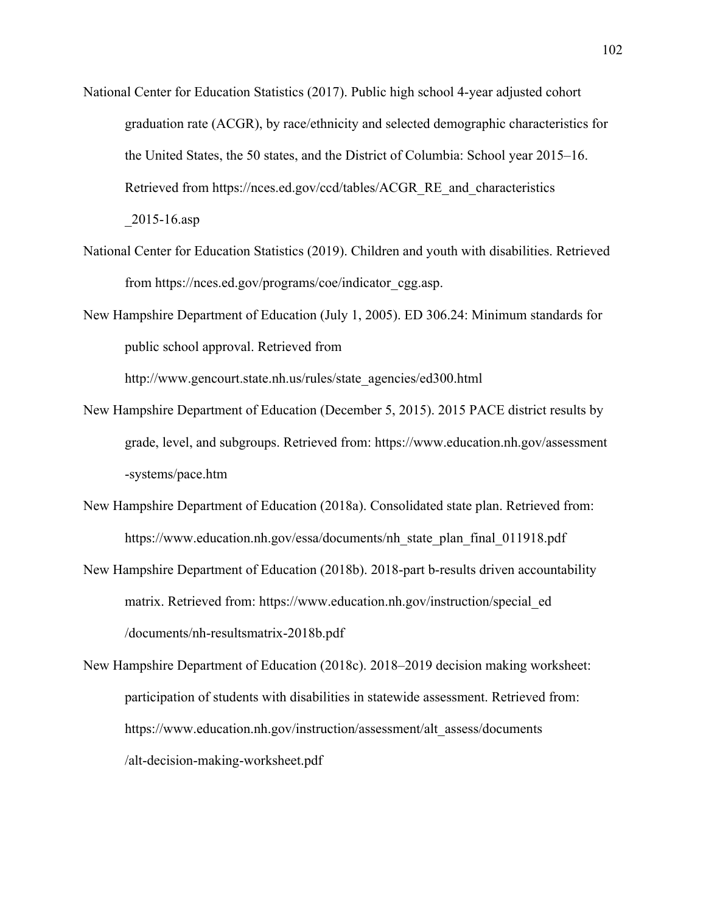- National Center for Education Statistics (2017). Public high school 4-year adjusted cohort graduation rate (ACGR), by race/ethnicity and selected demographic characteristics for the United States, the 50 states, and the District of Columbia: School year 2015–16. Retrieved from https://nces.ed.gov/ccd/tables/ACGR\_RE\_and\_characteristics \_2015-16.asp
- National Center for Education Statistics (2019). Children and youth with disabilities. Retrieved from https://nces.ed.gov/programs/coe/indicator\_cgg.asp.
- New Hampshire Department of Education (July 1, 2005). ED 306.24: Minimum standards for public school approval. Retrieved from

http://www.gencourt.state.nh.us/rules/state\_agencies/ed300.html

- New Hampshire Department of Education (December 5, 2015). 2015 PACE district results by grade, level, and subgroups. Retrieved from: https://www.education.nh.gov/assessment -systems/pace.htm
- New Hampshire Department of Education (2018a). Consolidated state plan. Retrieved from: https://www.education.nh.gov/essa/documents/nh\_state\_plan\_final\_011918.pdf
- New Hampshire Department of Education (2018b). 2018-part b-results driven accountability matrix. Retrieved from: https://www.education.nh.gov/instruction/special\_ed /documents/nh-resultsmatrix-2018b.pdf
- New Hampshire Department of Education (2018c). 2018–2019 decision making worksheet: participation of students with disabilities in statewide assessment. Retrieved from: https://www.education.nh.gov/instruction/assessment/alt\_assess/documents /alt-decision-making-worksheet.pdf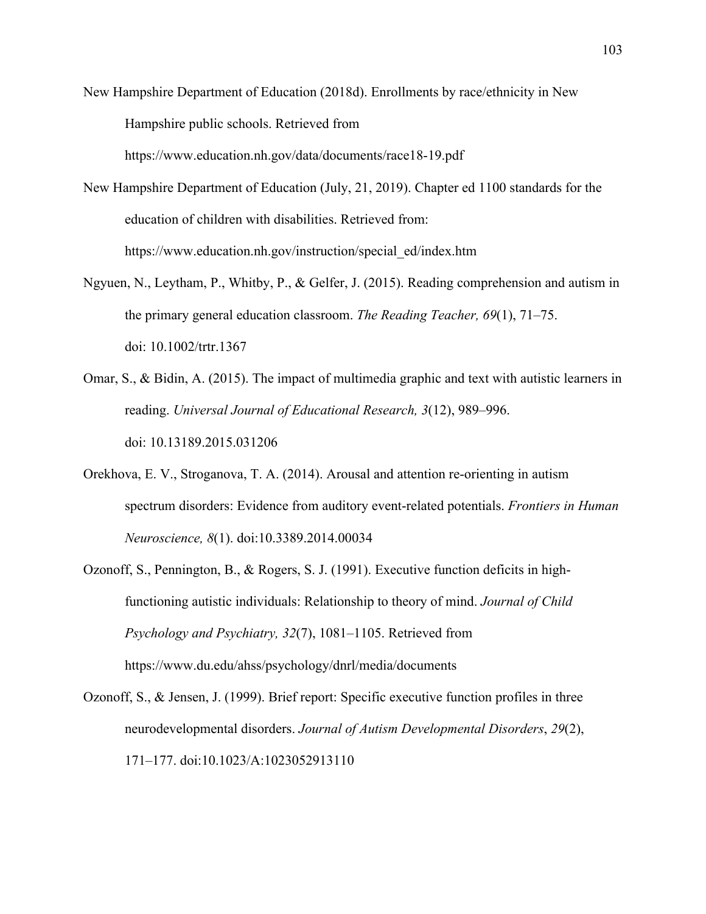New Hampshire Department of Education (2018d). Enrollments by race/ethnicity in New Hampshire public schools. Retrieved from

https://www.education.nh.gov/data/documents/race18-19.pdf

New Hampshire Department of Education (July, 21, 2019). Chapter ed 1100 standards for the education of children with disabilities. Retrieved from: https://www.education.nh.gov/instruction/special\_ed/index.htm

- Ngyuen, N., Leytham, P., Whitby, P., & Gelfer, J. (2015). Reading comprehension and autism in the primary general education classroom. *The Reading Teacher, 69*(1), 71–75. doi: 10.1002/trtr.1367
- Omar, S., & Bidin, A. (2015). The impact of multimedia graphic and text with autistic learners in reading. *Universal Journal of Educational Research, 3*(12), 989–996. doi: 10.13189.2015.031206
- Orekhova, E. V., Stroganova, T. A. (2014). Arousal and attention re-orienting in autism spectrum disorders: Evidence from auditory event-related potentials. *Frontiers in Human Neuroscience, 8*(1). doi:10.3389.2014.00034
- Ozonoff, S., Pennington, B., & Rogers, S. J. (1991). Executive function deficits in highfunctioning autistic individuals: Relationship to theory of mind. *Journal of Child Psychology and Psychiatry, 32*(7), 1081–1105. Retrieved from https://www.du.edu/ahss/psychology/dnrl/media/documents

Ozonoff, S., & Jensen, J. (1999). Brief report: Specific executive function profiles in three neurodevelopmental disorders. *Journal of Autism Developmental Disorders*, *29*(2), 171–177. doi:10.1023/A:1023052913110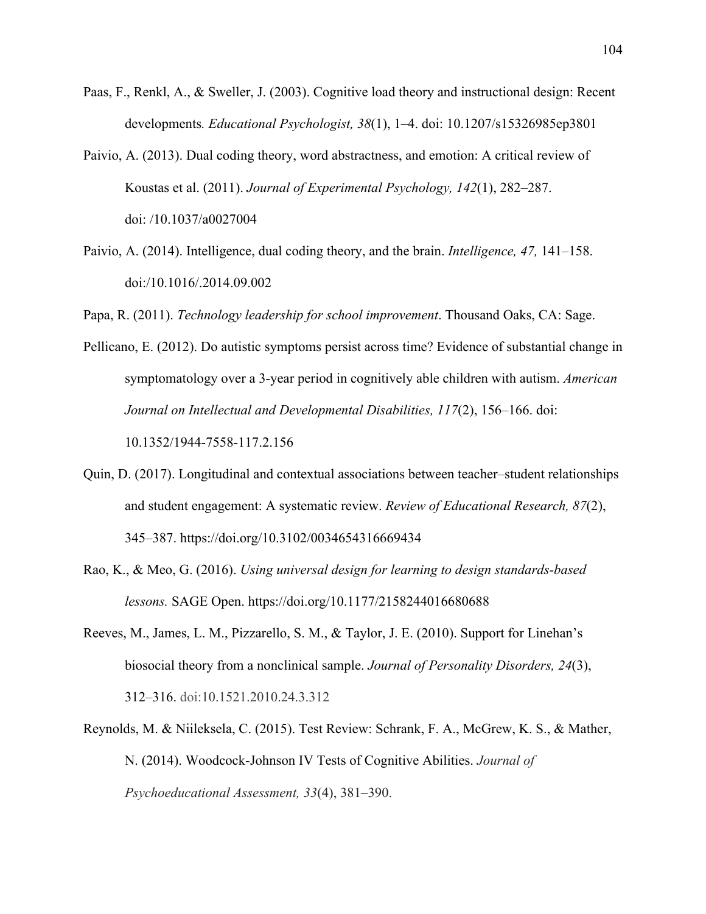- Paas, F., Renkl, A., & Sweller, J. (2003). Cognitive load theory and instructional design: Recent developments*. Educational Psychologist, 38*(1), 1–4. doi: 10.1207/s15326985ep3801
- Paivio, A. (2013). Dual coding theory, word abstractness, and emotion: A critical review of Koustas et al. (2011). *Journal of Experimental Psychology, 142*(1), 282–287. doi: /10.1037/a0027004
- Paivio, A. (2014). Intelligence, dual coding theory, and the brain. *Intelligence, 47,* 141–158. doi:/10.1016/.2014.09.002

Papa, R. (2011). *Technology leadership for school improvement*. Thousand Oaks, CA: Sage.

Pellicano, E. (2012). Do autistic symptoms persist across time? Evidence of substantial change in symptomatology over a 3-year period in cognitively able children with autism. *American Journal on Intellectual and Developmental Disabilities, 117*(2), 156–166. doi:

10.1352/1944-7558-117.2.156

- Quin, D. (2017). Longitudinal and contextual associations between teacher–student relationships and student engagement: A systematic review. *Review of Educational Research, 87*(2), 345–387. https://doi.org/10.3102/0034654316669434
- Rao, K., & Meo, G. (2016). *Using universal design for learning to design standards-based lessons.* SAGE Open. https://doi.org/10.1177/2158244016680688
- Reeves, M., James, L. M., Pizzarello, S. M., & Taylor, J. E. (2010). Support for Linehan's biosocial theory from a nonclinical sample. *Journal of Personality Disorders, 24*(3), 312–316. doi:10.1521.2010.24.3.312
- Reynolds, M. & Niileksela, C. (2015). Test Review: Schrank, F. A., McGrew, K. S., & Mather, N. (2014). Woodcock-Johnson IV Tests of Cognitive Abilities. *Journal of Psychoeducational Assessment, 33*(4), 381–390.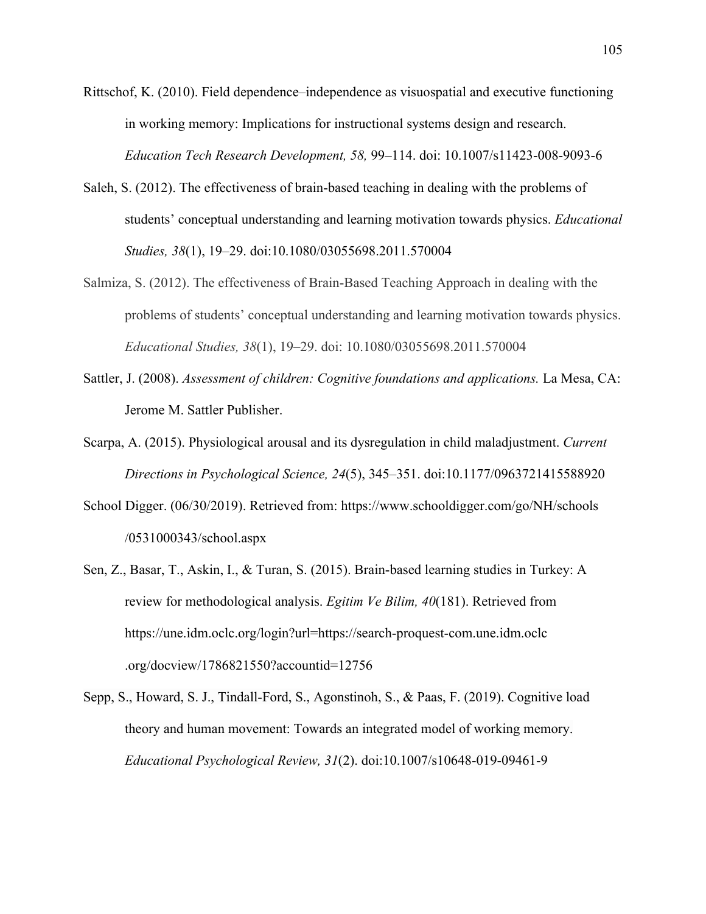Rittschof, K. (2010). Field dependence–independence as visuospatial and executive functioning in working memory: Implications for instructional systems design and research. *Education Tech Research Development, 58,* 99–114. doi: 10.1007/s11423-008-9093-6

- Saleh, S. (2012). The effectiveness of brain-based teaching in dealing with the problems of students' conceptual understanding and learning motivation towards physics. *Educational Studies, 38*(1), 19–29. doi:10.1080/03055698.2011.570004
- Salmiza, S. (2012). The effectiveness of Brain-Based Teaching Approach in dealing with the problems of students' conceptual understanding and learning motivation towards physics. *Educational Studies, 38*(1), 19–29. doi: 10.1080/03055698.2011.570004
- Sattler, J. (2008). *Assessment of children: Cognitive foundations and applications.* La Mesa, CA: Jerome M. Sattler Publisher.
- Scarpa, A. (2015). Physiological arousal and its dysregulation in child maladjustment. *Current Directions in Psychological Science, 24*(5), 345–351. doi:10.1177/0963721415588920
- School Digger. (06/30/2019). Retrieved from: https://www.schooldigger.com/go/NH/schools /0531000343/school.aspx
- Sen, Z., Basar, T., Askin, I., & Turan, S. (2015). Brain-based learning studies in Turkey: A review for methodological analysis. *Egitim Ve Bilim, 40*(181). Retrieved from https://une.idm.oclc.org/login?url=https://search-proquest-com.une.idm.oclc .org/docview/1786821550?accountid=12756
- Sepp, S., Howard, S. J., Tindall-Ford, S., Agonstinoh, S., & Paas, F. (2019). Cognitive load theory and human movement: Towards an integrated model of working memory. *Educational Psychological Review, 31*(2). doi:10.1007/s10648-019-09461-9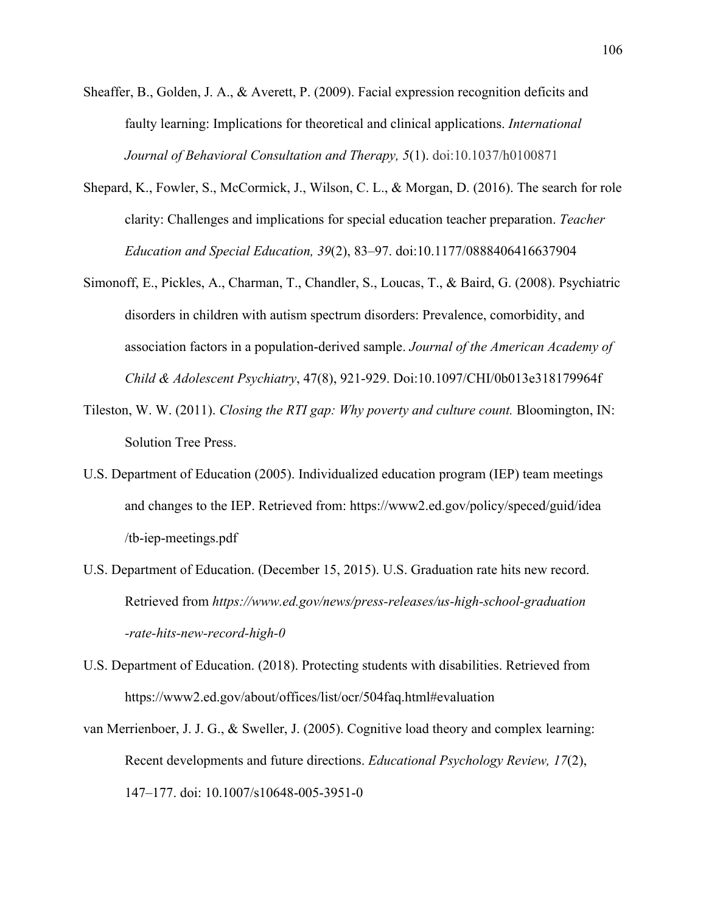- Sheaffer, B., Golden, J. A., & Averett, P. (2009). Facial expression recognition deficits and faulty learning: Implications for theoretical and clinical applications. *International Journal of Behavioral Consultation and Therapy, 5*(1). doi:10.1037/h0100871
- Shepard, K., Fowler, S., McCormick, J., Wilson, C. L., & Morgan, D. (2016). The search for role clarity: Challenges and implications for special education teacher preparation. *Teacher Education and Special Education, 39*(2), 83–97. doi:10.1177/0888406416637904
- Simonoff, E., Pickles, A., Charman, T., Chandler, S., Loucas, T., & Baird, G. (2008). Psychiatric disorders in children with autism spectrum disorders: Prevalence, comorbidity, and association factors in a population-derived sample. *Journal of the American Academy of Child & Adolescent Psychiatry*, 47(8), 921-929. Doi:10.1097/CHI/0b013e318179964f
- Tileston, W. W. (2011). *Closing the RTI gap: Why poverty and culture count.* Bloomington, IN: Solution Tree Press.
- U.S. Department of Education (2005). Individualized education program (IEP) team meetings and changes to the IEP. Retrieved from: https://www2.ed.gov/policy/speced/guid/idea /tb-iep-meetings.pdf
- U.S. Department of Education. (December 15, 2015). U.S. Graduation rate hits new record. Retrieved from *https://www.ed.gov/news/press-releases/us-high-school-graduation -rate-hits-new-record-high-0*
- U.S. Department of Education. (2018). Protecting students with disabilities. Retrieved from https://www2.ed.gov/about/offices/list/ocr/504faq.html#evaluation
- van Merrienboer, J. J. G., & Sweller, J. (2005). Cognitive load theory and complex learning: Recent developments and future directions. *Educational Psychology Review, 17*(2), 147–177. doi: 10.1007/s10648-005-3951-0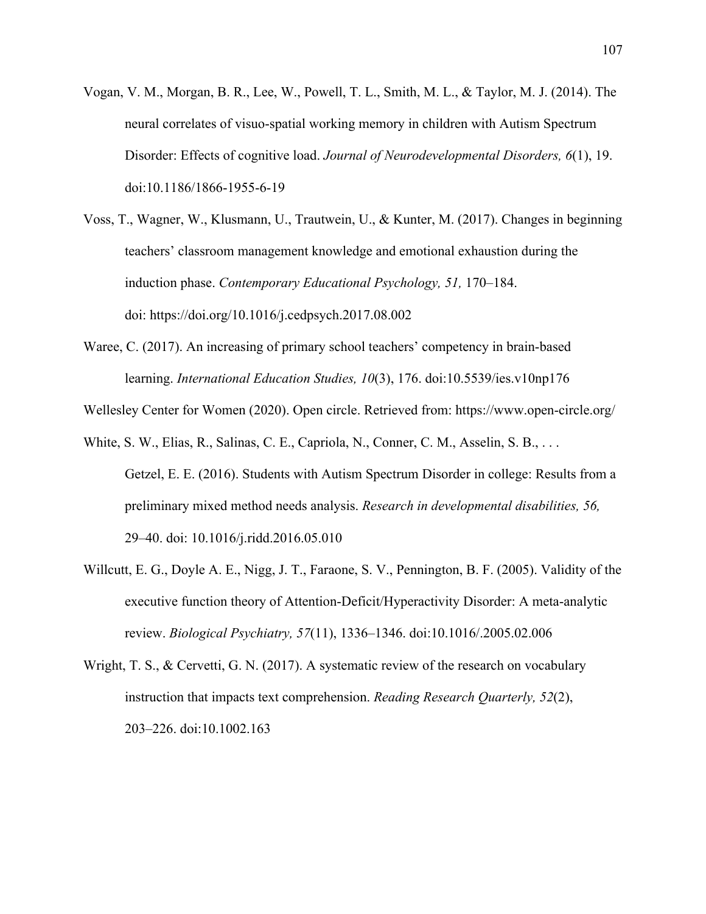- Vogan, V. M., Morgan, B. R., Lee, W., Powell, T. L., Smith, M. L., & Taylor, M. J. (2014). The neural correlates of visuo-spatial working memory in children with Autism Spectrum Disorder: Effects of cognitive load. *Journal of Neurodevelopmental Disorders, 6*(1), 19. doi:10.1186/1866-1955-6-19
- Voss, T., Wagner, W., Klusmann, U., Trautwein, U., & Kunter, M. (2017). Changes in beginning teachers' classroom management knowledge and emotional exhaustion during the induction phase. *Contemporary Educational Psychology, 51,* 170–184. doi: https://doi.org/10.1016/j.cedpsych.2017.08.002
- Waree, C. (2017). An increasing of primary school teachers' competency in brain-based learning. *International Education Studies, 10*(3), 176. doi:10.5539/ies.v10np176
- Wellesley Center for Women (2020). Open circle. Retrieved from: https://www.open-circle.org/
- White, S. W., Elias, R., Salinas, C. E., Capriola, N., Conner, C. M., Asselin, S. B., . . . Getzel, E. E. (2016). Students with Autism Spectrum Disorder in college: Results from a preliminary mixed method needs analysis. *Research in developmental disabilities, 56,* 29–40. doi: 10.1016/j.ridd.2016.05.010
- Willcutt, E. G., Doyle A. E., Nigg, J. T., Faraone, S. V., Pennington, B. F. (2005). Validity of the executive function theory of Attention-Deficit/Hyperactivity Disorder: A meta-analytic review. *Biological Psychiatry, 57*(11), 1336–1346. doi:10.1016/.2005.02.006
- Wright, T. S., & Cervetti, G. N. (2017). A systematic review of the research on vocabulary instruction that impacts text comprehension. *Reading Research Quarterly, 52*(2), 203–226. doi:10.1002.163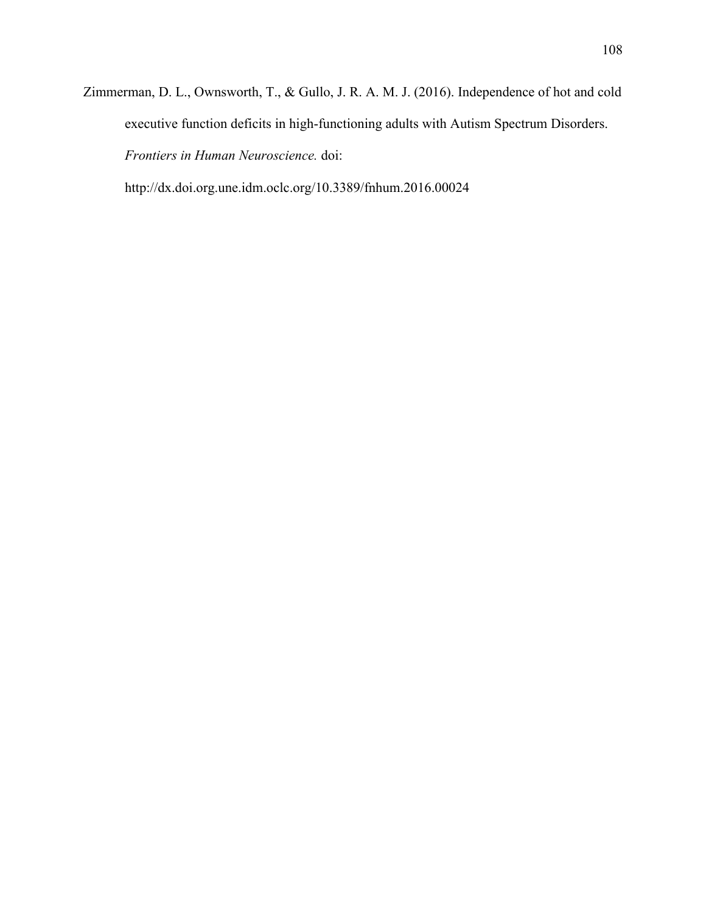Zimmerman, D. L., Ownsworth, T., & Gullo, J. R. A. M. J. (2016). Independence of hot and cold executive function deficits in high-functioning adults with Autism Spectrum Disorders. *Frontiers in Human Neuroscience.* doi:

http://dx.doi.org.une.idm.oclc.org/10.3389/fnhum.2016.00024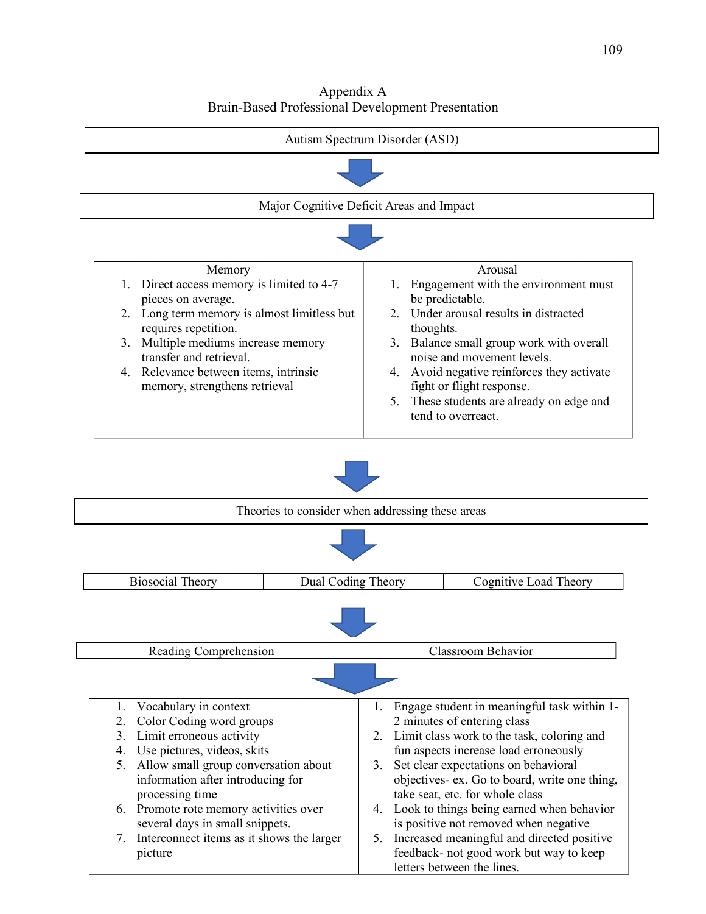Appendix A Brain-Based Professional Development Presentation

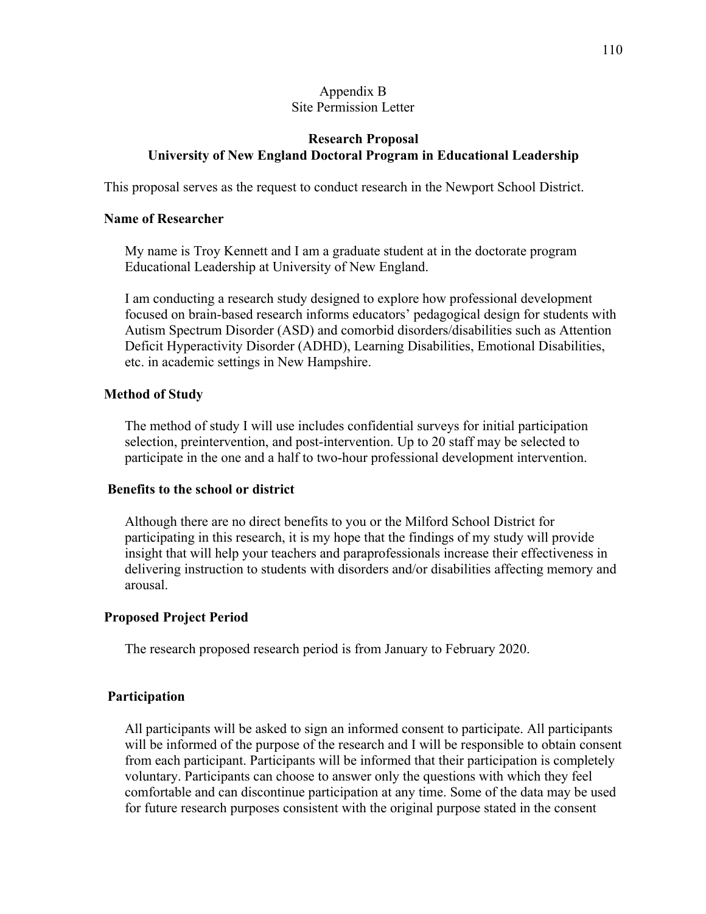### Appendix B Site Permission Letter

# **Research Proposal University of New England Doctoral Program in Educational Leadership**

This proposal serves as the request to conduct research in the Newport School District.

### **Name of Researcher**

My name is Troy Kennett and I am a graduate student at in the doctorate program Educational Leadership at University of New England.

I am conducting a research study designed to explore how professional development focused on brain-based research informs educators' pedagogical design for students with Autism Spectrum Disorder (ASD) and comorbid disorders/disabilities such as Attention Deficit Hyperactivity Disorder (ADHD), Learning Disabilities, Emotional Disabilities, etc. in academic settings in New Hampshire.

### **Method of Study**

The method of study I will use includes confidential surveys for initial participation selection, preintervention, and post-intervention. Up to 20 staff may be selected to participate in the one and a half to two-hour professional development intervention.

### **Benefits to the school or district**

Although there are no direct benefits to you or the Milford School District for participating in this research, it is my hope that the findings of my study will provide insight that will help your teachers and paraprofessionals increase their effectiveness in delivering instruction to students with disorders and/or disabilities affecting memory and arousal.

### **Proposed Project Period**

The research proposed research period is from January to February 2020.

### **Participation**

All participants will be asked to sign an informed consent to participate. All participants will be informed of the purpose of the research and I will be responsible to obtain consent from each participant. Participants will be informed that their participation is completely voluntary. Participants can choose to answer only the questions with which they feel comfortable and can discontinue participation at any time. Some of the data may be used for future research purposes consistent with the original purpose stated in the consent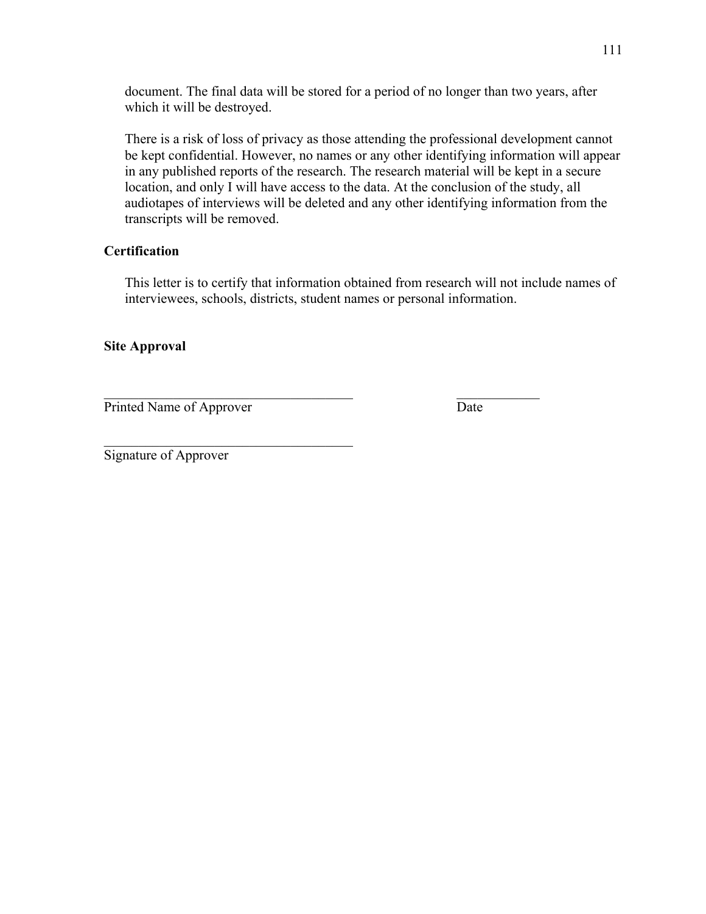document. The final data will be stored for a period of no longer than two years, after which it will be destroyed.

There is a risk of loss of privacy as those attending the professional development cannot be kept confidential. However, no names or any other identifying information will appear in any published reports of the research. The research material will be kept in a secure location, and only I will have access to the data. At the conclusion of the study, all audiotapes of interviews will be deleted and any other identifying information from the transcripts will be removed.

# **Certification**

This letter is to certify that information obtained from research will not include names of interviewees, schools, districts, student names or personal information.

# **Site Approval**

Printed Name of Approver Date

Signature of Approver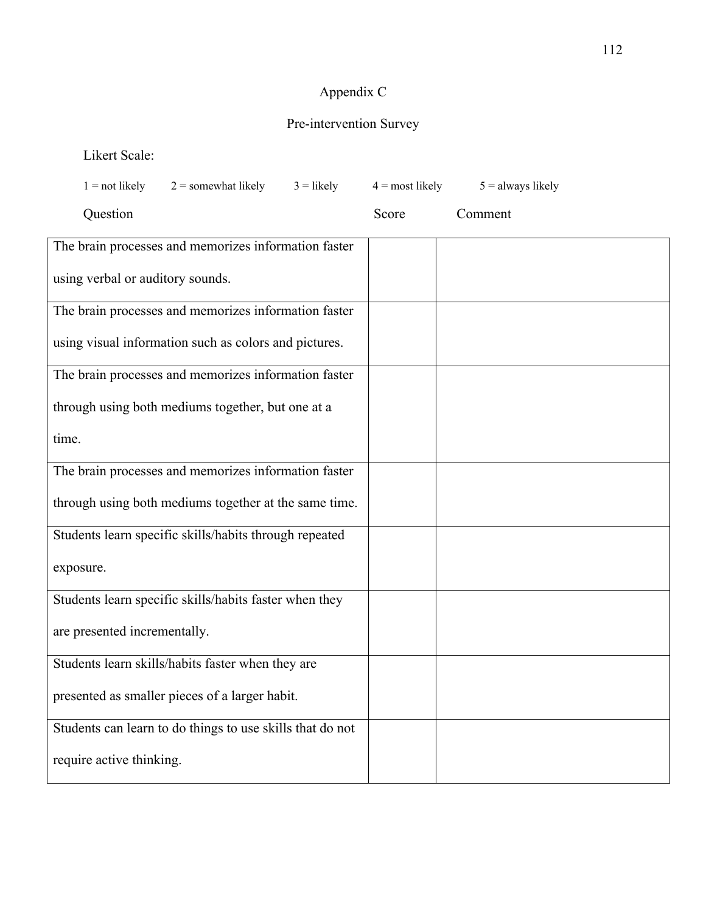# Appendix C

# Pre-intervention Survey

Likert Scale:

| $1 = not likely$                                     | $2$ = somewhat likely                                     | $3 =$ likely | $4 =$ most likely | $5 =$ always likely |  |
|------------------------------------------------------|-----------------------------------------------------------|--------------|-------------------|---------------------|--|
| Question                                             |                                                           |              | Score             | Comment             |  |
|                                                      | The brain processes and memorizes information faster      |              |                   |                     |  |
| using verbal or auditory sounds.                     |                                                           |              |                   |                     |  |
|                                                      | The brain processes and memorizes information faster      |              |                   |                     |  |
|                                                      | using visual information such as colors and pictures.     |              |                   |                     |  |
| The brain processes and memorizes information faster |                                                           |              |                   |                     |  |
|                                                      | through using both mediums together, but one at a         |              |                   |                     |  |
| time.                                                |                                                           |              |                   |                     |  |
|                                                      | The brain processes and memorizes information faster      |              |                   |                     |  |
|                                                      | through using both mediums together at the same time.     |              |                   |                     |  |
|                                                      | Students learn specific skills/habits through repeated    |              |                   |                     |  |
| exposure.                                            |                                                           |              |                   |                     |  |
|                                                      | Students learn specific skills/habits faster when they    |              |                   |                     |  |
| are presented incrementally.                         |                                                           |              |                   |                     |  |
|                                                      | Students learn skills/habits faster when they are         |              |                   |                     |  |
|                                                      | presented as smaller pieces of a larger habit.            |              |                   |                     |  |
|                                                      | Students can learn to do things to use skills that do not |              |                   |                     |  |
| require active thinking.                             |                                                           |              |                   |                     |  |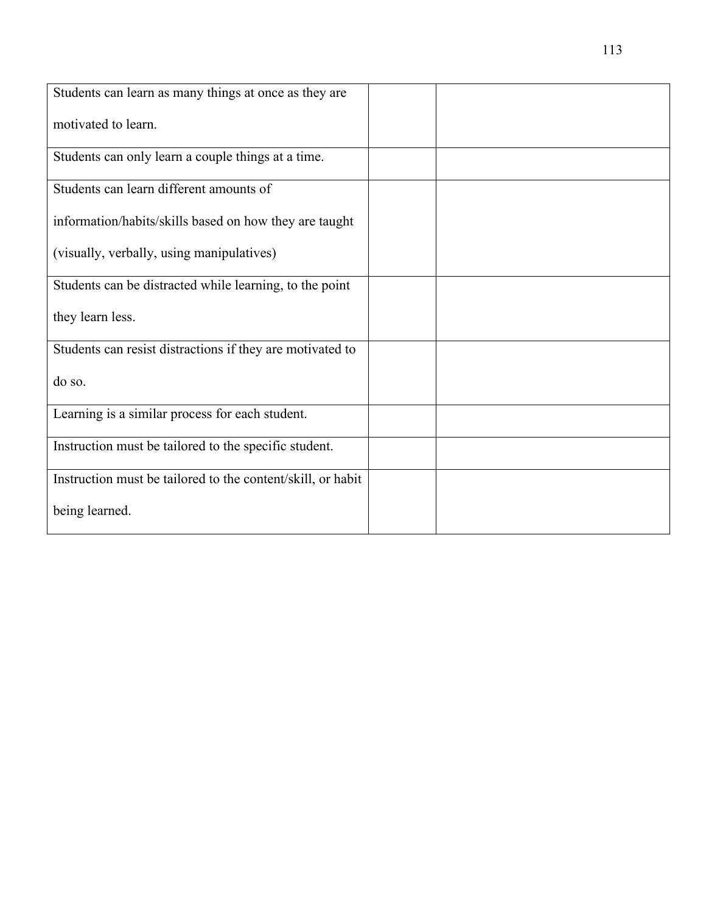| Students can learn as many things at once as they are       |  |
|-------------------------------------------------------------|--|
| motivated to learn.                                         |  |
| Students can only learn a couple things at a time.          |  |
| Students can learn different amounts of                     |  |
| information/habits/skills based on how they are taught      |  |
| (visually, verbally, using manipulatives)                   |  |
| Students can be distracted while learning, to the point     |  |
| they learn less.                                            |  |
| Students can resist distractions if they are motivated to   |  |
| do so.                                                      |  |
| Learning is a similar process for each student.             |  |
| Instruction must be tailored to the specific student.       |  |
| Instruction must be tailored to the content/skill, or habit |  |
| being learned.                                              |  |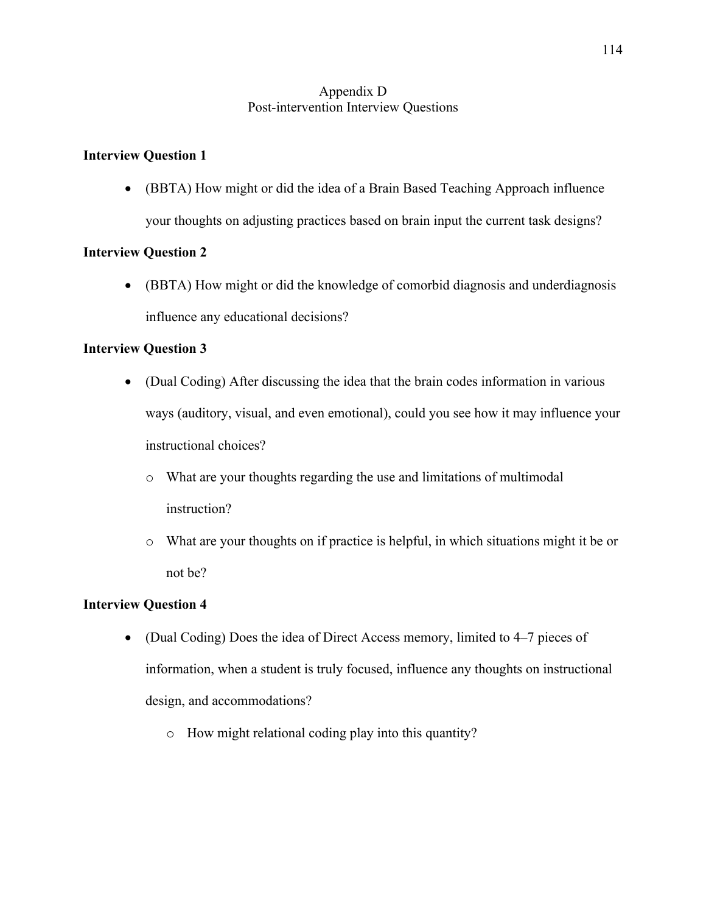# Appendix D Post-intervention Interview Questions

# **Interview Question 1**

• (BBTA) How might or did the idea of a Brain Based Teaching Approach influence your thoughts on adjusting practices based on brain input the current task designs?

# **Interview Question 2**

• (BBTA) How might or did the knowledge of comorbid diagnosis and underdiagnosis influence any educational decisions?

# **Interview Question 3**

- (Dual Coding) After discussing the idea that the brain codes information in various ways (auditory, visual, and even emotional), could you see how it may influence your instructional choices?
	- o What are your thoughts regarding the use and limitations of multimodal instruction?
	- o What are your thoughts on if practice is helpful, in which situations might it be or not be?

## **Interview Question 4**

- (Dual Coding) Does the idea of Direct Access memory, limited to 4–7 pieces of information, when a student is truly focused, influence any thoughts on instructional design, and accommodations?
	- o How might relational coding play into this quantity?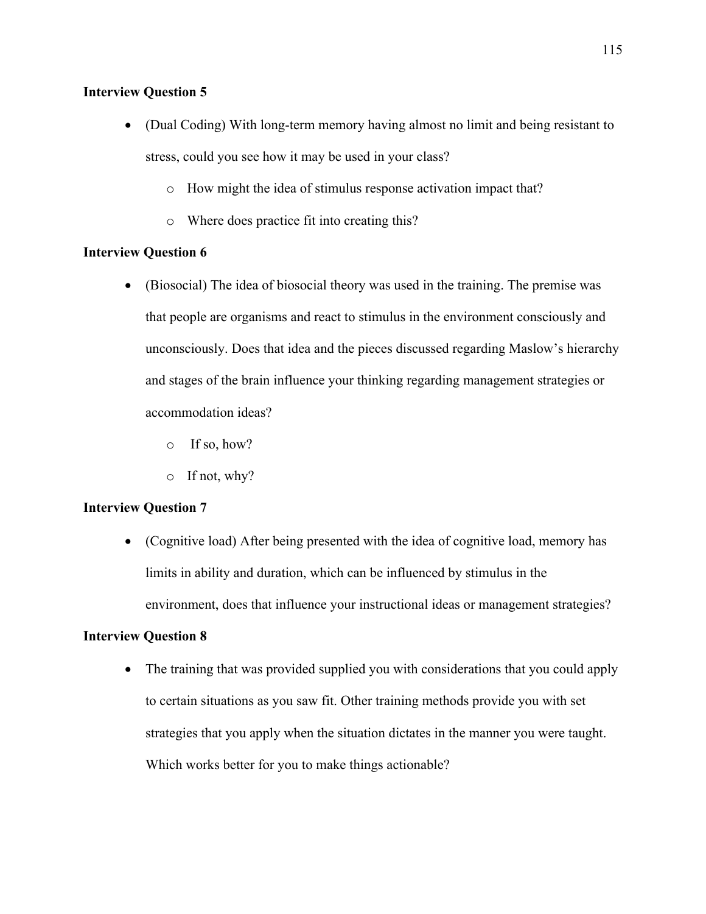### **Interview Question 5**

- (Dual Coding) With long-term memory having almost no limit and being resistant to stress, could you see how it may be used in your class?
	- o How might the idea of stimulus response activation impact that?
	- o Where does practice fit into creating this?

## **Interview Question 6**

- (Biosocial) The idea of biosocial theory was used in the training. The premise was that people are organisms and react to stimulus in the environment consciously and unconsciously. Does that idea and the pieces discussed regarding Maslow's hierarchy and stages of the brain influence your thinking regarding management strategies or accommodation ideas?
	- o If so, how?
	- o If not, why?

## **Interview Question 7**

• (Cognitive load) After being presented with the idea of cognitive load, memory has limits in ability and duration, which can be influenced by stimulus in the environment, does that influence your instructional ideas or management strategies?

## **Interview Question 8**

• The training that was provided supplied you with considerations that you could apply to certain situations as you saw fit. Other training methods provide you with set strategies that you apply when the situation dictates in the manner you were taught. Which works better for you to make things actionable?